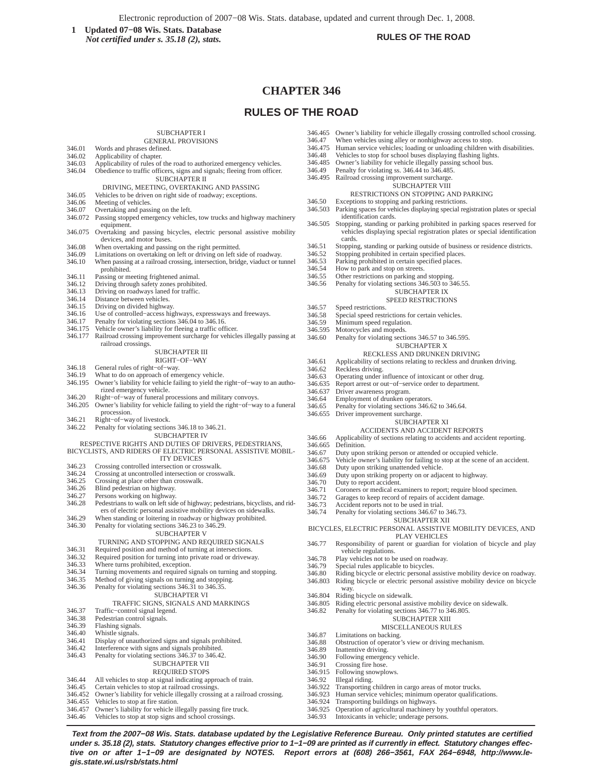Electronic reproduction of 2007−08 Wis. Stats. database, updated and current through Dec. 1, 2008.

**1** Updated 07–08 Wis. Stats. Database<br> *Not certified under* s 35 18 (2) stats<br> **1** RULES OF THE ROAD *Not certified under s. 35.18 (2), stats.*

# **CHAPTER 346**

# **RULES OF THE ROAD**

## SUBCHAPTER I

- GENERAL PROVISIONS
- 346.01 Words and phrases defined.<br>346.02 Applicability of chapter.
- 346.02 Applicability of chapter.<br>346.03 Applicability of rules of 346.03 Applicability of rules of the road to authorized emergency vehicles.<br>346.04 Obedience to traffic officers, signs and signals; fleeing from officer. Obedience to traffic officers, signs and signals; fleeing from officer.
- SUBCHAPTER II DRIVING, MEETING, OVERTAKING AND PASSING
- 
- 346.05 Vehicles to be driven on right side of roadway; exceptions.
- 346.06 Meeting of vehicles.<br>346.07 Overtaking and pass
- Overtaking and passing on the left.
- 346.072 Passing stopped emergency vehicles, tow trucks and highway machinery equipment.
- 346.075 Overtaking and passing bicycles, electric personal assistive mobility devices, and motor buses.
- 346.08 When overtaking and passing on the right permitted.<br>346.09 Limitations on overtaking on left or driving on left s
- 
- 346.09 Limitations on overtaking on left or driving on left side of roadway. When passing at a railroad crossing, intersection, bridge, viaduct or tunnel prohibited.
- 
- 346.11 Passing or meeting frightened animal.<br>346.12 Driving through safety zones prohibit 346.12 Driving through safety zones prohibited.<br>346.13 Driving on roadways laned for traffic.
- Driving an eagle startly asked for traffic.
- 
- 346.14 Distance between vehicles.<br>346.15 Driving on divided highwa
- 346.15 Driving on divided highway.<br>346.16 Use of controlled–access hig Use of controlled-access highways, expressways and freeways.
- 
- 346.17 Penalty for violating sections 346.04 to 346.16.<br>346.175 Vehicle owner's liability for fleeing a traffic of Vehicle owner's liability for fleeing a traffic officer.
- 346.177 Railroad crossing improvement surcharge for vehicles illegally passing at railroad crossings.

### SUBCHAPTER III

- RIGHT−OF−WAY
- 346.18 General rules of right−of−way.
- 346.19 What to do on approach of emergency vehicle.
- 346.195 Owner's liability for vehicle failing to yield the right−of−way to an authorized emergency vehicle.
- 346.20 Right−of−way of funeral processions and military convoys.<br>346.205 Owner's liability for vehicle failing to vield the right–of–wa
- 346.205 Owner's liability for vehicle failing to yield the right−of−way to a funeral procession.
- 346.21 Right−of−way of livestock.
- 346.22 Penalty for violating sections 346.18 to 346.21.
	- SUBCHAPTER IV

# RESPECTIVE RIGHTS AND DUTIES OF DRIVERS, PEDESTRIANS,

### BICYCLISTS, AND RIDERS OF ELECTRIC PERSONAL ASSISTIVE MOBIL-ITY DEVICES

- 346.23 Crossing controlled intersection or crosswalk.<br>346.24 Crossing at uncontrolled intersection or cross
- 346.24 Crossing at uncontrolled intersection or crosswalk.<br>346.25 Crossing at place other than crosswalk.
- 346.25 Crossing at place other than crosswalk.<br>346.26 Blind pedestrian on highway.
- 346.26 Blind pedestrian on highway.<br>346.27 Persons working on highway.
- 
- 346.27 Persons working on highway.<br>346.28 Pedestrians to walk on left sid Pedestrians to walk on left side of highway; pedestrians, bicyclists, and riders of electric personal assistive mobility devices on sidewalks.
- 346.29 When standing or loitering in roadway or highway prohibited.
- 346.30 Penalty for violating sections 346.23 to 346.29.

### SUBCHAPTER V

- TURNING AND STOPPING AND REQUIRED SIGNALS
- 346.31 Required position and method of turning at intersections.<br>346.32 Required position for turning into private road or drivews
- 346.32 Required position for turning into private road or driveway.<br>346.33 Where turns prohibited, exception.
- 346.33 Where turns prohibited, exception.<br>346.34 Turning movements and required s
- 346.34 Turning movements and required signals on turning and stopping.<br>346.35 Method of giving signals on turning and stopping.
- 346.35 Method of giving signals on turning and stopping.
- Penalty for violating sections 346.31 to 346.35.
- SUBCHAPTER VI

### TRAFFIC SIGNS, SIGNALS AND MARKINGS

- 346.37 Traffic–control signal legend.<br>346.38 Pedestrian control signals.
- 346.38 Pedestrian control signals.<br>346.39 Flashing signals.

**gis.state.wi.us/rsb/stats.html**

- 346.39 Flashing signals.<br>346.40 Whistle signals.
- Whistle signals.
- 346.41 Display of unauthorized signs and signals prohibited.
- Interference with signs and signals prohibited.
- 346.43 Penalty for violating sections 346.37 to 346.42.

# SUBCHAPTER VII

- REQUIRED STOPS
- 346.44 All vehicles to stop at signal indicating approach of train.<br>346.45 Certain vehicles to stop at railroad crossings. Certain vehicles to stop at railroad crossings.
- 346.452 Owner's liability for vehicle illegally crossing at a railroad crossing.
- 346.455 Vehicles to stop at fire station.<br>346.457 Owner's liability for vehicle il
- 346.457 Owner's liability for vehicle illegally passing fire truck.<br>346.46 Vehicles to stop at stop signs and school crossings.
- Vehicles to stop at stop signs and school crossings.
- 346.465 Owner's liability for vehicle illegally crossing controlled school crossing.<br>346.47 When vehicles using alley or nonhighway access to stop. When vehicles using alley or nonhighway access to stop.
- 
- 346.475 Human service vehicles; loading or unloading children with disabilities.<br>346.48 Vehicles to stop for school buses displaying flashing lights. Vehicles to stop for school buses displaying flashing lights.
- 346.485 Owner's liability for vehicle illegally passing school bus.
- 
- 346.49 Penalty for violating ss. 346.44 to 346.485.
- 346.495 Railroad crossing improvement surcharge. SUBCHAPTER VIII

# RESTRICTIONS ON STOPPING AND PARKING

- 346.50 Exceptions to stopping and parking restrictions.
- 346.503 Parking spaces for vehicles displaying special registration plates or special identification cards.
- 346.505 Stopping, standing or parking prohibited in parking spaces reserved for vehicles displaying special registration plates or special identification cards.
- 346.51 Stopping, standing or parking outside of business or residence districts.
- 346.52 Stopping prohibited in certain specified places.<br>346.53 Parking prohibited in certain specified places.
- 346.53 Parking prohibited in certain specified places.<br>346.54 How to park and stop on streets
- 346.54 How to park and stop on streets.<br>346.55 Other restrictions on parking and
- Other restrictions on parking and stopping.
- 346.56 Penalty for violating sections 346.503 to 346.55.
- SUBCHAPTER IX

### SPEED RESTRICTIONS

- 
- 346.57 Speed restrictions.<br>346.58 Special speed rest 346.58 Special speed restrictions for certain vehicles.<br>346.59 Minimum speed regulation.

Employment of drunken operators. 346.65 Penalty for violating sections 346.62 to 346.64.

346.68 Duty upon striking unattended vehicle.<br>346.69 Duty upon striking property on or adiad

vehicle regulations. 346.78 Play vehicles not to be used on roadway.<br>346.79 Special rules applicable to bicycles. 346.79 Special rules applicable to bicycles.<br>346.80 Riding bicycle or electric personal a

346.69 Duty upon striking property on or adjacent to highway.

- 346.59 Minimum speed regulation.<br>346.595 Motorcycles and moneds.
- 

346.637 Driver awareness program.<br>346.64 Employment of drunken op

346.70 Duty to report accident.<br>346.71 Coroners or medical example

way. 346.804 Riding bicycle on sidewalk.

346.87 Limitations on backing.

346.89 Inattentive driving.<br>346.90 Following emerger 346.90 Following emergency vehicle.<br>346.91 Crossing fire hose. 346.91 Crossing fire hose.<br>346.915 Following snowplo 346.915 Following snowplows.<br>346.92 Illegal riding. 346.92 Illegal riding.<br>346.922 Transporting

346.655 Driver improvement surcharge.

346.595 Motorcycles and mopeds.<br>346.60 Penalty for violating section Penalty for violating sections 346.57 to 346.595.

## SUBCHAPTER X

## RECKLESS AND DRUNKEN DRIVING

SUBCHAPTER XI ACCIDENTS AND ACCIDENT REPORTS 346.66 Applicability of sections relating to accidents and accident reporting.

346.67 Duty upon striking person or attended or occupied vehicle. 346.675 Vehicle owner's liability for failing to stop at the scene of an accident.

346.71 Coroners or medical examiners to report; require blood specimen.<br>346.72 Garages to keep record of repairs of accident damage 346.72 Garages to keep record of repairs of accident damage.<br>346.73 Accident reports not to be used in trial. Accident reports not to be used in trial. 346.74 Penalty for violating sections 346.67 to 346.73.

SUBCHAPTER XII BICYCLES, ELECTRIC PERSONAL ASSISTIVE MOBILITY DEVICES, AND PLAY VEHICLES 346.77 Responsibility of parent or guardian for violation of bicycle and play

346.80 Riding bicycle or electric personal assistive mobility device on roadway. Riding bicycle or electric personal assistive mobility device on bicycle

> SUBCHAPTER XIII MISCELLANEOUS RULES

Human service vehicles; minimum operator qualifications.

346.805 Riding electric personal assistive mobility device on sidewalk.<br>346.82 Penalty for violating sections 346.77 to 346.805. Penalty for violating sections 346.77 to 346.805.

346.88 Obstruction of operator's view or driving mechanism.

346.922 Transporting children in cargo areas of motor trucks.

346.925 Operation of agricultural machinery by youthful operators. Intoxicants in vehicle; underage persons.

346.924 Transporting buildings on highways.

346.61 Applicability of sections relating to reckless and drunken driving.<br>346.62 Reckless driving.

Report arrest or out-of-service order to department.

346.62 Reckless driving.<br>346.63 Operating under 346.63 Operating under influence of intoxicant or other drug.<br>346.635 Report arrest or out-of-service order to department.

346.665 Definition.<br>346.67 Duty upon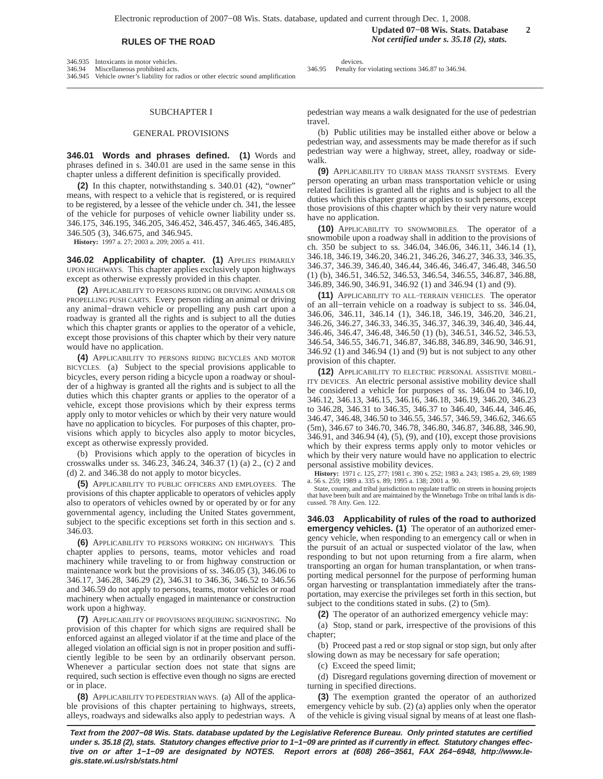346.935 Intoxicants in motor vehicles.<br>346.94 Miscellaneous prohibited acts Miscellaneous prohibited acts.

346.945 Vehicle owner's liability for radios or other electric sound amplification

# SUBCHAPTER I

### GENERAL PROVISIONS

**346.01 Words and phrases defined. (1)** Words and phrases defined in s. 340.01 are used in the same sense in this chapter unless a different definition is specifically provided.

**(2)** In this chapter, notwithstanding s. 340.01 (42), "owner" means, with respect to a vehicle that is registered, or is required to be registered, by a lessee of the vehicle under ch. 341, the lessee of the vehicle for purposes of vehicle owner liability under ss. 346.175, 346.195, 346.205, 346.452, 346.457, 346.465, 346.485, 346.505 (3), 346.675, and 346.945.

**History:** 1997 a. 27; 2003 a. 209; 2005 a. 411.

**346.02 Applicability of chapter. (1)** APPLIES PRIMARILY UPON HIGHWAYS. This chapter applies exclusively upon highways except as otherwise expressly provided in this chapter.

**(2)** APPLICABILITY TO PERSONS RIDING OR DRIVING ANIMALS OR PROPELLING PUSH CARTS. Every person riding an animal or driving any animal−drawn vehicle or propelling any push cart upon a roadway is granted all the rights and is subject to all the duties which this chapter grants or applies to the operator of a vehicle, except those provisions of this chapter which by their very nature would have no application.

**(4)** APPLICABILITY TO PERSONS RIDING BICYCLES AND MOTOR BICYCLES. (a) Subject to the special provisions applicable to bicycles, every person riding a bicycle upon a roadway or shoulder of a highway is granted all the rights and is subject to all the duties which this chapter grants or applies to the operator of a vehicle, except those provisions which by their express terms apply only to motor vehicles or which by their very nature would have no application to bicycles. For purposes of this chapter, provisions which apply to bicycles also apply to motor bicycles, except as otherwise expressly provided.

(b) Provisions which apply to the operation of bicycles in crosswalks under ss. 346.23, 346.24, 346.37 (1) (a) 2., (c) 2 and (d) 2. and 346.38 do not apply to motor bicycles.

**(5)** APPLICABILITY TO PUBLIC OFFICERS AND EMPLOYEES. The provisions of this chapter applicable to operators of vehicles apply also to operators of vehicles owned by or operated by or for any governmental agency, including the United States government, subject to the specific exceptions set forth in this section and s. 346.03.

**(6)** APPLICABILITY TO PERSONS WORKING ON HIGHWAYS. This chapter applies to persons, teams, motor vehicles and road machinery while traveling to or from highway construction or maintenance work but the provisions of ss. 346.05 (3), 346.06 to 346.17, 346.28, 346.29 (2), 346.31 to 346.36, 346.52 to 346.56 and 346.59 do not apply to persons, teams, motor vehicles or road machinery when actually engaged in maintenance or construction work upon a highway.

**(7)** APPLICABILITY OF PROVISIONS REQUIRING SIGNPOSTING. No provision of this chapter for which signs are required shall be enforced against an alleged violator if at the time and place of the alleged violation an official sign is not in proper position and sufficiently legible to be seen by an ordinarily observant person. Whenever a particular section does not state that signs are required, such section is effective even though no signs are erected or in place.

**(8)** APPLICABILITY TO PEDESTRIAN WAYS. (a) All of the applicable provisions of this chapter pertaining to highways, streets, alleys, roadways and sidewalks also apply to pedestrian ways. A

devices 346.95 Penalty for violating sections 346.87 to 346.94.

pedestrian way means a walk designated for the use of pedestrian travel.

(b) Public utilities may be installed either above or below a pedestrian way, and assessments may be made therefor as if such pedestrian way were a highway, street, alley, roadway or sidewalk

**(9)** APPLICABILITY TO URBAN MASS TRANSIT SYSTEMS. Every person operating an urban mass transportation vehicle or using related facilities is granted all the rights and is subject to all the duties which this chapter grants or applies to such persons, except those provisions of this chapter which by their very nature would have no application.

**(10)** APPLICABILITY TO SNOWMOBILES. The operator of a snowmobile upon a roadway shall in addition to the provisions of ch. 350 be subject to ss. 346.04, 346.06, 346.11, 346.14 (1), 346.18, 346.19, 346.20, 346.21, 346.26, 346.27, 346.33, 346.35, 346.37, 346.39, 346.40, 346.44, 346.46, 346.47, 346.48, 346.50 (1) (b), 346.51, 346.52, 346.53, 346.54, 346.55, 346.87, 346.88, 346.89, 346.90, 346.91, 346.92 (1) and 346.94 (1) and (9).

**(11)** APPLICABILITY TO ALL−TERRAIN VEHICLES. The operator of an all−terrain vehicle on a roadway is subject to ss. 346.04, 346.06, 346.11, 346.14 (1), 346.18, 346.19, 346.20, 346.21, 346.26, 346.27, 346.33, 346.35, 346.37, 346.39, 346.40, 346.44, 346.46, 346.47, 346.48, 346.50 (1) (b), 346.51, 346.52, 346.53, 346.54, 346.55, 346.71, 346.87, 346.88, 346.89, 346.90, 346.91, 346.92 (1) and 346.94 (1) and (9) but is not subject to any other provision of this chapter.

**(12)** APPLICABILITY TO ELECTRIC PERSONAL ASSISTIVE MOBIL-ITY DEVICES. An electric personal assistive mobility device shall be considered a vehicle for purposes of ss. 346.04 to 346.10, 346.12, 346.13, 346.15, 346.16, 346.18, 346.19, 346.20, 346.23 to 346.28, 346.31 to 346.35, 346.37 to 346.40, 346.44, 346.46, 346.47, 346.48, 346.50 to 346.55, 346.57, 346.59, 346.62, 346.65 (5m), 346.67 to 346.70, 346.78, 346.80, 346.87, 346.88, 346.90, 346.91, and 346.94 (4), (5), (9), and (10), except those provisions which by their express terms apply only to motor vehicles or which by their very nature would have no application to electric personal assistive mobility devices.

**History:** 1971 c. 125, 277; 1981 c. 390 s. 252; 1983 a. 243; 1985 a. 29, 69; 1989 a. 56 s. 259; 1989 a. 335 s. 89; 1995 a. 138; 2001 a. 90.

State, county, and tribal jurisdiction to regulate traffic on streets in housing projects that have been built and are maintained by the Winnebago Tribe on tribal lands is discussed. 78 Atty. Gen. 122.

**346.03 Applicability of rules of the road to authorized emergency vehicles. (1)** The operator of an authorized emergency vehicle, when responding to an emergency call or when in the pursuit of an actual or suspected violator of the law, when responding to but not upon returning from a fire alarm, when transporting an organ for human transplantation, or when transporting medical personnel for the purpose of performing human organ harvesting or transplantation immediately after the transportation, may exercise the privileges set forth in this section, but subject to the conditions stated in subs. (2) to (5m).

**(2)** The operator of an authorized emergency vehicle may:

(a) Stop, stand or park, irrespective of the provisions of this chapter;

(b) Proceed past a red or stop signal or stop sign, but only after slowing down as may be necessary for safe operation;

(c) Exceed the speed limit;

(d) Disregard regulations governing direction of movement or turning in specified directions.

**(3)** The exemption granted the operator of an authorized emergency vehicle by sub. (2) (a) applies only when the operator of the vehicle is giving visual signal by means of at least one flash-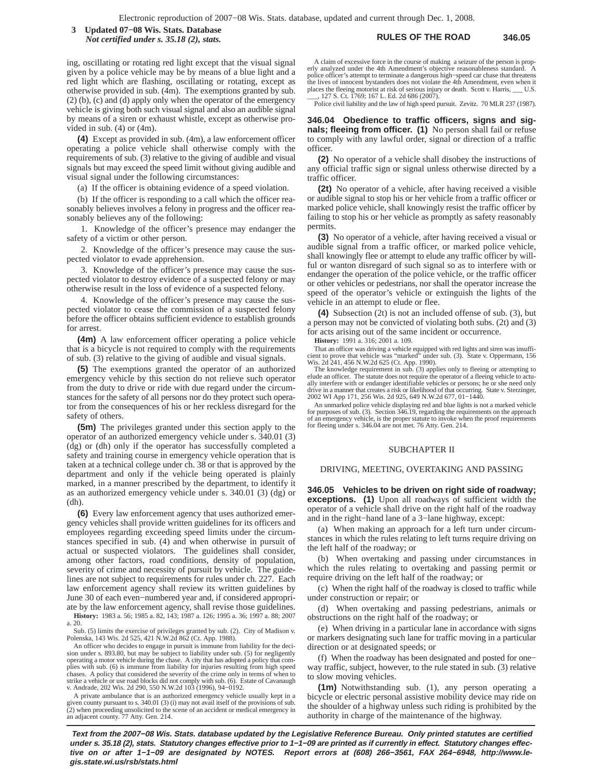**RULES OF THE ROAD 346.05 3 Updated 07−08 Wis. Stats. Database** *Not certified under s. 35.18 (2), stats.*

ing, oscillating or rotating red light except that the visual signal given by a police vehicle may be by means of a blue light and a red light which are flashing, oscillating or rotating, except as otherwise provided in sub. (4m). The exemptions granted by sub. (2) (b), (c) and (d) apply only when the operator of the emergency vehicle is giving both such visual signal and also an audible signal by means of a siren or exhaust whistle, except as otherwise provided in sub.  $(4)$  or  $(4m)$ .

**(4)** Except as provided in sub. (4m), a law enforcement officer operating a police vehicle shall otherwise comply with the requirements of sub. (3) relative to the giving of audible and visual signals but may exceed the speed limit without giving audible and visual signal under the following circumstances:

(a) If the officer is obtaining evidence of a speed violation.

(b) If the officer is responding to a call which the officer reasonably believes involves a felony in progress and the officer reasonably believes any of the following:

1. Knowledge of the officer's presence may endanger the safety of a victim or other person.

2. Knowledge of the officer's presence may cause the suspected violator to evade apprehension.

3. Knowledge of the officer's presence may cause the suspected violator to destroy evidence of a suspected felony or may otherwise result in the loss of evidence of a suspected felony.

4. Knowledge of the officer's presence may cause the suspected violator to cease the commission of a suspected felony before the officer obtains sufficient evidence to establish grounds for arrest.

**(4m)** A law enforcement officer operating a police vehicle that is a bicycle is not required to comply with the requirements of sub. (3) relative to the giving of audible and visual signals.

**(5)** The exemptions granted the operator of an authorized emergency vehicle by this section do not relieve such operator from the duty to drive or ride with due regard under the circumstances for the safety of all persons nor do they protect such operator from the consequences of his or her reckless disregard for the safety of others.

**(5m)** The privileges granted under this section apply to the operator of an authorized emergency vehicle under s. 340.01 (3) (dg) or (dh) only if the operator has successfully completed a safety and training course in emergency vehicle operation that is taken at a technical college under ch. 38 or that is approved by the department and only if the vehicle being operated is plainly marked, in a manner prescribed by the department, to identify it as an authorized emergency vehicle under s. 340.01 (3) (dg) or  $(dh)$ 

**(6)** Every law enforcement agency that uses authorized emergency vehicles shall provide written guidelines for its officers and employees regarding exceeding speed limits under the circumstances specified in sub. (4) and when otherwise in pursuit of actual or suspected violators. The guidelines shall consider, among other factors, road conditions, density of population, severity of crime and necessity of pursuit by vehicle. The guidelines are not subject to requirements for rules under ch. 227. Each law enforcement agency shall review its written guidelines by June 30 of each even−numbered year and, if considered appropriate by the law enforcement agency, shall revise those guidelines.

**History:** 1983 a. 56; 1985 a. 82, 143; 1987 a. 126; 1995 a. 36; 1997 a. 88; 2007 a. 20.

Sub. (5) limits the exercise of privileges granted by sub. (2). City of Madison v. Polenska, 143 Wis. 2d 525, 421 N.W.2d 862 (Ct. App. 1988).

An officer who decides to engage in pursuit is immune from liability for the decision under s. 893.80, but may be subject to liability under sub. (5) for negligently<br>operating a motor vehicle during the chase. A city that has adopted a policy that com-<br>plies with sub. (6) is immune from liability for i chases. A policy that considered the severity of the crime only in terms of when to strike a vehicle or use road blocks did not comply with sub. (6). Estate of Cavanaugh v. Andrade, 202 Wis. 2d 290, 550 N.W.2d 103 (1996), 94−0192.

A private ambulance that is an authorized emergency vehicle usually kept in a given county pursuant to s. 340.01 (3) (i) may not avail itself of the provisions of sub. (2) when proceeding unsolicited to the scene of an accident or medical emergency in an adjacent county. 77 Atty. Gen. 214.

A claim of excessive force in the course of making a seizure of the person is properly analyzed under the 4th Amendment's objective reasonableness standard. A police officer's attempt to terminate a dangerous high−speed car chase that threatens the lives of innocent bystanders does not violate the 4th Amendment, even when it<br>places the fleeing motorist at risk of serious injury or death. Scott v. Harris. U.S. places the fleeing motorist at risk of serious injury or death. Scott v. Harris, \_\_\_ U.S. \_\_\_\_, 127 S. Ct. 1769; 167 L. Ed. 2d 686 (2007).

Police civil liability and the law of high speed pursuit. Zevitz. 70 MLR 237 (1987).

**346.04 Obedience to traffic officers, signs and signals; fleeing from officer. (1)** No person shall fail or refuse to comply with any lawful order, signal or direction of a traffic officer.

**(2)** No operator of a vehicle shall disobey the instructions of any official traffic sign or signal unless otherwise directed by a traffic officer.

**(2t)** No operator of a vehicle, after having received a visible or audible signal to stop his or her vehicle from a traffic officer or marked police vehicle, shall knowingly resist the traffic officer by failing to stop his or her vehicle as promptly as safety reasonably permits.

**(3)** No operator of a vehicle, after having received a visual or audible signal from a traffic officer, or marked police vehicle, shall knowingly flee or attempt to elude any traffic officer by willful or wanton disregard of such signal so as to interfere with or endanger the operation of the police vehicle, or the traffic officer or other vehicles or pedestrians, nor shall the operator increase the speed of the operator's vehicle or extinguish the lights of the vehicle in an attempt to elude or flee.

**(4)** Subsection (2t) is not an included offense of sub. (3), but a person may not be convicted of violating both subs. (2t) and (3) for acts arising out of the same incident or occurrence.

**History:** 1991 a. 316; 2001 a. 109.

That an officer was driving a vehicle equipped with red lights and siren was insuffi-cient to prove that vehicle was "marked" under sub. (3). State v. Oppermann, 156

Wis. 2d 241, 456 N.W.2d 625 (Ct. App. 1990). The knowledge requirement in sub. (3) applies only to fleeing or attempting to elude an officer. The statute does not require the operator of a fleeing vehicle to actually interfere with or endanger identifiable vehicles or persons; he or she need only drive in a manner that creates a risk or likelihood of that occurring. State v. Sterzinger, 2002 WI App 171, 256 Wis. 2d 925, 649 N.W.2d 677, 01−1440.

An unmarked police vehicle displaying red and blue lights is not a marked vehicle for purposes of sub. (3). Section 346.19, regarding the requirements on the approach of an emergency vehicle, is the proper statute to invoke when the proof requirements for fleeing under s. 346.04 are not met. 76 Atty. Gen. 214.

### SUBCHAPTER II

### DRIVING, MEETING, OVERTAKING AND PASSING

**346.05 Vehicles to be driven on right side of roadway; exceptions. (1)** Upon all roadways of sufficient width the operator of a vehicle shall drive on the right half of the roadway and in the right−hand lane of a 3−lane highway, except:

(a) When making an approach for a left turn under circumstances in which the rules relating to left turns require driving on the left half of the roadway; or

(b) When overtaking and passing under circumstances in which the rules relating to overtaking and passing permit or require driving on the left half of the roadway; or

(c) When the right half of the roadway is closed to traffic while under construction or repair; or

(d) When overtaking and passing pedestrians, animals or obstructions on the right half of the roadway; or

(e) When driving in a particular lane in accordance with signs or markers designating such lane for traffic moving in a particular direction or at designated speeds; or

(f) When the roadway has been designated and posted for one− way traffic, subject, however, to the rule stated in sub. (3) relative to slow moving vehicles.

**(1m)** Notwithstanding sub. (1), any person operating a bicycle or electric personal assistive mobility device may ride on the shoulder of a highway unless such riding is prohibited by the authority in charge of the maintenance of the highway.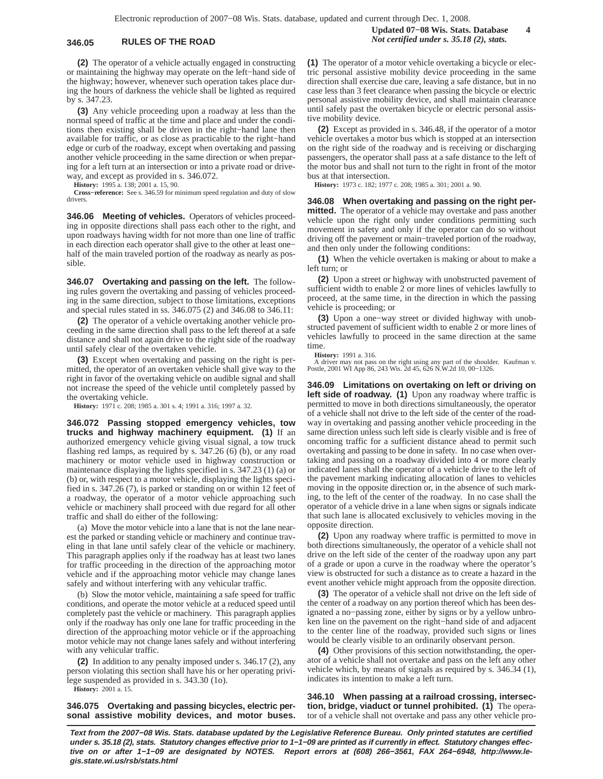## **346.05 RULES OF THE ROAD** *Not certified under s. 35.18 (2), stats.*

**(2)** The operator of a vehicle actually engaged in constructing or maintaining the highway may operate on the left−hand side of the highway; however, whenever such operation takes place during the hours of darkness the vehicle shall be lighted as required by s. 347.23.

**(3)** Any vehicle proceeding upon a roadway at less than the normal speed of traffic at the time and place and under the conditions then existing shall be driven in the right−hand lane then available for traffic, or as close as practicable to the right−hand edge or curb of the roadway, except when overtaking and passing another vehicle proceeding in the same direction or when preparing for a left turn at an intersection or into a private road or driveway, and except as provided in s. 346.072.

**History:** 1995 a. 138; 2001 a. 15, 90.

**Cross−reference:** See s. 346.59 for minimum speed regulation and duty of slow drivers.

**346.06 Meeting of vehicles.** Operators of vehicles proceeding in opposite directions shall pass each other to the right, and upon roadways having width for not more than one line of traffic in each direction each operator shall give to the other at least one− half of the main traveled portion of the roadway as nearly as possible.

**346.07 Overtaking and passing on the left.** The following rules govern the overtaking and passing of vehicles proceeding in the same direction, subject to those limitations, exceptions and special rules stated in ss. 346.075 (2) and 346.08 to 346.11:

**(2)** The operator of a vehicle overtaking another vehicle proceeding in the same direction shall pass to the left thereof at a safe distance and shall not again drive to the right side of the roadway until safely clear of the overtaken vehicle.

**(3)** Except when overtaking and passing on the right is permitted, the operator of an overtaken vehicle shall give way to the right in favor of the overtaking vehicle on audible signal and shall not increase the speed of the vehicle until completely passed by the overtaking vehicle.

**History:** 1971 c. 208; 1985 a. 301 s. 4; 1991 a. 316; 1997 a. 32.

**346.072 Passing stopped emergency vehicles, tow trucks and highway machinery equipment. (1)** If an authorized emergency vehicle giving visual signal, a tow truck flashing red lamps, as required by s. 347.26 (6) (b), or any road machinery or motor vehicle used in highway construction or maintenance displaying the lights specified in s. 347.23 (1) (a) or (b) or, with respect to a motor vehicle, displaying the lights specified in s. 347.26 (7), is parked or standing on or within 12 feet of a roadway, the operator of a motor vehicle approaching such vehicle or machinery shall proceed with due regard for all other traffic and shall do either of the following:

(a) Move the motor vehicle into a lane that is not the lane nearest the parked or standing vehicle or machinery and continue traveling in that lane until safely clear of the vehicle or machinery. This paragraph applies only if the roadway has at least two lanes for traffic proceeding in the direction of the approaching motor vehicle and if the approaching motor vehicle may change lanes safely and without interfering with any vehicular traffic.

(b) Slow the motor vehicle, maintaining a safe speed for traffic conditions, and operate the motor vehicle at a reduced speed until completely past the vehicle or machinery. This paragraph applies only if the roadway has only one lane for traffic proceeding in the direction of the approaching motor vehicle or if the approaching motor vehicle may not change lanes safely and without interfering with any vehicular traffic.

**(2)** In addition to any penalty imposed under s. 346.17 (2), any person violating this section shall have his or her operating privilege suspended as provided in s. 343.30 (1o).

**History:** 2001 a. 15.

**346.075 Overtaking and passing bicycles, electric personal assistive mobility devices, and motor buses.**

**(1)** The operator of a motor vehicle overtaking a bicycle or electric personal assistive mobility device proceeding in the same direction shall exercise due care, leaving a safe distance, but in no case less than 3 feet clearance when passing the bicycle or electric personal assistive mobility device, and shall maintain clearance until safely past the overtaken bicycle or electric personal assistive mobility device.

**(2)** Except as provided in s. 346.48, if the operator of a motor vehicle overtakes a motor bus which is stopped at an intersection on the right side of the roadway and is receiving or discharging passengers, the operator shall pass at a safe distance to the left of the motor bus and shall not turn to the right in front of the motor bus at that intersection.

**History:** 1973 c. 182; 1977 c. 208; 1985 a. 301; 2001 a. 90.

**346.08 When overtaking and passing on the right permitted.** The operator of a vehicle may overtake and pass another vehicle upon the right only under conditions permitting such movement in safety and only if the operator can do so without driving off the pavement or main−traveled portion of the roadway, and then only under the following conditions:

**(1)** When the vehicle overtaken is making or about to make a left turn; or

**(2)** Upon a street or highway with unobstructed pavement of sufficient width to enable 2 or more lines of vehicles lawfully to proceed, at the same time, in the direction in which the passing vehicle is proceeding; or

**(3)** Upon a one−way street or divided highway with unobstructed pavement of sufficient width to enable 2 or more lines of vehicles lawfully to proceed in the same direction at the same time.

**History:** 1991 a. 316.

A driver may not pass on the right using any part of the shoulder. Kaufman v. Postle, 2001 WI App 86, 243 Wis. 2d 45, 626 N.W.2d 10, 00−1326.

**346.09 Limitations on overtaking on left or driving on left side of roadway. (1)** Upon any roadway where traffic is permitted to move in both directions simultaneously, the operator of a vehicle shall not drive to the left side of the center of the roadway in overtaking and passing another vehicle proceeding in the same direction unless such left side is clearly visible and is free of oncoming traffic for a sufficient distance ahead to permit such overtaking and passing to be done in safety. In no case when overtaking and passing on a roadway divided into 4 or more clearly indicated lanes shall the operator of a vehicle drive to the left of the pavement marking indicating allocation of lanes to vehicles moving in the opposite direction or, in the absence of such marking, to the left of the center of the roadway. In no case shall the operator of a vehicle drive in a lane when signs or signals indicate that such lane is allocated exclusively to vehicles moving in the opposite direction.

**(2)** Upon any roadway where traffic is permitted to move in both directions simultaneously, the operator of a vehicle shall not drive on the left side of the center of the roadway upon any part of a grade or upon a curve in the roadway where the operator's view is obstructed for such a distance as to create a hazard in the event another vehicle might approach from the opposite direction.

**(3)** The operator of a vehicle shall not drive on the left side of the center of a roadway on any portion thereof which has been designated a no−passing zone, either by signs or by a yellow unbroken line on the pavement on the right−hand side of and adjacent to the center line of the roadway, provided such signs or lines would be clearly visible to an ordinarily observant person.

**(4)** Other provisions of this section notwithstanding, the operator of a vehicle shall not overtake and pass on the left any other vehicle which, by means of signals as required by s. 346.34 (1), indicates its intention to make a left turn.

**346.10 When passing at a railroad crossing, intersection, bridge, viaduct or tunnel prohibited. (1)** The operator of a vehicle shall not overtake and pass any other vehicle pro-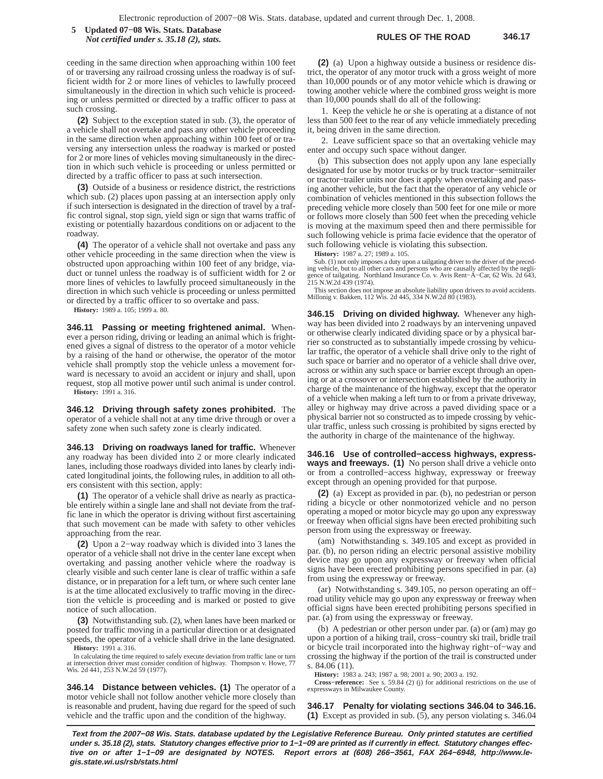**RULES OF THE ROAD 346.17 5 Updated 07−08 Wis. Stats. Database** *Not certified under s. 35.18 (2), stats.*

ceeding in the same direction when approaching within 100 feet of or traversing any railroad crossing unless the roadway is of sufficient width for 2 or more lines of vehicles to lawfully proceed simultaneously in the direction in which such vehicle is proceeding or unless permitted or directed by a traffic officer to pass at such crossing.

**(2)** Subject to the exception stated in sub. (3), the operator of a vehicle shall not overtake and pass any other vehicle proceeding in the same direction when approaching within 100 feet of or traversing any intersection unless the roadway is marked or posted for 2 or more lines of vehicles moving simultaneously in the direction in which such vehicle is proceeding or unless permitted or directed by a traffic officer to pass at such intersection.

**(3)** Outside of a business or residence district, the restrictions which sub. (2) places upon passing at an intersection apply only if such intersection is designated in the direction of travel by a traffic control signal, stop sign, yield sign or sign that warns traffic of existing or potentially hazardous conditions on or adjacent to the roadway.

**(4)** The operator of a vehicle shall not overtake and pass any other vehicle proceeding in the same direction when the view is obstructed upon approaching within 100 feet of any bridge, viaduct or tunnel unless the roadway is of sufficient width for 2 or more lines of vehicles to lawfully proceed simultaneously in the direction in which such vehicle is proceeding or unless permitted or directed by a traffic officer to so overtake and pass.

**History:** 1989 a. 105; 1999 a. 80.

**346.11 Passing or meeting frightened animal.** Whenever a person riding, driving or leading an animal which is frightened gives a signal of distress to the operator of a motor vehicle by a raising of the hand or otherwise, the operator of the motor vehicle shall promptly stop the vehicle unless a movement forward is necessary to avoid an accident or injury and shall, upon request, stop all motive power until such animal is under control. **History:** 1991 a. 316.

**346.12 Driving through safety zones prohibited.** The operator of a vehicle shall not at any time drive through or over a safety zone when such safety zone is clearly indicated.

**346.13 Driving on roadways laned for traffic.** Whenever any roadway has been divided into 2 or more clearly indicated lanes, including those roadways divided into lanes by clearly indicated longitudinal joints, the following rules, in addition to all others consistent with this section, apply:

**(1)** The operator of a vehicle shall drive as nearly as practicable entirely within a single lane and shall not deviate from the traffic lane in which the operator is driving without first ascertaining that such movement can be made with safety to other vehicles approaching from the rear.

**(2)** Upon a 2−way roadway which is divided into 3 lanes the operator of a vehicle shall not drive in the center lane except when overtaking and passing another vehicle where the roadway is clearly visible and such center lane is clear of traffic within a safe distance, or in preparation for a left turn, or where such center lane is at the time allocated exclusively to traffic moving in the direction the vehicle is proceeding and is marked or posted to give notice of such allocation.

**(3)** Notwithstanding sub. (2), when lanes have been marked or posted for traffic moving in a particular direction or at designated speeds, the operator of a vehicle shall drive in the lane designated. **History:** 1991 a. 316.

In calculating the time required to safely execute deviation from traffic lane or turn at intersection driver must consider condition of highway. Thompson v. Howe, 77 Wis. 2d 441, 253 N.W.2d 59 (1977).

**346.14 Distance between vehicles. (1)** The operator of a motor vehicle shall not follow another vehicle more closely than is reasonable and prudent, having due regard for the speed of such vehicle and the traffic upon and the condition of the highway.

**(2)** (a) Upon a highway outside a business or residence district, the operator of any motor truck with a gross weight of more than 10,000 pounds or of any motor vehicle which is drawing or towing another vehicle where the combined gross weight is more than 10,000 pounds shall do all of the following:

1. Keep the vehicle he or she is operating at a distance of not less than 500 feet to the rear of any vehicle immediately preceding it, being driven in the same direction.

2. Leave sufficient space so that an overtaking vehicle may enter and occupy such space without danger.

(b) This subsection does not apply upon any lane especially designated for use by motor trucks or by truck tractor−semitrailer or tractor−trailer units nor does it apply when overtaking and passing another vehicle, but the fact that the operator of any vehicle or combination of vehicles mentioned in this subsection follows the preceding vehicle more closely than 500 feet for one mile or more or follows more closely than 500 feet when the preceding vehicle is moving at the maximum speed then and there permissible for such following vehicle is prima facie evidence that the operator of such following vehicle is violating this subsection.

**History:** 1987 a. 27; 1989 a. 105.

Sub. (1) not only imposes a duty upon a tailgating driver to the driver of the preceding vehicle, but to all other cars and persons who are causally affected by the negligence of tailgating. Northland Insurance Co. v. Avis Rent−A−Car, 62 Wis. 2d 643, 215 N.W.2d 439 (1974).

This section does not impose an absolute liability upon drivers to avoid accidents. Millonig v. Bakken, 112 Wis. 2d 445, 334 N.W.2d 80 (1983).

**346.15 Driving on divided highway.** Whenever any highway has been divided into 2 roadways by an intervening unpaved or otherwise clearly indicated dividing space or by a physical barrier so constructed as to substantially impede crossing by vehicular traffic, the operator of a vehicle shall drive only to the right of such space or barrier and no operator of a vehicle shall drive over, across or within any such space or barrier except through an opening or at a crossover or intersection established by the authority in charge of the maintenance of the highway, except that the operator of a vehicle when making a left turn to or from a private driveway, alley or highway may drive across a paved dividing space or a physical barrier not so constructed as to impede crossing by vehicular traffic, unless such crossing is prohibited by signs erected by the authority in charge of the maintenance of the highway.

**346.16 Use of controlled−access highways, expressways and freeways. (1)** No person shall drive a vehicle onto or from a controlled−access highway, expressway or freeway except through an opening provided for that purpose.

**(2)** (a) Except as provided in par. (b), no pedestrian or person riding a bicycle or other nonmotorized vehicle and no person operating a moped or motor bicycle may go upon any expressway or freeway when official signs have been erected prohibiting such person from using the expressway or freeway.

(am) Notwithstanding s. 349.105 and except as provided in par. (b), no person riding an electric personal assistive mobility device may go upon any expressway or freeway when official signs have been erected prohibiting persons specified in par. (a) from using the expressway or freeway.

(ar) Notwithstanding s. 349.105, no person operating an off− road utility vehicle may go upon any expressway or freeway when official signs have been erected prohibiting persons specified in par. (a) from using the expressway or freeway.

(b) A pedestrian or other person under par. (a) or (am) may go upon a portion of a hiking trail, cross−country ski trail, bridle trail or bicycle trail incorporated into the highway right−of−way and crossing the highway if the portion of the trail is constructed under s. 84.06 (11).

**History:** 1983 a. 243; 1987 a. 98; 2001 a. 90; 2003 a. 192.

**Cross−reference:** See s. 59.84 (2) (j) for additional restrictions on the use of expressways in Milwaukee County.

**346.17 Penalty for violating sections 346.04 to 346.16. (1)** Except as provided in sub. (5), any person violating s. 346.04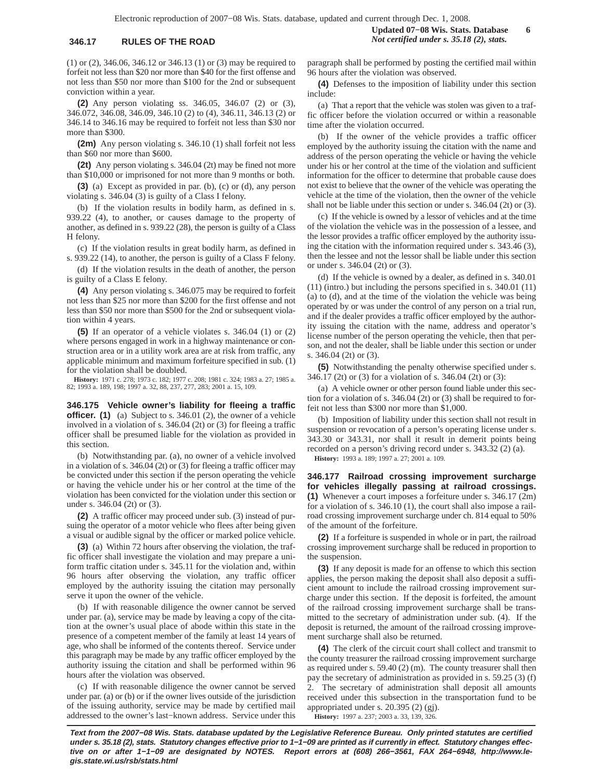(1) or (2), 346.06, 346.12 or 346.13 (1) or (3) may be required to forfeit not less than \$20 nor more than \$40 for the first offense and not less than \$50 nor more than \$100 for the 2nd or subsequent conviction within a year.

**(2)** Any person violating ss. 346.05, 346.07 (2) or (3), 346.072, 346.08, 346.09, 346.10 (2) to (4), 346.11, 346.13 (2) or 346.14 to 346.16 may be required to forfeit not less than \$30 nor more than \$300.

**(2m)** Any person violating s. 346.10 (1) shall forfeit not less than \$60 nor more than \$600.

**(2t)** Any person violating s. 346.04 (2t) may be fined not more than \$10,000 or imprisoned for not more than 9 months or both.

**(3)** (a) Except as provided in par. (b), (c) or (d), any person violating s. 346.04 (3) is guilty of a Class I felony.

(b) If the violation results in bodily harm, as defined in s. 939.22 (4), to another, or causes damage to the property of another, as defined in s. 939.22 (28), the person is guilty of a Class H felony.

(c) If the violation results in great bodily harm, as defined in s. 939.22 (14), to another, the person is guilty of a Class F felony.

(d) If the violation results in the death of another, the person is guilty of a Class E felony.

**(4)** Any person violating s. 346.075 may be required to forfeit not less than \$25 nor more than \$200 for the first offense and not less than \$50 nor more than \$500 for the 2nd or subsequent violation within 4 years.

**(5)** If an operator of a vehicle violates s. 346.04 (1) or (2) where persons engaged in work in a highway maintenance or construction area or in a utility work area are at risk from traffic, any applicable minimum and maximum forfeiture specified in sub. (1) for the violation shall be doubled.

**History:** 1971 c. 278; 1973 c. 182; 1977 c. 208; 1981 c. 324; 1983 a. 27; 1985 a. 82; 1993 a. 189, 198; 1997 a. 32, 88, 237, 277, 283; 2001 a. 15, 109.

**346.175 Vehicle owner's liability for fleeing a traffic officer.** (1) (a) Subject to s. 346.01 (2), the owner of a vehicle involved in a violation of s. 346.04 (2t) or (3) for fleeing a traffic officer shall be presumed liable for the violation as provided in this section.

(b) Notwithstanding par. (a), no owner of a vehicle involved in a violation of s. 346.04 (2t) or (3) for fleeing a traffic officer may be convicted under this section if the person operating the vehicle or having the vehicle under his or her control at the time of the violation has been convicted for the violation under this section or under s. 346.04 (2t) or (3).

**(2)** A traffic officer may proceed under sub. (3) instead of pursuing the operator of a motor vehicle who flees after being given a visual or audible signal by the officer or marked police vehicle.

**(3)** (a) Within 72 hours after observing the violation, the traffic officer shall investigate the violation and may prepare a uniform traffic citation under s. 345.11 for the violation and, within 96 hours after observing the violation, any traffic officer employed by the authority issuing the citation may personally serve it upon the owner of the vehicle.

(b) If with reasonable diligence the owner cannot be served under par. (a), service may be made by leaving a copy of the citation at the owner's usual place of abode within this state in the presence of a competent member of the family at least 14 years of age, who shall be informed of the contents thereof. Service under this paragraph may be made by any traffic officer employed by the authority issuing the citation and shall be performed within 96 hours after the violation was observed.

(c) If with reasonable diligence the owner cannot be served under par. (a) or (b) or if the owner lives outside of the jurisdiction of the issuing authority, service may be made by certified mail addressed to the owner's last−known address. Service under this

paragraph shall be performed by posting the certified mail within 96 hours after the violation was observed.

**(4)** Defenses to the imposition of liability under this section include:

(a) That a report that the vehicle was stolen was given to a traffic officer before the violation occurred or within a reasonable time after the violation occurred.

(b) If the owner of the vehicle provides a traffic officer employed by the authority issuing the citation with the name and address of the person operating the vehicle or having the vehicle under his or her control at the time of the violation and sufficient information for the officer to determine that probable cause does not exist to believe that the owner of the vehicle was operating the vehicle at the time of the violation, then the owner of the vehicle shall not be liable under this section or under s. 346.04 (2t) or (3).

(c) If the vehicle is owned by a lessor of vehicles and at the time of the violation the vehicle was in the possession of a lessee, and the lessor provides a traffic officer employed by the authority issuing the citation with the information required under s. 343.46 (3), then the lessee and not the lessor shall be liable under this section or under s. 346.04 (2t) or (3).

(d) If the vehicle is owned by a dealer, as defined in s. 340.01 (11) (intro.) but including the persons specified in s. 340.01 (11) (a) to (d), and at the time of the violation the vehicle was being operated by or was under the control of any person on a trial run, and if the dealer provides a traffic officer employed by the authority issuing the citation with the name, address and operator's license number of the person operating the vehicle, then that person, and not the dealer, shall be liable under this section or under s. 346.04 (2t) or (3).

**(5)** Notwithstanding the penalty otherwise specified under s. 346.17 (2t) or (3) for a violation of s. 346.04 (2t) or (3):

(a) A vehicle owner or other person found liable under this section for a violation of s. 346.04 (2t) or (3) shall be required to forfeit not less than \$300 nor more than \$1,000.

(b) Imposition of liability under this section shall not result in suspension or revocation of a person's operating license under s. 343.30 or 343.31, nor shall it result in demerit points being recorded on a person's driving record under s. 343.32 (2) (a). **History:** 1993 a. 189; 1997 a. 27; 2001 a. 109.

**346.177 Railroad crossing improvement surcharge for vehicles illegally passing at railroad crossings. (1)** Whenever a court imposes a forfeiture under s. 346.17 (2m) for a violation of s. 346.10 (1), the court shall also impose a railroad crossing improvement surcharge under ch. 814 equal to 50% of the amount of the forfeiture.

**(2)** If a forfeiture is suspended in whole or in part, the railroad crossing improvement surcharge shall be reduced in proportion to the suspension.

**(3)** If any deposit is made for an offense to which this section applies, the person making the deposit shall also deposit a sufficient amount to include the railroad crossing improvement surcharge under this section. If the deposit is forfeited, the amount of the railroad crossing improvement surcharge shall be transmitted to the secretary of administration under sub. (4). If the deposit is returned, the amount of the railroad crossing improvement surcharge shall also be returned.

**(4)** The clerk of the circuit court shall collect and transmit to the county treasurer the railroad crossing improvement surcharge as required under s. 59.40 (2) (m). The county treasurer shall then pay the secretary of administration as provided in s. 59.25 (3) (f) 2. The secretary of administration shall deposit all amounts received under this subsection in the transportation fund to be appropriated under s. 20.395 (2) (gj). **History:** 1997 a. 237; 2003 a. 33, 139, 326.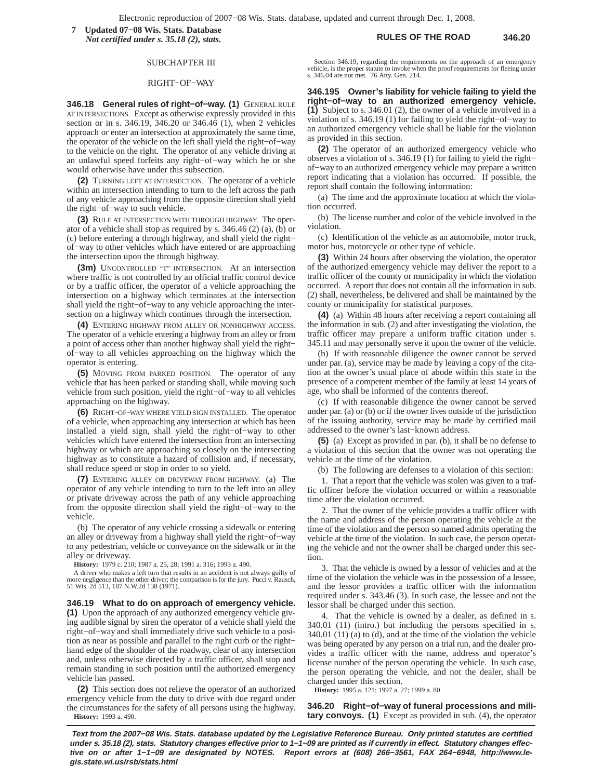**RULES OF THE ROAD 346.20 7 Updated 07−08 Wis. Stats. Database** *Not certified under s. 35.18 (2), stats.*

## SUBCHAPTER III

### RIGHT−OF−WAY

**346.18 General rules of right−of−way. (1)** GENERAL RULE AT INTERSECTIONS. Except as otherwise expressly provided in this section or in s. 346.19, 346.20 or 346.46 (1), when 2 vehicles approach or enter an intersection at approximately the same time, the operator of the vehicle on the left shall yield the right−of−way to the vehicle on the right. The operator of any vehicle driving at an unlawful speed forfeits any right−of−way which he or she would otherwise have under this subsection.

**(2)** TURNING LEFT AT INTERSECTION. The operator of a vehicle within an intersection intending to turn to the left across the path of any vehicle approaching from the opposite direction shall yield the right−of−way to such vehicle.

**(3)** RULE AT INTERSECTION WITH THROUGH HIGHWAY. The operator of a vehicle shall stop as required by s.  $346.46$  (2) (a), (b) or (c) before entering a through highway, and shall yield the right− of−way to other vehicles which have entered or are approaching the intersection upon the through highway.

**(3m)** UNCONTROLLED "T" INTERSECTION. At an intersection where traffic is not controlled by an official traffic control device or by a traffic officer, the operator of a vehicle approaching the intersection on a highway which terminates at the intersection shall yield the right−of−way to any vehicle approaching the intersection on a highway which continues through the intersection.

**(4)** ENTERING HIGHWAY FROM ALLEY OR NONHIGHWAY ACCESS. The operator of a vehicle entering a highway from an alley or from a point of access other than another highway shall yield the right− of−way to all vehicles approaching on the highway which the operator is entering.

**(5)** MOVING FROM PARKED POSITION. The operator of any vehicle that has been parked or standing shall, while moving such vehicle from such position, yield the right−of−way to all vehicles approaching on the highway.

**(6)** RIGHT−OF−WAY WHERE YIELD SIGN INSTALLED. The operator of a vehicle, when approaching any intersection at which has been installed a yield sign, shall yield the right−of−way to other vehicles which have entered the intersection from an intersecting highway or which are approaching so closely on the intersecting highway as to constitute a hazard of collision and, if necessary, shall reduce speed or stop in order to so yield.

**(7)** ENTERING ALLEY OR DRIVEWAY FROM HIGHWAY. (a) The operator of any vehicle intending to turn to the left into an alley or private driveway across the path of any vehicle approaching from the opposite direction shall yield the right−of−way to the vehicle.

(b) The operator of any vehicle crossing a sidewalk or entering an alley or driveway from a highway shall yield the right−of−way to any pedestrian, vehicle or conveyance on the sidewalk or in the alley or driveway.

**History:** 1979 c. 210; 1987 a. 25, 28; 1991 a. 316; 1993 a. 490.

A driver who makes a left turn that results in an accident is not always guilty of more negligence than the other driver; the comparison is for the jury. Pucci v. Rausch, 51 Wis. 2d 513, 187 N.W.2d 138 (1971).

**346.19 What to do on approach of emergency vehicle. (1)** Upon the approach of any authorized emergency vehicle giving audible signal by siren the operator of a vehicle shall yield the right−of−way and shall immediately drive such vehicle to a position as near as possible and parallel to the right curb or the right− hand edge of the shoulder of the roadway, clear of any intersection and, unless otherwise directed by a traffic officer, shall stop and remain standing in such position until the authorized emergency vehicle has passed.

**(2)** This section does not relieve the operator of an authorized emergency vehicle from the duty to drive with due regard under the circumstances for the safety of all persons using the highway. **History:** 1993 a. 490.

Section 346.19, regarding the requirements on the approach of an emergency vehicle, is the proper statute to invoke when the proof requirements for fleeing under s. 346.04 are not met. 76 Atty. Gen. 214.

**346.195 Owner's liability for vehicle failing to yield the right−of−way to an authorized emergency vehicle. (1)** Subject to s. 346.01 (2), the owner of a vehicle involved in a violation of s. 346.19 (1) for failing to yield the right−of−way to an authorized emergency vehicle shall be liable for the violation as provided in this section.

**(2)** The operator of an authorized emergency vehicle who observes a violation of s. 346.19 (1) for failing to yield the right− of−way to an authorized emergency vehicle may prepare a written report indicating that a violation has occurred. If possible, the report shall contain the following information:

(a) The time and the approximate location at which the violation occurred.

(b) The license number and color of the vehicle involved in the violation.

(c) Identification of the vehicle as an automobile, motor truck, motor bus, motorcycle or other type of vehicle.

**(3)** Within 24 hours after observing the violation, the operator of the authorized emergency vehicle may deliver the report to a traffic officer of the county or municipality in which the violation occurred. A report that does not contain all the information in sub. (2) shall, nevertheless, be delivered and shall be maintained by the county or municipality for statistical purposes.

**(4)** (a) Within 48 hours after receiving a report containing all the information in sub. (2) and after investigating the violation, the traffic officer may prepare a uniform traffic citation under s. 345.11 and may personally serve it upon the owner of the vehicle.

(b) If with reasonable diligence the owner cannot be served under par. (a), service may be made by leaving a copy of the citation at the owner's usual place of abode within this state in the presence of a competent member of the family at least 14 years of age, who shall be informed of the contents thereof.

(c) If with reasonable diligence the owner cannot be served under par. (a) or (b) or if the owner lives outside of the jurisdiction of the issuing authority, service may be made by certified mail addressed to the owner's last−known address.

**(5)** (a) Except as provided in par. (b), it shall be no defense to a violation of this section that the owner was not operating the vehicle at the time of the violation.

(b) The following are defenses to a violation of this section:

1. That a report that the vehicle was stolen was given to a traffic officer before the violation occurred or within a reasonable time after the violation occurred.

2. That the owner of the vehicle provides a traffic officer with the name and address of the person operating the vehicle at the time of the violation and the person so named admits operating the vehicle at the time of the violation. In such case, the person operating the vehicle and not the owner shall be charged under this section.

3. That the vehicle is owned by a lessor of vehicles and at the time of the violation the vehicle was in the possession of a lessee, and the lessor provides a traffic officer with the information required under s. 343.46 (3). In such case, the lessee and not the lessor shall be charged under this section.

4. That the vehicle is owned by a dealer, as defined in s. 340.01 (11) (intro.) but including the persons specified in s. 340.01 (11) (a) to (d), and at the time of the violation the vehicle was being operated by any person on a trial run, and the dealer provides a traffic officer with the name, address and operator's license number of the person operating the vehicle. In such case, the person operating the vehicle, and not the dealer, shall be charged under this section.

**History:** 1995 a. 121; 1997 a. 27; 1999 a. 80.

**346.20 Right−of−way of funeral processions and military convoys. (1)** Except as provided in sub. (4), the operator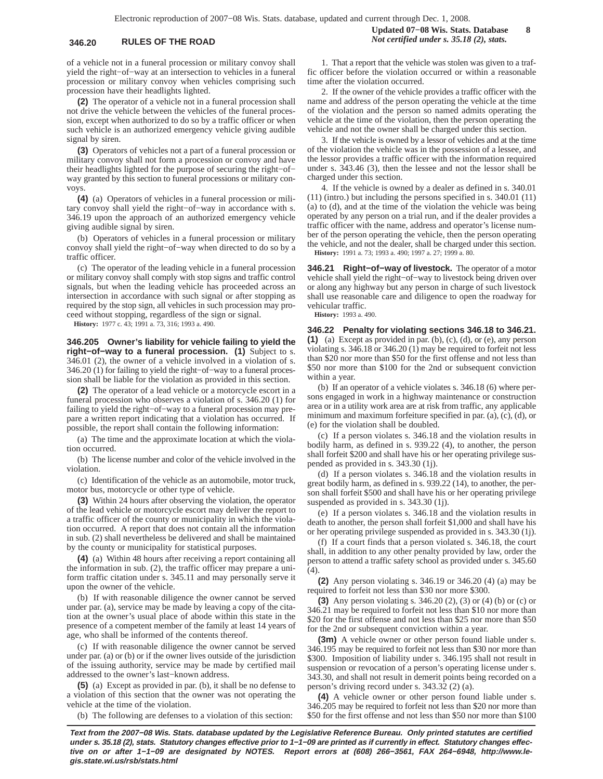of a vehicle not in a funeral procession or military convoy shall yield the right−of−way at an intersection to vehicles in a funeral procession or military convoy when vehicles comprising such procession have their headlights lighted.

**(2)** The operator of a vehicle not in a funeral procession shall not drive the vehicle between the vehicles of the funeral procession, except when authorized to do so by a traffic officer or when such vehicle is an authorized emergency vehicle giving audible signal by siren.

**(3)** Operators of vehicles not a part of a funeral procession or military convoy shall not form a procession or convoy and have their headlights lighted for the purpose of securing the right−of− way granted by this section to funeral processions or military convoys.

**(4)** (a) Operators of vehicles in a funeral procession or military convoy shall yield the right−of−way in accordance with s. 346.19 upon the approach of an authorized emergency vehicle giving audible signal by siren.

(b) Operators of vehicles in a funeral procession or military convoy shall yield the right−of−way when directed to do so by a traffic officer.

(c) The operator of the leading vehicle in a funeral procession or military convoy shall comply with stop signs and traffic control signals, but when the leading vehicle has proceeded across an intersection in accordance with such signal or after stopping as required by the stop sign, all vehicles in such procession may proceed without stopping, regardless of the sign or signal.

**History:** 1977 c. 43; 1991 a. 73, 316; 1993 a. 490.

**346.205 Owner's liability for vehicle failing to yield the right−of−way to a funeral procession. (1)** Subject to s. 346.01 (2), the owner of a vehicle involved in a violation of s. 346.20 (1) for failing to yield the right−of−way to a funeral procession shall be liable for the violation as provided in this section.

**(2)** The operator of a lead vehicle or a motorcycle escort in a funeral procession who observes a violation of s. 346.20 (1) for failing to yield the right−of−way to a funeral procession may prepare a written report indicating that a violation has occurred. If possible, the report shall contain the following information:

(a) The time and the approximate location at which the violation occurred.

(b) The license number and color of the vehicle involved in the violation.

(c) Identification of the vehicle as an automobile, motor truck, motor bus, motorcycle or other type of vehicle.

**(3)** Within 24 hours after observing the violation, the operator of the lead vehicle or motorcycle escort may deliver the report to a traffic officer of the county or municipality in which the violation occurred. A report that does not contain all the information in sub. (2) shall nevertheless be delivered and shall be maintained by the county or municipality for statistical purposes.

**(4)** (a) Within 48 hours after receiving a report containing all the information in sub. (2), the traffic officer may prepare a uniform traffic citation under s. 345.11 and may personally serve it upon the owner of the vehicle.

(b) If with reasonable diligence the owner cannot be served under par. (a), service may be made by leaving a copy of the citation at the owner's usual place of abode within this state in the presence of a competent member of the family at least 14 years of age, who shall be informed of the contents thereof.

(c) If with reasonable diligence the owner cannot be served under par. (a) or (b) or if the owner lives outside of the jurisdiction of the issuing authority, service may be made by certified mail addressed to the owner's last−known address.

**(5)** (a) Except as provided in par. (b), it shall be no defense to a violation of this section that the owner was not operating the vehicle at the time of the violation.

(b) The following are defenses to a violation of this section:

1. That a report that the vehicle was stolen was given to a traffic officer before the violation occurred or within a reasonable time after the violation occurred.

2. If the owner of the vehicle provides a traffic officer with the name and address of the person operating the vehicle at the time of the violation and the person so named admits operating the vehicle at the time of the violation, then the person operating the vehicle and not the owner shall be charged under this section.

3. If the vehicle is owned by a lessor of vehicles and at the time of the violation the vehicle was in the possession of a lessee, and the lessor provides a traffic officer with the information required under s. 343.46 (3), then the lessee and not the lessor shall be charged under this section.

4. If the vehicle is owned by a dealer as defined in s. 340.01 (11) (intro.) but including the persons specified in s. 340.01 (11) (a) to (d), and at the time of the violation the vehicle was being operated by any person on a trial run, and if the dealer provides a traffic officer with the name, address and operator's license number of the person operating the vehicle, then the person operating the vehicle, and not the dealer, shall be charged under this section. **History:** 1991 a. 73; 1993 a. 490; 1997 a. 27; 1999 a. 80.

**346.21 Right−of−way of livestock.** The operator of a motor vehicle shall yield the right−of−way to livestock being driven over or along any highway but any person in charge of such livestock shall use reasonable care and diligence to open the roadway for

vehicular traffic. **History:** 1993 a. 490.

**346.22 Penalty for violating sections 346.18 to 346.21. (1)** (a) Except as provided in par. (b), (c), (d), or (e), any person violating s. 346.18 or 346.20 (1) may be required to forfeit not less than \$20 nor more than \$50 for the first offense and not less than \$50 nor more than \$100 for the 2nd or subsequent conviction within a year.

(b) If an operator of a vehicle violates s. 346.18 (6) where persons engaged in work in a highway maintenance or construction area or in a utility work area are at risk from traffic, any applicable minimum and maximum forfeiture specified in par. (a), (c), (d), or (e) for the violation shall be doubled.

(c) If a person violates s. 346.18 and the violation results in bodily harm, as defined in s. 939.22 (4), to another, the person shall forfeit \$200 and shall have his or her operating privilege suspended as provided in s. 343.30 (1j).

(d) If a person violates s. 346.18 and the violation results in great bodily harm, as defined in s. 939.22 (14), to another, the person shall forfeit \$500 and shall have his or her operating privilege suspended as provided in s. 343.30 (1j).

(e) If a person violates s. 346.18 and the violation results in death to another, the person shall forfeit \$1,000 and shall have his or her operating privilege suspended as provided in s. 343.30 (1j).

(f) If a court finds that a person violated s. 346.18, the court shall, in addition to any other penalty provided by law, order the person to attend a traffic safety school as provided under s. 345.60  $(4)$ 

**(2)** Any person violating s. 346.19 or 346.20 (4) (a) may be required to forfeit not less than \$30 nor more \$300.

**(3)** Any person violating s. 346.20 (2), (3) or (4) (b) or (c) or 346.21 may be required to forfeit not less than \$10 nor more than \$20 for the first offense and not less than \$25 nor more than \$50 for the 2nd or subsequent conviction within a year.

**(3m)** A vehicle owner or other person found liable under s. 346.195 may be required to forfeit not less than \$30 nor more than \$300. Imposition of liability under s. 346.195 shall not result in suspension or revocation of a person's operating license under s. 343.30, and shall not result in demerit points being recorded on a person's driving record under s. 343.32 (2) (a).

**(4)** A vehicle owner or other person found liable under s. 346.205 may be required to forfeit not less than \$20 nor more than \$50 for the first offense and not less than \$50 nor more than \$100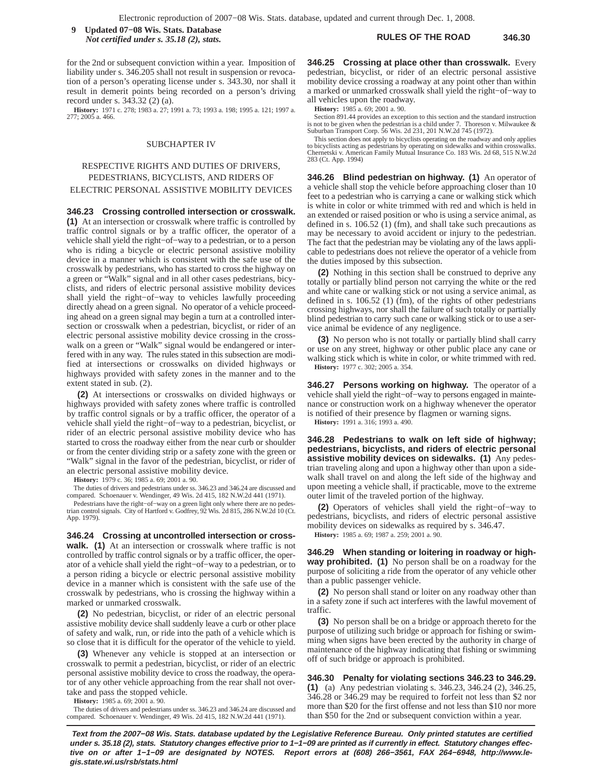**RULES OF THE ROAD 346.30 9 Updated 07−08 Wis. Stats. Database** *Not certified under s. 35.18 (2), stats.*

for the 2nd or subsequent conviction within a year. Imposition of liability under s. 346.205 shall not result in suspension or revocation of a person's operating license under s. 343.30, nor shall it result in demerit points being recorded on a person's driving record under s. 343.32 (2) (a).

**History:** 1971 c. 278; 1983 a. 27; 1991 a. 73; 1993 a. 198; 1995 a. 121; 1997 a. 277; 2005 a. 466.

### SUBCHAPTER IV

# RESPECTIVE RIGHTS AND DUTIES OF DRIVERS, PEDESTRIANS, BICYCLISTS, AND RIDERS OF ELECTRIC PERSONAL ASSISTIVE MOBILITY DEVICES

**346.23 Crossing controlled intersection or crosswalk. (1)** At an intersection or crosswalk where traffic is controlled by traffic control signals or by a traffic officer, the operator of a vehicle shall yield the right−of−way to a pedestrian, or to a person who is riding a bicycle or electric personal assistive mobility device in a manner which is consistent with the safe use of the crosswalk by pedestrians, who has started to cross the highway on a green or "Walk" signal and in all other cases pedestrians, bicyclists, and riders of electric personal assistive mobility devices shall yield the right−of−way to vehicles lawfully proceeding directly ahead on a green signal. No operator of a vehicle proceeding ahead on a green signal may begin a turn at a controlled intersection or crosswalk when a pedestrian, bicyclist, or rider of an electric personal assistive mobility device crossing in the crosswalk on a green or "Walk" signal would be endangered or interfered with in any way. The rules stated in this subsection are modified at intersections or crosswalks on divided highways or highways provided with safety zones in the manner and to the extent stated in sub. (2).

**(2)** At intersections or crosswalks on divided highways or highways provided with safety zones where traffic is controlled by traffic control signals or by a traffic officer, the operator of a vehicle shall yield the right−of−way to a pedestrian, bicyclist, or rider of an electric personal assistive mobility device who has started to cross the roadway either from the near curb or shoulder or from the center dividing strip or a safety zone with the green or "Walk" signal in the favor of the pedestrian, bicyclist, or rider of an electric personal assistive mobility device.

**History:** 1979 c. 36; 1985 a. 69; 2001 a. 90.

The duties of drivers and pedestrians under ss. 346.23 and 346.24 are discussed and compared. Schoenauer v. Wendinger, 49 Wis. 2d 415, 182 N.W.2d 441 (1971).

Pedestrians have the right−of−way on a green light only where there are no pedestrian control signals. City of Hartford v. Godfrey, 92 Wis. 2d 815, 286 N.W.2d 10 (Ct. App. 1979).

**346.24 Crossing at uncontrolled intersection or crosswalk. (1)** At an intersection or crosswalk where traffic is not controlled by traffic control signals or by a traffic officer, the operator of a vehicle shall yield the right−of−way to a pedestrian, or to a person riding a bicycle or electric personal assistive mobility device in a manner which is consistent with the safe use of the crosswalk by pedestrians, who is crossing the highway within a marked or unmarked crosswalk.

**(2)** No pedestrian, bicyclist, or rider of an electric personal assistive mobility device shall suddenly leave a curb or other place of safety and walk, run, or ride into the path of a vehicle which is so close that it is difficult for the operator of the vehicle to yield.

**(3)** Whenever any vehicle is stopped at an intersection or crosswalk to permit a pedestrian, bicyclist, or rider of an electric personal assistive mobility device to cross the roadway, the operator of any other vehicle approaching from the rear shall not overtake and pass the stopped vehicle.

**History:** 1985 a. 69; 2001 a. 90.

The duties of drivers and pedestrians under ss. 346.23 and 346.24 are discussed and compared. Schoenauer v. Wendinger, 49 Wis. 2d 415, 182 N.W.2d 441 (1971).

**346.25 Crossing at place other than crosswalk.** Every pedestrian, bicyclist, or rider of an electric personal assistive mobility device crossing a roadway at any point other than within a marked or unmarked crosswalk shall yield the right−of−way to all vehicles upon the roadway.

**History:** 1985 a. 69; 2001 a. 90.

Section 891.44 provides an exception to this section and the standard instruction is not to be given when the pedestrian is a child under 7. Thoreson v. Milwaukee & Suburban Transport Corp. 56 Wis. 2d 231, 201 N.W.2d 745 (1972).

This section does not apply to bicyclists operating on the roadway and only applies to bicyclists acting as pedestrians by operating on sidewalks and within crosswalks. Chernetski v. American Family Mutual Insurance Co. 183 Wis. 2d 68, 515 N.W.2d 283 (Ct. App. 1994)

**346.26 Blind pedestrian on highway. (1)** An operator of a vehicle shall stop the vehicle before approaching closer than 10 feet to a pedestrian who is carrying a cane or walking stick which is white in color or white trimmed with red and which is held in an extended or raised position or who is using a service animal, as defined in s. 106.52 (1) (fm), and shall take such precautions as may be necessary to avoid accident or injury to the pedestrian. The fact that the pedestrian may be violating any of the laws applicable to pedestrians does not relieve the operator of a vehicle from the duties imposed by this subsection.

**(2)** Nothing in this section shall be construed to deprive any totally or partially blind person not carrying the white or the red and white cane or walking stick or not using a service animal, as defined in s. 106.52 (1) (fm), of the rights of other pedestrians crossing highways, nor shall the failure of such totally or partially blind pedestrian to carry such cane or walking stick or to use a service animal be evidence of any negligence.

**(3)** No person who is not totally or partially blind shall carry or use on any street, highway or other public place any cane or walking stick which is white in color, or white trimmed with red. **History:** 1977 c. 302; 2005 a. 354.

**346.27 Persons working on highway.** The operator of a vehicle shall yield the right−of−way to persons engaged in maintenance or construction work on a highway whenever the operator is notified of their presence by flagmen or warning signs. **History:** 1991 a. 316; 1993 a. 490.

**346.28 Pedestrians to walk on left side of highway; pedestrians, bicyclists, and riders of electric personal assistive mobility devices on sidewalks. (1)** Any pedestrian traveling along and upon a highway other than upon a sidewalk shall travel on and along the left side of the highway and upon meeting a vehicle shall, if practicable, move to the extreme outer limit of the traveled portion of the highway.

**(2)** Operators of vehicles shall yield the right−of−way to pedestrians, bicyclists, and riders of electric personal assistive mobility devices on sidewalks as required by s. 346.47.

**History:** 1985 a. 69; 1987 a. 259; 2001 a. 90.

**346.29 When standing or loitering in roadway or highway prohibited. (1)** No person shall be on a roadway for the purpose of soliciting a ride from the operator of any vehicle other than a public passenger vehicle.

**(2)** No person shall stand or loiter on any roadway other than in a safety zone if such act interferes with the lawful movement of traffic.

**(3)** No person shall be on a bridge or approach thereto for the purpose of utilizing such bridge or approach for fishing or swimming when signs have been erected by the authority in charge of maintenance of the highway indicating that fishing or swimming off of such bridge or approach is prohibited.

**346.30 Penalty for violating sections 346.23 to 346.29. (1)** (a) Any pedestrian violating s. 346.23, 346.24 (2), 346.25, 346.28 or 346.29 may be required to forfeit not less than \$2 nor more than \$20 for the first offense and not less than \$10 nor more than \$50 for the 2nd or subsequent conviction within a year.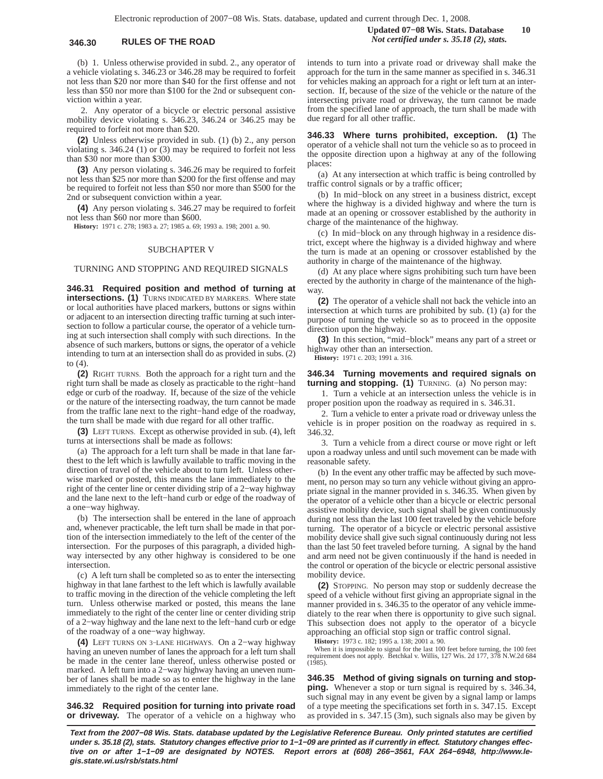(b) 1. Unless otherwise provided in subd. 2., any operator of a vehicle violating s. 346.23 or 346.28 may be required to forfeit not less than \$20 nor more than \$40 for the first offense and not less than \$50 nor more than \$100 for the 2nd or subsequent conviction within a year.

2. Any operator of a bicycle or electric personal assistive mobility device violating s. 346.23, 346.24 or 346.25 may be required to forfeit not more than \$20.

**(2)** Unless otherwise provided in sub. (1) (b) 2., any person violating s. 346.24 (1) or (3) may be required to forfeit not less than \$30 nor more than \$300.

**(3)** Any person violating s. 346.26 may be required to forfeit not less than \$25 nor more than \$200 for the first offense and may be required to forfeit not less than \$50 nor more than \$500 for the 2nd or subsequent conviction within a year.

**(4)** Any person violating s. 346.27 may be required to forfeit not less than \$60 nor more than \$600.

**History:** 1971 c. 278; 1983 a. 27; 1985 a. 69; 1993 a. 198; 2001 a. 90.

### SUBCHAPTER V

## TURNING AND STOPPING AND REQUIRED SIGNALS

**346.31 Required position and method of turning at intersections. (1)** TURNS INDICATED BY MARKERS. Where state or local authorities have placed markers, buttons or signs within or adjacent to an intersection directing traffic turning at such intersection to follow a particular course, the operator of a vehicle turning at such intersection shall comply with such directions. In the absence of such markers, buttons or signs, the operator of a vehicle intending to turn at an intersection shall do as provided in subs. (2) to (4).

**(2)** RIGHT TURNS. Both the approach for a right turn and the right turn shall be made as closely as practicable to the right−hand edge or curb of the roadway. If, because of the size of the vehicle or the nature of the intersecting roadway, the turn cannot be made from the traffic lane next to the right−hand edge of the roadway, the turn shall be made with due regard for all other traffic.

**(3)** LEFT TURNS. Except as otherwise provided in sub. (4), left turns at intersections shall be made as follows:

(a) The approach for a left turn shall be made in that lane farthest to the left which is lawfully available to traffic moving in the direction of travel of the vehicle about to turn left. Unless otherwise marked or posted, this means the lane immediately to the right of the center line or center dividing strip of a 2−way highway and the lane next to the left−hand curb or edge of the roadway of a one−way highway.

(b) The intersection shall be entered in the lane of approach and, whenever practicable, the left turn shall be made in that portion of the intersection immediately to the left of the center of the intersection. For the purposes of this paragraph, a divided highway intersected by any other highway is considered to be one intersection.

(c) A left turn shall be completed so as to enter the intersecting highway in that lane farthest to the left which is lawfully available to traffic moving in the direction of the vehicle completing the left turn. Unless otherwise marked or posted, this means the lane immediately to the right of the center line or center dividing strip of a 2−way highway and the lane next to the left−hand curb or edge of the roadway of a one−way highway.

**(4)** LEFT TURNS ON 3−LANE HIGHWAYS. On a 2−way highway having an uneven number of lanes the approach for a left turn shall be made in the center lane thereof, unless otherwise posted or marked. A left turn into a 2−way highway having an uneven number of lanes shall be made so as to enter the highway in the lane immediately to the right of the center lane.

**346.32 Required position for turning into private road or driveway.** The operator of a vehicle on a highway who

**Updated 07−08 Wis. Stats. Database 10 346.30 RULES OF THE ROAD** *Not certified under s. 35.18 (2), stats.*

> intends to turn into a private road or driveway shall make the approach for the turn in the same manner as specified in s. 346.31 for vehicles making an approach for a right or left turn at an intersection. If, because of the size of the vehicle or the nature of the intersecting private road or driveway, the turn cannot be made from the specified lane of approach, the turn shall be made with due regard for all other traffic.

> **346.33 Where turns prohibited, exception. (1)** The operator of a vehicle shall not turn the vehicle so as to proceed in the opposite direction upon a highway at any of the following places:

> (a) At any intersection at which traffic is being controlled by traffic control signals or by a traffic officer;

> (b) In mid−block on any street in a business district, except where the highway is a divided highway and where the turn is made at an opening or crossover established by the authority in charge of the maintenance of the highway.

> (c) In mid−block on any through highway in a residence district, except where the highway is a divided highway and where the turn is made at an opening or crossover established by the authority in charge of the maintenance of the highway.

> (d) At any place where signs prohibiting such turn have been erected by the authority in charge of the maintenance of the highway

> **(2)** The operator of a vehicle shall not back the vehicle into an intersection at which turns are prohibited by sub. (1) (a) for the purpose of turning the vehicle so as to proceed in the opposite direction upon the highway.

> **(3)** In this section, "mid−block" means any part of a street or highway other than an intersection.

**History:** 1971 c. 203; 1991 a. 316.

## **346.34 Turning movements and required signals on turning and stopping. (1)** TURNING. (a) No person may:

1. Turn a vehicle at an intersection unless the vehicle is in proper position upon the roadway as required in s. 346.31.

2. Turn a vehicle to enter a private road or driveway unless the vehicle is in proper position on the roadway as required in s. 346.32.

3. Turn a vehicle from a direct course or move right or left upon a roadway unless and until such movement can be made with reasonable safety.

(b) In the event any other traffic may be affected by such movement, no person may so turn any vehicle without giving an appropriate signal in the manner provided in s. 346.35. When given by the operator of a vehicle other than a bicycle or electric personal assistive mobility device, such signal shall be given continuously during not less than the last 100 feet traveled by the vehicle before turning. The operator of a bicycle or electric personal assistive mobility device shall give such signal continuously during not less than the last 50 feet traveled before turning. A signal by the hand and arm need not be given continuously if the hand is needed in the control or operation of the bicycle or electric personal assistive mobility device.

**(2)** STOPPING. No person may stop or suddenly decrease the speed of a vehicle without first giving an appropriate signal in the manner provided in s. 346.35 to the operator of any vehicle immediately to the rear when there is opportunity to give such signal. This subsection does not apply to the operator of a bicycle approaching an official stop sign or traffic control signal.

**History:** 1973 c. 182; 1995 a. 138; 2001 a. 90.

When it is impossible to signal for the last 100 feet before turning, the 100 feet requirement does not apply. Betchkal v. Willis, 127 Wis. 2d 177, 378 N.W.2d 684 (1985).

**346.35 Method of giving signals on turning and stopping.** Whenever a stop or turn signal is required by s. 346.34, such signal may in any event be given by a signal lamp or lamps of a type meeting the specifications set forth in s. 347.15. Except as provided in s. 347.15 (3m), such signals also may be given by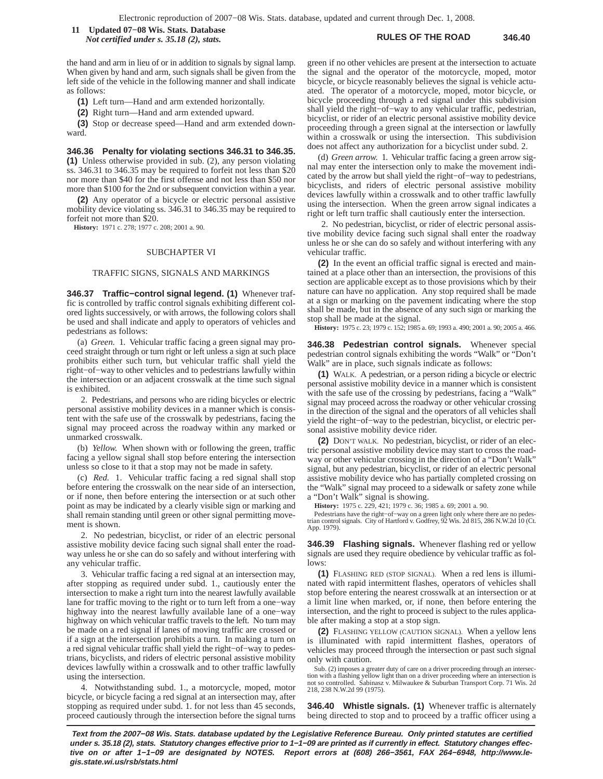**RULES OF THE ROAD 346.40 11 Updated 07−08 Wis. Stats. Database** *Not certified under s. 35.18 (2), stats.*

the hand and arm in lieu of or in addition to signals by signal lamp. When given by hand and arm, such signals shall be given from the left side of the vehicle in the following manner and shall indicate as follows:

**(1)** Left turn—Hand and arm extended horizontally.

**(2)** Right turn—Hand and arm extended upward.

**(3)** Stop or decrease speed—Hand and arm extended downward.

**346.36 Penalty for violating sections 346.31 to 346.35. (1)** Unless otherwise provided in sub. (2), any person violating ss. 346.31 to 346.35 may be required to forfeit not less than \$20 nor more than \$40 for the first offense and not less than \$50 nor more than \$100 for the 2nd or subsequent conviction within a year.

**(2)** Any operator of a bicycle or electric personal assistive mobility device violating ss. 346.31 to 346.35 may be required to forfeit not more than \$20.

**History:** 1971 c. 278; 1977 c. 208; 2001 a. 90.

### SUBCHAPTER VI

### TRAFFIC SIGNS, SIGNALS AND MARKINGS

**346.37 Traffic−control signal legend. (1)** Whenever traffic is controlled by traffic control signals exhibiting different colored lights successively, or with arrows, the following colors shall be used and shall indicate and apply to operators of vehicles and pedestrians as follows:

(a) *Green.* 1. Vehicular traffic facing a green signal may proceed straight through or turn right or left unless a sign at such place prohibits either such turn, but vehicular traffic shall yield the right−of−way to other vehicles and to pedestrians lawfully within the intersection or an adjacent crosswalk at the time such signal is exhibited.

2. Pedestrians, and persons who are riding bicycles or electric personal assistive mobility devices in a manner which is consistent with the safe use of the crosswalk by pedestrians, facing the signal may proceed across the roadway within any marked or unmarked crosswalk.

(b) *Yellow.* When shown with or following the green, traffic facing a yellow signal shall stop before entering the intersection unless so close to it that a stop may not be made in safety.

(c) *Red.* 1. Vehicular traffic facing a red signal shall stop before entering the crosswalk on the near side of an intersection, or if none, then before entering the intersection or at such other point as may be indicated by a clearly visible sign or marking and shall remain standing until green or other signal permitting movement is shown.

2. No pedestrian, bicyclist, or rider of an electric personal assistive mobility device facing such signal shall enter the roadway unless he or she can do so safely and without interfering with any vehicular traffic.

3. Vehicular traffic facing a red signal at an intersection may, after stopping as required under subd. 1., cautiously enter the intersection to make a right turn into the nearest lawfully available lane for traffic moving to the right or to turn left from a one−way highway into the nearest lawfully available lane of a one−way highway on which vehicular traffic travels to the left. No turn may be made on a red signal if lanes of moving traffic are crossed or if a sign at the intersection prohibits a turn. In making a turn on a red signal vehicular traffic shall yield the right−of−way to pedestrians, bicyclists, and riders of electric personal assistive mobility devices lawfully within a crosswalk and to other traffic lawfully using the intersection.

4. Notwithstanding subd. 1., a motorcycle, moped, motor bicycle, or bicycle facing a red signal at an intersection may, after stopping as required under subd. 1. for not less than 45 seconds, proceed cautiously through the intersection before the signal turns

green if no other vehicles are present at the intersection to actuate the signal and the operator of the motorcycle, moped, motor bicycle, or bicycle reasonably believes the signal is vehicle actuated. The operator of a motorcycle, moped, motor bicycle, or bicycle proceeding through a red signal under this subdivision shall yield the right−of−way to any vehicular traffic, pedestrian, bicyclist, or rider of an electric personal assistive mobility device proceeding through a green signal at the intersection or lawfully within a crosswalk or using the intersection. This subdivision does not affect any authorization for a bicyclist under subd. 2.

(d) *Green arrow.* 1. Vehicular traffic facing a green arrow signal may enter the intersection only to make the movement indicated by the arrow but shall yield the right−of−way to pedestrians, bicyclists, and riders of electric personal assistive mobility devices lawfully within a crosswalk and to other traffic lawfully using the intersection. When the green arrow signal indicates a right or left turn traffic shall cautiously enter the intersection.

2. No pedestrian, bicyclist, or rider of electric personal assistive mobility device facing such signal shall enter the roadway unless he or she can do so safely and without interfering with any vehicular traffic.

**(2)** In the event an official traffic signal is erected and maintained at a place other than an intersection, the provisions of this section are applicable except as to those provisions which by their nature can have no application. Any stop required shall be made at a sign or marking on the pavement indicating where the stop shall be made, but in the absence of any such sign or marking the stop shall be made at the signal.

**History:** 1975 c. 23; 1979 c. 152; 1985 a. 69; 1993 a. 490; 2001 a. 90; 2005 a. 466.

**346.38 Pedestrian control signals.** Whenever special pedestrian control signals exhibiting the words "Walk" or "Don't Walk" are in place, such signals indicate as follows:

**(1)** WALK. A pedestrian, or a person riding a bicycle or electric personal assistive mobility device in a manner which is consistent with the safe use of the crossing by pedestrians, facing a "Walk" signal may proceed across the roadway or other vehicular crossing in the direction of the signal and the operators of all vehicles shall yield the right−of−way to the pedestrian, bicyclist, or electric personal assistive mobility device rider.

**(2)** DON'T WALK. No pedestrian, bicyclist, or rider of an electric personal assistive mobility device may start to cross the roadway or other vehicular crossing in the direction of a "Don't Walk" signal, but any pedestrian, bicyclist, or rider of an electric personal assistive mobility device who has partially completed crossing on the "Walk" signal may proceed to a sidewalk or safety zone while a "Don't Walk" signal is showing.

**History:** 1975 c. 229, 421; 1979 c. 36; 1985 a. 69; 2001 a. 90.

Pedestrians have the right−of−way on a green light only where there are no pedes-trian control signals. City of Hartford v. Godfrey, 92 Wis. 2d 815, 286 N.W.2d 10 (Ct. App. 1979).

**346.39 Flashing signals.** Whenever flashing red or yellow signals are used they require obedience by vehicular traffic as follows:

**(1)** FLASHING RED (STOP SIGNAL). When a red lens is illuminated with rapid intermittent flashes, operators of vehicles shall stop before entering the nearest crosswalk at an intersection or at a limit line when marked, or, if none, then before entering the intersection, and the right to proceed is subject to the rules applicable after making a stop at a stop sign.

**(2)** FLASHING YELLOW (CAUTION SIGNAL). When a yellow lens is illuminated with rapid intermittent flashes, operators of vehicles may proceed through the intersection or past such signal only with caution.

Sub. (2) imposes a greater duty of care on a driver proceeding through an intersection with a flashing yellow light than on a driver proceeding where an intersection is not so controlled. Sabinasz v. Milwaukee & Suburban Transport Corp. 71 Wis. 2d 218, 238 N.W.2d 99 (1975).

**346.40 Whistle signals. (1)** Whenever traffic is alternately being directed to stop and to proceed by a traffic officer using a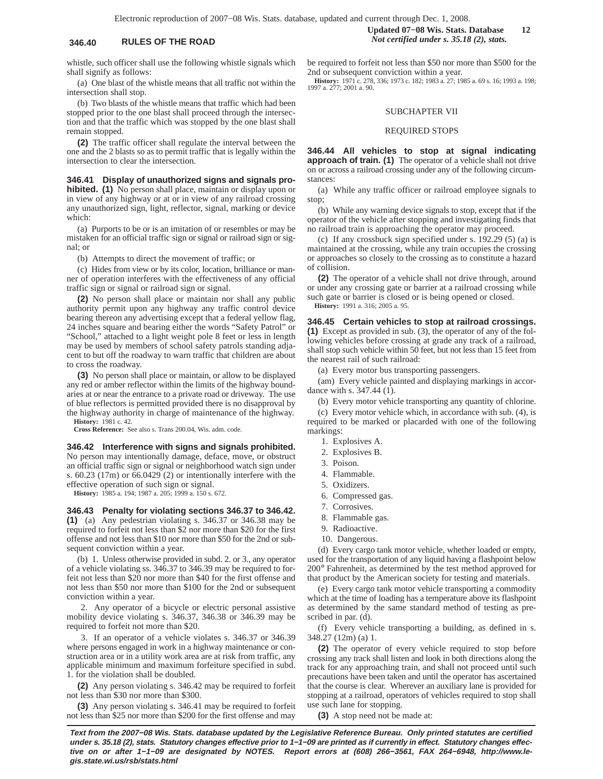whistle, such officer shall use the following whistle signals which shall signify as follows:

(a) One blast of the whistle means that all traffic not within the intersection shall stop.

(b) Two blasts of the whistle means that traffic which had been stopped prior to the one blast shall proceed through the intersection and that the traffic which was stopped by the one blast shall remain stopped.

**(2)** The traffic officer shall regulate the interval between the one and the 2 blasts so as to permit traffic that is legally within the intersection to clear the intersection.

**346.41 Display of unauthorized signs and signals prohibited. (1)** No person shall place, maintain or display upon or in view of any highway or at or in view of any railroad crossing any unauthorized sign, light, reflector, signal, marking or device which:

(a) Purports to be or is an imitation of or resembles or may be mistaken for an official traffic sign or signal or railroad sign or signal; or

(b) Attempts to direct the movement of traffic; or

(c) Hides from view or by its color, location, brilliance or manner of operation interferes with the effectiveness of any official traffic sign or signal or railroad sign or signal.

**(2)** No person shall place or maintain nor shall any public authority permit upon any highway any traffic control device bearing thereon any advertising except that a federal yellow flag, 24 inches square and bearing either the words "Safety Patrol" or "School," attached to a light weight pole 8 feet or less in length may be used by members of school safety patrols standing adjacent to but off the roadway to warn traffic that children are about to cross the roadway.

**(3)** No person shall place or maintain, or allow to be displayed any red or amber reflector within the limits of the highway boundaries at or near the entrance to a private road or driveway. The use of blue reflectors is permitted provided there is no disapproval by the highway authority in charge of maintenance of the highway. **History:** 1981 c. 42.

**Cross Reference:** See also s. Trans 200.04, Wis. adm. code.

### **346.42 Interference with signs and signals prohibited.**

No person may intentionally damage, deface, move, or obstruct an official traffic sign or signal or neighborhood watch sign under s. 60.23 (17m) or 66.0429 (2) or intentionally interfere with the effective operation of such sign or signal.

**History:** 1985 a. 194; 1987 a. 205; 1999 a. 150 s. 672.

**346.43 Penalty for violating sections 346.37 to 346.42. (1)** (a) Any pedestrian violating s. 346.37 or 346.38 may be required to forfeit not less than \$2 nor more than \$20 for the first offense and not less than \$10 nor more than \$50 for the 2nd or subsequent conviction within a year.

(b) 1. Unless otherwise provided in subd. 2. or 3., any operator of a vehicle violating ss. 346.37 to 346.39 may be required to forfeit not less than \$20 nor more than \$40 for the first offense and not less than \$50 nor more than \$100 for the 2nd or subsequent conviction within a year.

2. Any operator of a bicycle or electric personal assistive mobility device violating s. 346.37, 346.38 or 346.39 may be required to forfeit not more than \$20.

3. If an operator of a vehicle violates s. 346.37 or 346.39 where persons engaged in work in a highway maintenance or construction area or in a utility work area are at risk from traffic, any applicable minimum and maximum forfeiture specified in subd. 1. for the violation shall be doubled.

**(2)** Any person violating s. 346.42 may be required to forfeit not less than \$30 nor more than \$300.

**(3)** Any person violating s. 346.41 may be required to forfeit not less than \$25 nor more than \$200 for the first offense and may

## **Updated 07−08 Wis. Stats. Database 12 346.40 RULES OF THE ROAD** *Not certified under s. 35.18 (2), stats.*

be required to forfeit not less than \$50 nor more than \$500 for the 2nd or subsequent conviction within a year.

**History:** 1971 c. 278, 336; 1973 c. 182; 1983 a. 27; 1985 a. 69 s. 16; 1993 a. 198; 1997 a. 277; 2001 a. 90.

### SUBCHAPTER VII

### REQUIRED STOPS

**346.44 All vehicles to stop at signal indicating approach of train. (1)** The operator of a vehicle shall not drive on or across a railroad crossing under any of the following circumstances:

(a) While any traffic officer or railroad employee signals to stop;

(b) While any warning device signals to stop, except that if the operator of the vehicle after stopping and investigating finds that no railroad train is approaching the operator may proceed.

(c) If any crossbuck sign specified under s. 192.29 (5) (a) is maintained at the crossing, while any train occupies the crossing or approaches so closely to the crossing as to constitute a hazard of collision.

**(2)** The operator of a vehicle shall not drive through, around or under any crossing gate or barrier at a railroad crossing while such gate or barrier is closed or is being opened or closed. **History:** 1991 a. 316; 2005 a. 95.

**346.45 Certain vehicles to stop at railroad crossings. (1)** Except as provided in sub. (3), the operator of any of the following vehicles before crossing at grade any track of a railroad, shall stop such vehicle within 50 feet, but not less than 15 feet from the nearest rail of such railroad:

(a) Every motor bus transporting passengers.

(am) Every vehicle painted and displaying markings in accordance with s. 347.44 (1).

(b) Every motor vehicle transporting any quantity of chlorine.

(c) Every motor vehicle which, in accordance with sub. (4), is required to be marked or placarded with one of the following markings:

- 1. Explosives A.
- 2. Explosives B.
- 3. Poison.
- 4. Flammable.
- 5. Oxidizers.
- 6. Compressed gas.
- 7. Corrosives.
- 8. Flammable gas.
- 9. Radioactive.
- 
- 10. Dangerous.

(d) Every cargo tank motor vehicle, whether loaded or empty, used for the transportation of any liquid having a flashpoint below 200° Fahrenheit, as determined by the test method approved for that product by the American society for testing and materials.

(e) Every cargo tank motor vehicle transporting a commodity which at the time of loading has a temperature above its flashpoint as determined by the same standard method of testing as prescribed in par. (d).

(f) Every vehicle transporting a building, as defined in s. 348.27 (12m) (a) 1.

**(2)** The operator of every vehicle required to stop before crossing any track shall listen and look in both directions along the track for any approaching train, and shall not proceed until such precautions have been taken and until the operator has ascertained that the course is clear. Wherever an auxiliary lane is provided for stopping at a railroad, operators of vehicles required to stop shall use such lane for stopping.

**(3)** A stop need not be made at: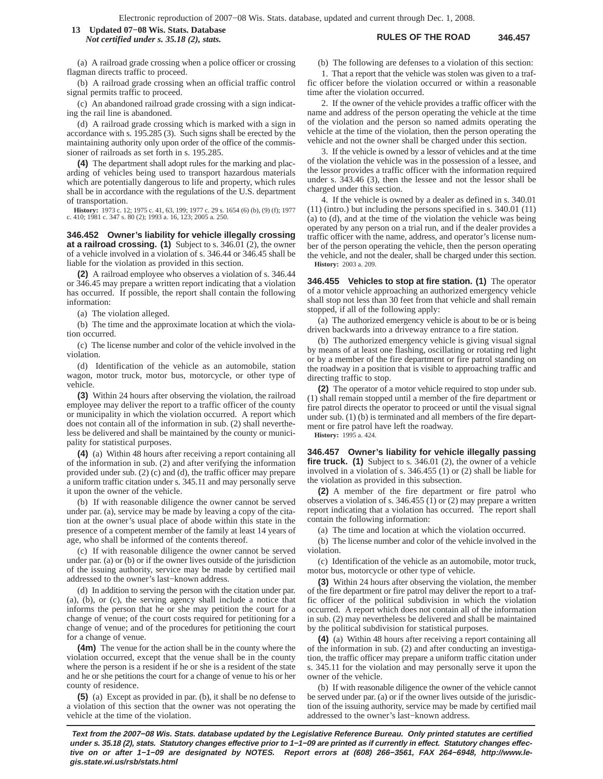### **RULES OF THE ROAD 346.457 13 Updated 07−08 Wis. Stats. Database** *Not certified under s. 35.18 (2), stats.*

(a) A railroad grade crossing when a police officer or crossing flagman directs traffic to proceed.

(b) A railroad grade crossing when an official traffic control signal permits traffic to proceed.

(c) An abandoned railroad grade crossing with a sign indicating the rail line is abandoned.

(d) A railroad grade crossing which is marked with a sign in accordance with s. 195.285 (3). Such signs shall be erected by the maintaining authority only upon order of the office of the commissioner of railroads as set forth in s. 195.285.

**(4)** The department shall adopt rules for the marking and placarding of vehicles being used to transport hazardous materials which are potentially dangerous to life and property, which rules shall be in accordance with the regulations of the U.S. department of transportation.

**History:** 1973 c. 12; 1975 c. 41, 63, 199; 1977 c. 29 s. 1654 (6) (b), (9) (f); 1977 c. 410; 1981 c. 347 s. 80 (2); 1993 a. 16, 123; 2005 a. 250.

**346.452 Owner's liability for vehicle illegally crossing at a railroad crossing. (1)** Subject to s. 346.01 (2), the owner of a vehicle involved in a violation of s. 346.44 or 346.45 shall be liable for the violation as provided in this section.

**(2)** A railroad employee who observes a violation of s. 346.44 or 346.45 may prepare a written report indicating that a violation has occurred. If possible, the report shall contain the following information:

(a) The violation alleged.

(b) The time and the approximate location at which the violation occurred.

(c) The license number and color of the vehicle involved in the violation.

(d) Identification of the vehicle as an automobile, station wagon, motor truck, motor bus, motorcycle, or other type of vehicle.

**(3)** Within 24 hours after observing the violation, the railroad employee may deliver the report to a traffic officer of the county or municipality in which the violation occurred. A report which does not contain all of the information in sub. (2) shall nevertheless be delivered and shall be maintained by the county or municipality for statistical purposes.

**(4)** (a) Within 48 hours after receiving a report containing all of the information in sub. (2) and after verifying the information provided under sub. (2) (c) and (d), the traffic officer may prepare a uniform traffic citation under s. 345.11 and may personally serve it upon the owner of the vehicle.

(b) If with reasonable diligence the owner cannot be served under par. (a), service may be made by leaving a copy of the citation at the owner's usual place of abode within this state in the presence of a competent member of the family at least 14 years of age, who shall be informed of the contents thereof.

(c) If with reasonable diligence the owner cannot be served under par. (a) or (b) or if the owner lives outside of the jurisdiction of the issuing authority, service may be made by certified mail addressed to the owner's last−known address.

(d) In addition to serving the person with the citation under par. (a), (b), or (c), the serving agency shall include a notice that informs the person that he or she may petition the court for a change of venue; of the court costs required for petitioning for a change of venue; and of the procedures for petitioning the court for a change of venue.

**(4m)** The venue for the action shall be in the county where the violation occurred, except that the venue shall be in the county where the person is a resident if he or she is a resident of the state and he or she petitions the court for a change of venue to his or her county of residence.

**(5)** (a) Except as provided in par. (b), it shall be no defense to a violation of this section that the owner was not operating the vehicle at the time of the violation.

(b) The following are defenses to a violation of this section:

1. That a report that the vehicle was stolen was given to a traffic officer before the violation occurred or within a reasonable time after the violation occurred.

2. If the owner of the vehicle provides a traffic officer with the name and address of the person operating the vehicle at the time of the violation and the person so named admits operating the vehicle at the time of the violation, then the person operating the vehicle and not the owner shall be charged under this section.

3. If the vehicle is owned by a lessor of vehicles and at the time of the violation the vehicle was in the possession of a lessee, and the lessor provides a traffic officer with the information required under s. 343.46 (3), then the lessee and not the lessor shall be charged under this section.

4. If the vehicle is owned by a dealer as defined in s. 340.01 (11) (intro.) but including the persons specified in s. 340.01 (11) (a) to (d), and at the time of the violation the vehicle was being operated by any person on a trial run, and if the dealer provides a traffic officer with the name, address, and operator's license number of the person operating the vehicle, then the person operating the vehicle, and not the dealer, shall be charged under this section. **History:** 2003 a. 209.

**346.455 Vehicles to stop at fire station. (1)** The operator of a motor vehicle approaching an authorized emergency vehicle shall stop not less than 30 feet from that vehicle and shall remain stopped, if all of the following apply:

(a) The authorized emergency vehicle is about to be or is being driven backwards into a driveway entrance to a fire station.

(b) The authorized emergency vehicle is giving visual signal by means of at least one flashing, oscillating or rotating red light or by a member of the fire department or fire patrol standing on the roadway in a position that is visible to approaching traffic and directing traffic to stop.

**(2)** The operator of a motor vehicle required to stop under sub. (1) shall remain stopped until a member of the fire department or fire patrol directs the operator to proceed or until the visual signal under sub. (1) (b) is terminated and all members of the fire department or fire patrol have left the roadway.

**History:** 1995 a. 424.

**346.457 Owner's liability for vehicle illegally passing fire truck. (1)** Subject to s. 346.01 (2), the owner of a vehicle involved in a violation of s. 346.455 (1) or (2) shall be liable for the violation as provided in this subsection.

**(2)** A member of the fire department or fire patrol who observes a violation of s. 346.455 (1) or (2) may prepare a written report indicating that a violation has occurred. The report shall contain the following information:

(a) The time and location at which the violation occurred.

(b) The license number and color of the vehicle involved in the violation.

(c) Identification of the vehicle as an automobile, motor truck, motor bus, motorcycle or other type of vehicle.

**(3)** Within 24 hours after observing the violation, the member of the fire department or fire patrol may deliver the report to a traffic officer of the political subdivision in which the violation occurred. A report which does not contain all of the information in sub. (2) may nevertheless be delivered and shall be maintained by the political subdivision for statistical purposes.

**(4)** (a) Within 48 hours after receiving a report containing all of the information in sub. (2) and after conducting an investigation, the traffic officer may prepare a uniform traffic citation under s. 345.11 for the violation and may personally serve it upon the owner of the vehicle.

(b) If with reasonable diligence the owner of the vehicle cannot be served under par. (a) or if the owner lives outside of the jurisdiction of the issuing authority, service may be made by certified mail addressed to the owner's last−known address.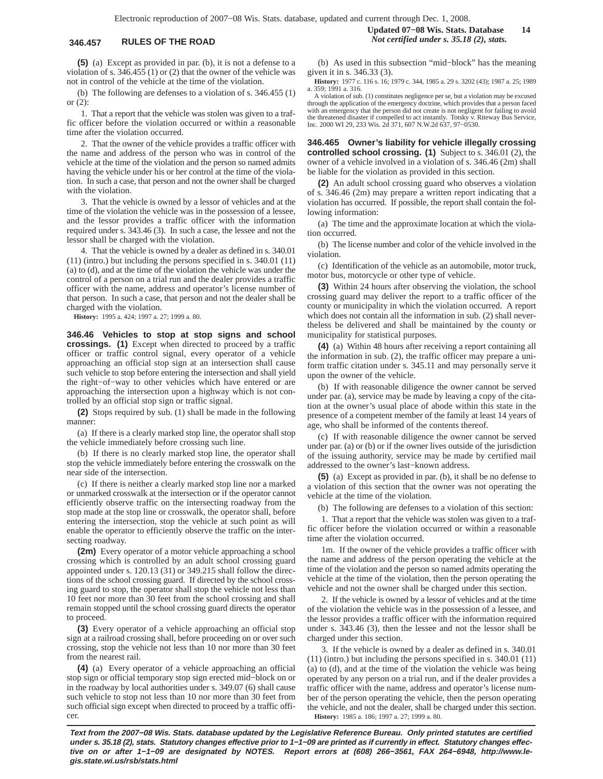**(5)** (a) Except as provided in par. (b), it is not a defense to a violation of s. 346.455 (1) or (2) that the owner of the vehicle was not in control of the vehicle at the time of the violation.

(b) The following are defenses to a violation of s. 346.455 (1) or (2):

1. That a report that the vehicle was stolen was given to a traffic officer before the violation occurred or within a reasonable time after the violation occurred.

2. That the owner of the vehicle provides a traffic officer with the name and address of the person who was in control of the vehicle at the time of the violation and the person so named admits having the vehicle under his or her control at the time of the violation. In such a case, that person and not the owner shall be charged with the violation.

3. That the vehicle is owned by a lessor of vehicles and at the time of the violation the vehicle was in the possession of a lessee, and the lessor provides a traffic officer with the information required under s. 343.46 (3). In such a case, the lessee and not the lessor shall be charged with the violation.

4. That the vehicle is owned by a dealer as defined in s. 340.01 (11) (intro.) but including the persons specified in s. 340.01 (11) (a) to (d), and at the time of the violation the vehicle was under the control of a person on a trial run and the dealer provides a traffic officer with the name, address and operator's license number of that person. In such a case, that person and not the dealer shall be charged with the violation.

**History:** 1995 a. 424; 1997 a. 27; 1999 a. 80.

**346.46 Vehicles to stop at stop signs and school crossings. (1)** Except when directed to proceed by a traffic officer or traffic control signal, every operator of a vehicle approaching an official stop sign at an intersection shall cause such vehicle to stop before entering the intersection and shall yield the right−of−way to other vehicles which have entered or are approaching the intersection upon a highway which is not controlled by an official stop sign or traffic signal.

**(2)** Stops required by sub. (1) shall be made in the following manner:

(a) If there is a clearly marked stop line, the operator shall stop the vehicle immediately before crossing such line.

(b) If there is no clearly marked stop line, the operator shall stop the vehicle immediately before entering the crosswalk on the near side of the intersection.

(c) If there is neither a clearly marked stop line nor a marked or unmarked crosswalk at the intersection or if the operator cannot efficiently observe traffic on the intersecting roadway from the stop made at the stop line or crosswalk, the operator shall, before entering the intersection, stop the vehicle at such point as will enable the operator to efficiently observe the traffic on the intersecting roadway.

**(2m)** Every operator of a motor vehicle approaching a school crossing which is controlled by an adult school crossing guard appointed under s. 120.13 (31) or 349.215 shall follow the directions of the school crossing guard. If directed by the school crossing guard to stop, the operator shall stop the vehicle not less than 10 feet nor more than 30 feet from the school crossing and shall remain stopped until the school crossing guard directs the operator to proceed.

**(3)** Every operator of a vehicle approaching an official stop sign at a railroad crossing shall, before proceeding on or over such crossing, stop the vehicle not less than 10 nor more than 30 feet from the nearest rail.

**(4)** (a) Every operator of a vehicle approaching an official stop sign or official temporary stop sign erected mid−block on or in the roadway by local authorities under s. 349.07 (6) shall cause such vehicle to stop not less than 10 nor more than 30 feet from such official sign except when directed to proceed by a traffic officer.

(b) As used in this subsection "mid−block" has the meaning given it in s. 346.33 (3).

**History:** 1977 c. 116 s. 16; 1979 c. 344, 1985 a. 29 s. 3202 (43); 1987 a. 25; 1989 a. 359; 1991 a. 316.

A violation of sub. (1) constitutes negligence per se, but a violation may be excused through the application of the emergency doctrine, which provides that a person faced with an emergency that the person did not create is not negligent for failing to avoid the threatened disaster if compelled to act instantly. Totsky v. Riteway Bus Service, Inc. 2000 WI 29, 233 Wis. 2d 371, 607 N.W.2d 637, 97−0530.

**346.465 Owner's liability for vehicle illegally crossing controlled school crossing. (1)** Subject to s. 346.01 (2), the owner of a vehicle involved in a violation of s. 346.46 (2m) shall be liable for the violation as provided in this section.

**(2)** An adult school crossing guard who observes a violation of s. 346.46 (2m) may prepare a written report indicating that a violation has occurred. If possible, the report shall contain the following information:

(a) The time and the approximate location at which the violation occurred.

(b) The license number and color of the vehicle involved in the violation.

(c) Identification of the vehicle as an automobile, motor truck, motor bus, motorcycle or other type of vehicle.

**(3)** Within 24 hours after observing the violation, the school crossing guard may deliver the report to a traffic officer of the county or municipality in which the violation occurred. A report which does not contain all the information in sub. (2) shall nevertheless be delivered and shall be maintained by the county or municipality for statistical purposes.

**(4)** (a) Within 48 hours after receiving a report containing all the information in sub. (2), the traffic officer may prepare a uniform traffic citation under s. 345.11 and may personally serve it upon the owner of the vehicle.

(b) If with reasonable diligence the owner cannot be served under par. (a), service may be made by leaving a copy of the citation at the owner's usual place of abode within this state in the presence of a competent member of the family at least 14 years of age, who shall be informed of the contents thereof.

(c) If with reasonable diligence the owner cannot be served under par. (a) or (b) or if the owner lives outside of the jurisdiction of the issuing authority, service may be made by certified mail addressed to the owner's last−known address.

**(5)** (a) Except as provided in par. (b), it shall be no defense to a violation of this section that the owner was not operating the vehicle at the time of the violation.

(b) The following are defenses to a violation of this section:

1. That a report that the vehicle was stolen was given to a traffic officer before the violation occurred or within a reasonable time after the violation occurred.

1m. If the owner of the vehicle provides a traffic officer with the name and address of the person operating the vehicle at the time of the violation and the person so named admits operating the vehicle at the time of the violation, then the person operating the vehicle and not the owner shall be charged under this section.

2. If the vehicle is owned by a lessor of vehicles and at the time of the violation the vehicle was in the possession of a lessee, and the lessor provides a traffic officer with the information required under s. 343.46 (3), then the lessee and not the lessor shall be charged under this section.

3. If the vehicle is owned by a dealer as defined in s. 340.01 (11) (intro.) but including the persons specified in s. 340.01 (11) (a) to (d), and at the time of the violation the vehicle was being operated by any person on a trial run, and if the dealer provides a traffic officer with the name, address and operator's license number of the person operating the vehicle, then the person operating the vehicle, and not the dealer, shall be charged under this section. **History:** 1985 a. 186; 1997 a. 27; 1999 a. 80.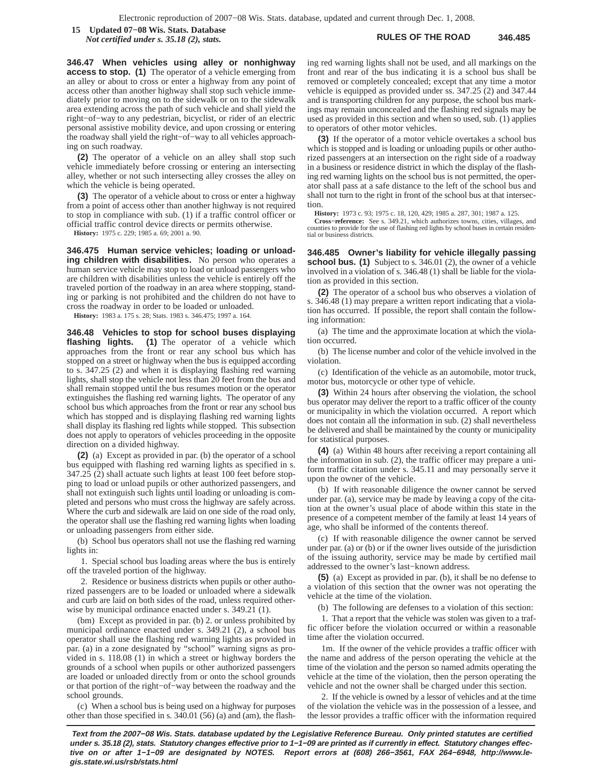**RULES OF THE ROAD 346.485 15 Updated 07−08 Wis. Stats. Database** *Not certified under s. 35.18 (2), stats.*

**346.47 When vehicles using alley or nonhighway access to stop. (1)** The operator of a vehicle emerging from an alley or about to cross or enter a highway from any point of access other than another highway shall stop such vehicle immediately prior to moving on to the sidewalk or on to the sidewalk area extending across the path of such vehicle and shall yield the right−of−way to any pedestrian, bicyclist, or rider of an electric personal assistive mobility device, and upon crossing or entering the roadway shall yield the right−of−way to all vehicles approaching on such roadway.

**(2)** The operator of a vehicle on an alley shall stop such vehicle immediately before crossing or entering an intersecting alley, whether or not such intersecting alley crosses the alley on which the vehicle is being operated.

**(3)** The operator of a vehicle about to cross or enter a highway from a point of access other than another highway is not required to stop in compliance with sub. (1) if a traffic control officer or official traffic control device directs or permits otherwise.

**History:** 1975 c. 229; 1985 a. 69; 2001 a. 90.

**346.475 Human service vehicles; loading or unloading children with disabilities.** No person who operates a human service vehicle may stop to load or unload passengers who are children with disabilities unless the vehicle is entirely off the traveled portion of the roadway in an area where stopping, standing or parking is not prohibited and the children do not have to cross the roadway in order to be loaded or unloaded.

**History:** 1983 a. 175 s. 28; Stats. 1983 s. 346.475; 1997 a. 164.

**346.48 Vehicles to stop for school buses displaying flashing lights. (1)** The operator of a vehicle which approaches from the front or rear any school bus which has stopped on a street or highway when the bus is equipped according to s. 347.25 (2) and when it is displaying flashing red warning lights, shall stop the vehicle not less than 20 feet from the bus and shall remain stopped until the bus resumes motion or the operator extinguishes the flashing red warning lights. The operator of any school bus which approaches from the front or rear any school bus which has stopped and is displaying flashing red warning lights shall display its flashing red lights while stopped. This subsection does not apply to operators of vehicles proceeding in the opposite direction on a divided highway.

**(2)** (a) Except as provided in par. (b) the operator of a school bus equipped with flashing red warning lights as specified in s. 347.25 (2) shall actuate such lights at least 100 feet before stopping to load or unload pupils or other authorized passengers, and shall not extinguish such lights until loading or unloading is completed and persons who must cross the highway are safely across. Where the curb and sidewalk are laid on one side of the road only, the operator shall use the flashing red warning lights when loading or unloading passengers from either side.

(b) School bus operators shall not use the flashing red warning lights in:

1. Special school bus loading areas where the bus is entirely off the traveled portion of the highway.

2. Residence or business districts when pupils or other authorized passengers are to be loaded or unloaded where a sidewalk and curb are laid on both sides of the road, unless required otherwise by municipal ordinance enacted under s. 349.21 (1).

(bm) Except as provided in par. (b) 2. or unless prohibited by municipal ordinance enacted under s. 349.21 (2), a school bus operator shall use the flashing red warning lights as provided in par. (a) in a zone designated by "school" warning signs as provided in s. 118.08 (1) in which a street or highway borders the grounds of a school when pupils or other authorized passengers are loaded or unloaded directly from or onto the school grounds or that portion of the right−of−way between the roadway and the school grounds.

(c) When a school bus is being used on a highway for purposes other than those specified in s. 340.01 (56) (a) and (am), the flashing red warning lights shall not be used, and all markings on the front and rear of the bus indicating it is a school bus shall be removed or completely concealed; except that any time a motor vehicle is equipped as provided under ss. 347.25 (2) and 347.44 and is transporting children for any purpose, the school bus markings may remain unconcealed and the flashing red signals may be used as provided in this section and when so used, sub. (1) applies to operators of other motor vehicles.

**(3)** If the operator of a motor vehicle overtakes a school bus which is stopped and is loading or unloading pupils or other authorized passengers at an intersection on the right side of a roadway in a business or residence district in which the display of the flashing red warning lights on the school bus is not permitted, the operator shall pass at a safe distance to the left of the school bus and shall not turn to the right in front of the school bus at that intersection.

**History:** 1973 c. 93; 1975 c. 18, 120, 429; 1985 a. 287, 301; 1987 a. 125.

**Cross−reference:** See s. 349.21, which authorizes towns, cities, villages, and counties to provide for the use of flashing red lights by school buses in certain residential or business districts.

**346.485 Owner's liability for vehicle illegally passing school bus.** (1) Subject to s. 346.01 (2), the owner of a vehicle involved in a violation of s. 346.48 (1) shall be liable for the violation as provided in this section.

**(2)** The operator of a school bus who observes a violation of s. 346.48 (1) may prepare a written report indicating that a violation has occurred. If possible, the report shall contain the following information:

(a) The time and the approximate location at which the violation occurred.

(b) The license number and color of the vehicle involved in the violation.

(c) Identification of the vehicle as an automobile, motor truck, motor bus, motorcycle or other type of vehicle.

**(3)** Within 24 hours after observing the violation, the school bus operator may deliver the report to a traffic officer of the county or municipality in which the violation occurred. A report which does not contain all the information in sub. (2) shall nevertheless be delivered and shall be maintained by the county or municipality for statistical purposes.

**(4)** (a) Within 48 hours after receiving a report containing all the information in sub. (2), the traffic officer may prepare a uniform traffic citation under s. 345.11 and may personally serve it upon the owner of the vehicle.

(b) If with reasonable diligence the owner cannot be served under par. (a), service may be made by leaving a copy of the citation at the owner's usual place of abode within this state in the presence of a competent member of the family at least 14 years of age, who shall be informed of the contents thereof.

(c) If with reasonable diligence the owner cannot be served under par. (a) or (b) or if the owner lives outside of the jurisdiction of the issuing authority, service may be made by certified mail addressed to the owner's last−known address.

**(5)** (a) Except as provided in par. (b), it shall be no defense to a violation of this section that the owner was not operating the vehicle at the time of the violation.

(b) The following are defenses to a violation of this section:

1. That a report that the vehicle was stolen was given to a traffic officer before the violation occurred or within a reasonable time after the violation occurred.

1m. If the owner of the vehicle provides a traffic officer with the name and address of the person operating the vehicle at the time of the violation and the person so named admits operating the vehicle at the time of the violation, then the person operating the vehicle and not the owner shall be charged under this section.

2. If the vehicle is owned by a lessor of vehicles and at the time of the violation the vehicle was in the possession of a lessee, and the lessor provides a traffic officer with the information required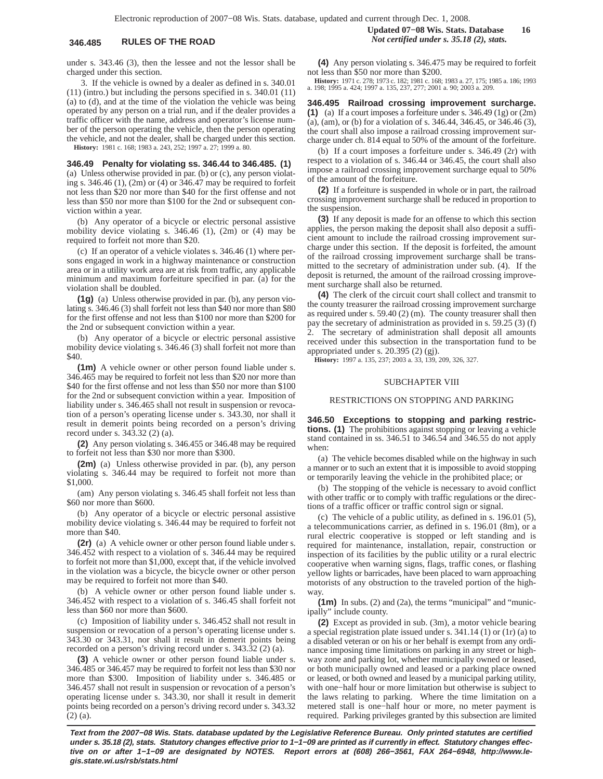under s. 343.46 (3), then the lessee and not the lessor shall be charged under this section.

3. If the vehicle is owned by a dealer as defined in s. 340.01 (11) (intro.) but including the persons specified in s. 340.01 (11) (a) to (d), and at the time of the violation the vehicle was being operated by any person on a trial run, and if the dealer provides a traffic officer with the name, address and operator's license number of the person operating the vehicle, then the person operating the vehicle, and not the dealer, shall be charged under this section. **History:** 1981 c. 168; 1983 a. 243, 252; 1997 a. 27; 1999 a. 80.

**346.49 Penalty for violating ss. 346.44 to 346.485. (1)** (a) Unless otherwise provided in par. (b) or (c), any person violat-

ing s. 346.46 (1), (2m) or (4) or 346.47 may be required to forfeit not less than \$20 nor more than \$40 for the first offense and not less than \$50 nor more than \$100 for the 2nd or subsequent conviction within a year.

(b) Any operator of a bicycle or electric personal assistive mobility device violating s. 346.46 (1), (2m) or (4) may be required to forfeit not more than \$20.

(c) If an operator of a vehicle violates s. 346.46 (1) where persons engaged in work in a highway maintenance or construction area or in a utility work area are at risk from traffic, any applicable minimum and maximum forfeiture specified in par. (a) for the violation shall be doubled.

**(1g)** (a) Unless otherwise provided in par. (b), any person violating s. 346.46 (3) shall forfeit not less than \$40 nor more than \$80 for the first offense and not less than \$100 nor more than \$200 for the 2nd or subsequent conviction within a year.

(b) Any operator of a bicycle or electric personal assistive mobility device violating s. 346.46 (3) shall forfeit not more than \$40.

**(1m)** A vehicle owner or other person found liable under s. 346.465 may be required to forfeit not less than \$20 nor more than \$40 for the first offense and not less than \$50 nor more than \$100 for the 2nd or subsequent conviction within a year. Imposition of liability under s. 346.465 shall not result in suspension or revocation of a person's operating license under s. 343.30, nor shall it result in demerit points being recorded on a person's driving record under s. 343.32 (2) (a).

**(2)** Any person violating s. 346.455 or 346.48 may be required to forfeit not less than \$30 nor more than \$300.

**(2m)** (a) Unless otherwise provided in par. (b), any person violating s. 346.44 may be required to forfeit not more than \$1,000.

(am) Any person violating s. 346.45 shall forfeit not less than \$60 nor more than \$600.

(b) Any operator of a bicycle or electric personal assistive mobility device violating s. 346.44 may be required to forfeit not more than \$40.

**(2r)** (a) A vehicle owner or other person found liable under s. 346.452 with respect to a violation of s. 346.44 may be required to forfeit not more than \$1,000, except that, if the vehicle involved in the violation was a bicycle, the bicycle owner or other person may be required to forfeit not more than \$40.

(b) A vehicle owner or other person found liable under s. 346.452 with respect to a violation of s. 346.45 shall forfeit not less than \$60 nor more than \$600.

(c) Imposition of liability under s. 346.452 shall not result in suspension or revocation of a person's operating license under s. 343.30 or 343.31, nor shall it result in demerit points being recorded on a person's driving record under s. 343.32 (2) (a).

**(3)** A vehicle owner or other person found liable under s. 346.485 or 346.457 may be required to forfeit not less than \$30 nor more than \$300. Imposition of liability under s. 346.485 or 346.457 shall not result in suspension or revocation of a person's operating license under s. 343.30, nor shall it result in demerit points being recorded on a person's driving record under s. 343.32 (2) (a).

## **Updated 07−08 Wis. Stats. Database 16 346.485 RULES OF THE ROAD** *Not certified under s. 35.18 (2), stats.*

**(4)** Any person violating s. 346.475 may be required to forfeit not less than \$50 nor more than \$200.

**History:** 1971 c. 278; 1973 c. 182; 1981 c. 168; 1983 a. 27, 175; 1985 a. 186; 1993 a. 198; 1995 a. 424; 1997 a. 135, 237, 277; 2001 a. 90; 2003 a. 209.

**346.495 Railroad crossing improvement surcharge. (1)** (a) If a court imposes a forfeiture under s. 346.49 (1g) or (2m) (a), (am), or (b) for a violation of s. 346.44, 346.45, or 346.46 (3), the court shall also impose a railroad crossing improvement surcharge under ch. 814 equal to 50% of the amount of the forfeiture.

(b) If a court imposes a forfeiture under s. 346.49 (2r) with respect to a violation of s. 346.44 or 346.45, the court shall also impose a railroad crossing improvement surcharge equal to 50% of the amount of the forfeiture.

**(2)** If a forfeiture is suspended in whole or in part, the railroad crossing improvement surcharge shall be reduced in proportion to the suspension.

**(3)** If any deposit is made for an offense to which this section applies, the person making the deposit shall also deposit a sufficient amount to include the railroad crossing improvement surcharge under this section. If the deposit is forfeited, the amount of the railroad crossing improvement surcharge shall be transmitted to the secretary of administration under sub. (4). If the deposit is returned, the amount of the railroad crossing improvement surcharge shall also be returned.

**(4)** The clerk of the circuit court shall collect and transmit to the county treasurer the railroad crossing improvement surcharge as required under s. 59.40 (2) (m). The county treasurer shall then pay the secretary of administration as provided in s. 59.25 (3) (f) The secretary of administration shall deposit all amounts received under this subsection in the transportation fund to be appropriated under s. 20.395 (2) (gj).

**History:** 1997 a. 135, 237; 2003 a. 33, 139, 209, 326, 327.

### SUBCHAPTER VIII

## RESTRICTIONS ON STOPPING AND PARKING

**346.50 Exceptions to stopping and parking restrictions. (1)** The prohibitions against stopping or leaving a vehicle stand contained in ss. 346.51 to 346.54 and 346.55 do not apply when:

(a) The vehicle becomes disabled while on the highway in such a manner or to such an extent that it is impossible to avoid stopping or temporarily leaving the vehicle in the prohibited place; or

(b) The stopping of the vehicle is necessary to avoid conflict with other traffic or to comply with traffic regulations or the directions of a traffic officer or traffic control sign or signal.

(c) The vehicle of a public utility, as defined in s. 196.01 (5), a telecommunications carrier, as defined in s. 196.01 (8m), or a rural electric cooperative is stopped or left standing and is required for maintenance, installation, repair, construction or inspection of its facilities by the public utility or a rural electric cooperative when warning signs, flags, traffic cones, or flashing yellow lights or barricades, have been placed to warn approaching motorists of any obstruction to the traveled portion of the highway.

**(1m)** In subs. (2) and (2a), the terms "municipal" and "municipally" include county.

**(2)** Except as provided in sub. (3m), a motor vehicle bearing a special registration plate issued under s. 341.14 (1) or (1r) (a) to a disabled veteran or on his or her behalf is exempt from any ordinance imposing time limitations on parking in any street or highway zone and parking lot, whether municipally owned or leased, or both municipally owned and leased or a parking place owned or leased, or both owned and leased by a municipal parking utility, with one−half hour or more limitation but otherwise is subject to the laws relating to parking. Where the time limitation on a metered stall is one−half hour or more, no meter payment is required. Parking privileges granted by this subsection are limited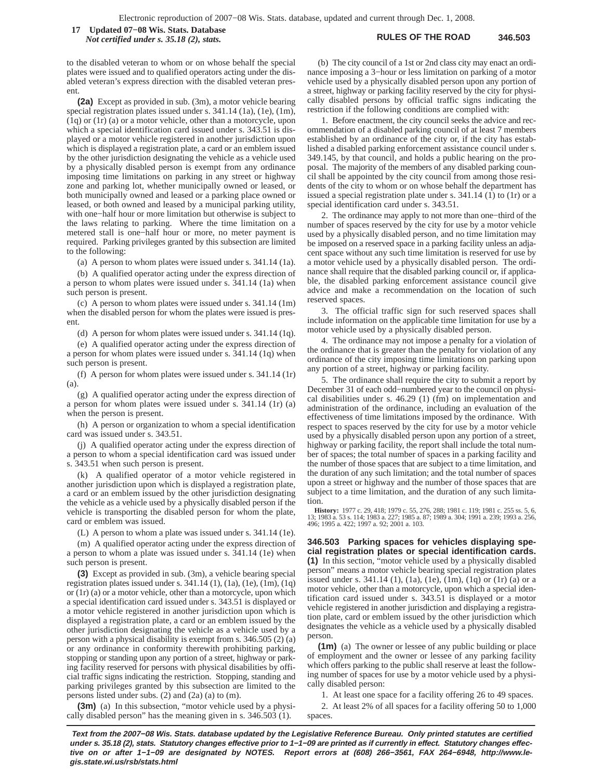**RULES OF THE ROAD 346.503 17 Updated 07−08 Wis. Stats. Database** *Not certified under s. 35.18 (2), stats.*

to the disabled veteran to whom or on whose behalf the special plates were issued and to qualified operators acting under the disabled veteran's express direction with the disabled veteran present.

**(2a)** Except as provided in sub. (3m), a motor vehicle bearing special registration plates issued under s. 341.14 (1a), (1e), (1m), (1q) or (1r) (a) or a motor vehicle, other than a motorcycle, upon which a special identification card issued under s. 343.51 is displayed or a motor vehicle registered in another jurisdiction upon which is displayed a registration plate, a card or an emblem issued by the other jurisdiction designating the vehicle as a vehicle used by a physically disabled person is exempt from any ordinance imposing time limitations on parking in any street or highway zone and parking lot, whether municipally owned or leased, or both municipally owned and leased or a parking place owned or leased, or both owned and leased by a municipal parking utility, with one−half hour or more limitation but otherwise is subject to the laws relating to parking. Where the time limitation on a metered stall is one−half hour or more, no meter payment is required. Parking privileges granted by this subsection are limited to the following:

(a) A person to whom plates were issued under s. 341.14 (1a).

(b) A qualified operator acting under the express direction of a person to whom plates were issued under s. 341.14 (1a) when such person is present.

(c) A person to whom plates were issued under s. 341.14 (1m) when the disabled person for whom the plates were issued is present.

(d) A person for whom plates were issued under s. 341.14 (1q).

(e) A qualified operator acting under the express direction of a person for whom plates were issued under s. 341.14 (1q) when such person is present.

(f) A person for whom plates were issued under s. 341.14 (1r) (a).

(g) A qualified operator acting under the express direction of a person for whom plates were issued under s. 341.14 (1r) (a) when the person is present.

(h) A person or organization to whom a special identification card was issued under s. 343.51.

(j) A qualified operator acting under the express direction of a person to whom a special identification card was issued under s. 343.51 when such person is present.

(k) A qualified operator of a motor vehicle registered in another jurisdiction upon which is displayed a registration plate, a card or an emblem issued by the other jurisdiction designating the vehicle as a vehicle used by a physically disabled person if the vehicle is transporting the disabled person for whom the plate, card or emblem was issued.

(L) A person to whom a plate was issued under s. 341.14 (1e).

(m) A qualified operator acting under the express direction of a person to whom a plate was issued under s. 341.14 (1e) when such person is present.

**(3)** Except as provided in sub. (3m), a vehicle bearing special registration plates issued under s.  $341.14(1)$ ,  $(1a)$ ,  $(1e)$ ,  $(1m)$ ,  $(1q)$ or (1r) (a) or a motor vehicle, other than a motorcycle, upon which a special identification card issued under s. 343.51 is displayed or a motor vehicle registered in another jurisdiction upon which is displayed a registration plate, a card or an emblem issued by the other jurisdiction designating the vehicle as a vehicle used by a person with a physical disability is exempt from s. 346.505 (2) (a) or any ordinance in conformity therewith prohibiting parking, stopping or standing upon any portion of a street, highway or parking facility reserved for persons with physical disabilities by official traffic signs indicating the restriction. Stopping, standing and parking privileges granted by this subsection are limited to the persons listed under subs. (2) and (2a) (a) to (m).

**(3m)** (a) In this subsection, "motor vehicle used by a physically disabled person" has the meaning given in s. 346.503 (1).

(b) The city council of a 1st or 2nd class city may enact an ordinance imposing a 3−hour or less limitation on parking of a motor vehicle used by a physically disabled person upon any portion of a street, highway or parking facility reserved by the city for physically disabled persons by official traffic signs indicating the restriction if the following conditions are complied with:

1. Before enactment, the city council seeks the advice and recommendation of a disabled parking council of at least 7 members established by an ordinance of the city or, if the city has established a disabled parking enforcement assistance council under s. 349.145, by that council, and holds a public hearing on the proposal. The majority of the members of any disabled parking council shall be appointed by the city council from among those residents of the city to whom or on whose behalf the department has issued a special registration plate under s. 341.14 (1) to (1r) or a special identification card under s. 343.51.

2. The ordinance may apply to not more than one−third of the number of spaces reserved by the city for use by a motor vehicle used by a physically disabled person, and no time limitation may be imposed on a reserved space in a parking facility unless an adjacent space without any such time limitation is reserved for use by a motor vehicle used by a physically disabled person. The ordinance shall require that the disabled parking council or, if applicable, the disabled parking enforcement assistance council give advice and make a recommendation on the location of such reserved spaces.

3. The official traffic sign for such reserved spaces shall include information on the applicable time limitation for use by a motor vehicle used by a physically disabled person.

4. The ordinance may not impose a penalty for a violation of the ordinance that is greater than the penalty for violation of any ordinance of the city imposing time limitations on parking upon any portion of a street, highway or parking facility.

5. The ordinance shall require the city to submit a report by December 31 of each odd−numbered year to the council on physical disabilities under s. 46.29 (1) (fm) on implementation and administration of the ordinance, including an evaluation of the effectiveness of time limitations imposed by the ordinance. With respect to spaces reserved by the city for use by a motor vehicle used by a physically disabled person upon any portion of a street, highway or parking facility, the report shall include the total number of spaces; the total number of spaces in a parking facility and the number of those spaces that are subject to a time limitation, and the duration of any such limitation; and the total number of spaces upon a street or highway and the number of those spaces that are subject to a time limitation, and the duration of any such limitation.

**History:** 1977 c. 29, 418; 1979 c. 55, 276, 288; 1981 c. 119; 1981 c. 255 ss. 5, 6, 13; 1983 a. 53 s. 114; 1983 a. 227; 1985 a. 87; 1989 a. 304; 1991 a. 239; 1993 a. 256, 496; 1995 a. 422; 1997 a. 92; 2001 a. 103.

**346.503 Parking spaces for vehicles displaying special registration plates or special identification cards. (1)** In this section, "motor vehicle used by a physically disabled person" means a motor vehicle bearing special registration plates issued under s.  $341.14$  (1), (1a), (1e), (1m), (1q) or (1r) (a) or a motor vehicle, other than a motorcycle, upon which a special identification card issued under s. 343.51 is displayed or a motor vehicle registered in another jurisdiction and displaying a registration plate, card or emblem issued by the other jurisdiction which designates the vehicle as a vehicle used by a physically disabled person.

**(1m)** (a) The owner or lessee of any public building or place of employment and the owner or lessee of any parking facility which offers parking to the public shall reserve at least the following number of spaces for use by a motor vehicle used by a physically disabled person:

1. At least one space for a facility offering 26 to 49 spaces.

2. At least 2% of all spaces for a facility offering 50 to 1,000 spaces.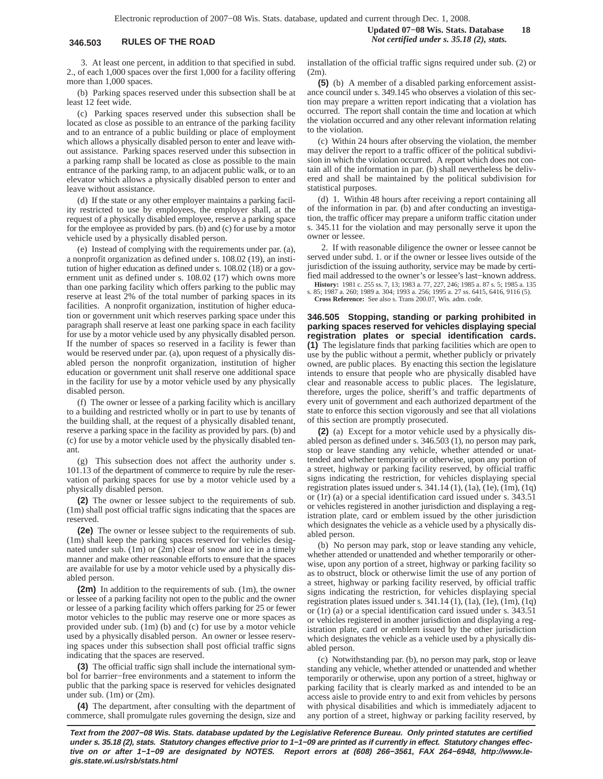3. At least one percent, in addition to that specified in subd. 2., of each 1,000 spaces over the first 1,000 for a facility offering more than 1,000 spaces.

(b) Parking spaces reserved under this subsection shall be at least 12 feet wide.

(c) Parking spaces reserved under this subsection shall be located as close as possible to an entrance of the parking facility and to an entrance of a public building or place of employment which allows a physically disabled person to enter and leave without assistance. Parking spaces reserved under this subsection in a parking ramp shall be located as close as possible to the main entrance of the parking ramp, to an adjacent public walk, or to an elevator which allows a physically disabled person to enter and leave without assistance.

(d) If the state or any other employer maintains a parking facility restricted to use by employees, the employer shall, at the request of a physically disabled employee, reserve a parking space for the employee as provided by pars. (b) and (c) for use by a motor vehicle used by a physically disabled person.

(e) Instead of complying with the requirements under par. (a), a nonprofit organization as defined under s. 108.02 (19), an institution of higher education as defined under s. 108.02 (18) or a government unit as defined under s. 108.02 (17) which owns more than one parking facility which offers parking to the public may reserve at least 2% of the total number of parking spaces in its facilities. A nonprofit organization, institution of higher education or government unit which reserves parking space under this paragraph shall reserve at least one parking space in each facility for use by a motor vehicle used by any physically disabled person. If the number of spaces so reserved in a facility is fewer than would be reserved under par. (a), upon request of a physically disabled person the nonprofit organization, institution of higher education or government unit shall reserve one additional space in the facility for use by a motor vehicle used by any physically disabled person.

(f) The owner or lessee of a parking facility which is ancillary to a building and restricted wholly or in part to use by tenants of the building shall, at the request of a physically disabled tenant, reserve a parking space in the facility as provided by pars. (b) and (c) for use by a motor vehicle used by the physically disabled tenant.

(g) This subsection does not affect the authority under s. 101.13 of the department of commerce to require by rule the reservation of parking spaces for use by a motor vehicle used by a physically disabled person.

**(2)** The owner or lessee subject to the requirements of sub. (1m) shall post official traffic signs indicating that the spaces are reserved.

**(2e)** The owner or lessee subject to the requirements of sub. (1m) shall keep the parking spaces reserved for vehicles designated under sub. (1m) or (2m) clear of snow and ice in a timely manner and make other reasonable efforts to ensure that the spaces are available for use by a motor vehicle used by a physically disabled person.

**(2m)** In addition to the requirements of sub. (1m), the owner or lessee of a parking facility not open to the public and the owner or lessee of a parking facility which offers parking for 25 or fewer motor vehicles to the public may reserve one or more spaces as provided under sub. (1m) (b) and (c) for use by a motor vehicle used by a physically disabled person. An owner or lessee reserving spaces under this subsection shall post official traffic signs indicating that the spaces are reserved.

**(3)** The official traffic sign shall include the international symbol for barrier−free environments and a statement to inform the public that the parking space is reserved for vehicles designated under sub. (1m) or (2m).

**(4)** The department, after consulting with the department of commerce, shall promulgate rules governing the design, size and installation of the official traffic signs required under sub. (2) or  $(2m)$ 

**(5)** (b) A member of a disabled parking enforcement assistance council under s. 349.145 who observes a violation of this section may prepare a written report indicating that a violation has occurred. The report shall contain the time and location at which the violation occurred and any other relevant information relating to the violation.

(c) Within 24 hours after observing the violation, the member may deliver the report to a traffic officer of the political subdivision in which the violation occurred. A report which does not contain all of the information in par. (b) shall nevertheless be delivered and shall be maintained by the political subdivision for statistical purposes.

(d) 1. Within 48 hours after receiving a report containing all of the information in par. (b) and after conducting an investigation, the traffic officer may prepare a uniform traffic citation under s. 345.11 for the violation and may personally serve it upon the owner or lessee.

2. If with reasonable diligence the owner or lessee cannot be served under subd. 1. or if the owner or lessee lives outside of the jurisdiction of the issuing authority, service may be made by certified mail addressed to the owner's or lessee's last−known address.

**History:** 1981 c. 255 ss. 7, 13; 1983 a. 77, 227, 246; 1985 a. 87 s. 5; 1985 a. 135 s. 85; 1987 a. 260; 1989 a. 304; 1993 a. 256; 1995 a. 27 ss. 6415, 6416, 9116 (5). **Cross Reference:** See also s. Trans 200.07, Wis. adm. code.

**346.505 Stopping, standing or parking prohibited in parking spaces reserved for vehicles displaying special registration plates or special identification cards. (1)** The legislature finds that parking facilities which are open to use by the public without a permit, whether publicly or privately owned, are public places. By enacting this section the legislature intends to ensure that people who are physically disabled have clear and reasonable access to public places. The legislature, therefore, urges the police, sheriff's and traffic departments of every unit of government and each authorized department of the state to enforce this section vigorously and see that all violations of this section are promptly prosecuted.

**(2)** (a) Except for a motor vehicle used by a physically disabled person as defined under s. 346.503 (1), no person may park, stop or leave standing any vehicle, whether attended or unattended and whether temporarily or otherwise, upon any portion of a street, highway or parking facility reserved, by official traffic signs indicating the restriction, for vehicles displaying special registration plates issued under s. 341.14 (1), (1a), (1e), (1m), (1q) or (1r) (a) or a special identification card issued under s. 343.51 or vehicles registered in another jurisdiction and displaying a registration plate, card or emblem issued by the other jurisdiction which designates the vehicle as a vehicle used by a physically disabled person.

(b) No person may park, stop or leave standing any vehicle, whether attended or unattended and whether temporarily or otherwise, upon any portion of a street, highway or parking facility so as to obstruct, block or otherwise limit the use of any portion of a street, highway or parking facility reserved, by official traffic signs indicating the restriction, for vehicles displaying special registration plates issued under s.  $341.14(1)$ ,  $(1a)$ ,  $(1e)$ ,  $(1m)$ ,  $(1q)$ or (1r) (a) or a special identification card issued under s. 343.51 or vehicles registered in another jurisdiction and displaying a registration plate, card or emblem issued by the other jurisdiction which designates the vehicle as a vehicle used by a physically disabled person.

(c) Notwithstanding par. (b), no person may park, stop or leave standing any vehicle, whether attended or unattended and whether temporarily or otherwise, upon any portion of a street, highway or parking facility that is clearly marked as and intended to be an access aisle to provide entry to and exit from vehicles by persons with physical disabilities and which is immediately adjacent to any portion of a street, highway or parking facility reserved, by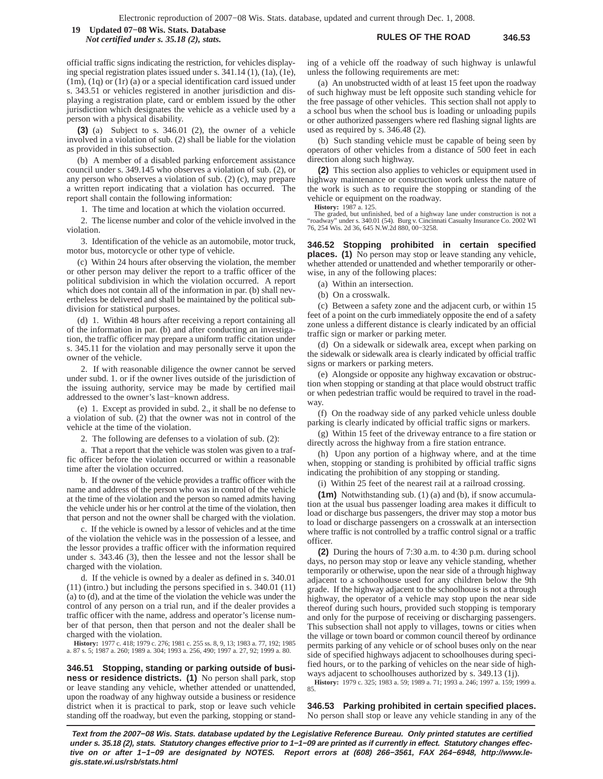**RULES OF THE ROAD 346.53 19 Updated 07−08 Wis. Stats. Database** *Not certified under s. 35.18 (2), stats.*

official traffic signs indicating the restriction, for vehicles displaying special registration plates issued under s. 341.14 (1), (1a), (1e), (1m), (1q) or (1r) (a) or a special identification card issued under s. 343.51 or vehicles registered in another jurisdiction and displaying a registration plate, card or emblem issued by the other jurisdiction which designates the vehicle as a vehicle used by a person with a physical disability.

**(3)** (a) Subject to s. 346.01 (2), the owner of a vehicle involved in a violation of sub. (2) shall be liable for the violation as provided in this subsection.

(b) A member of a disabled parking enforcement assistance council under s. 349.145 who observes a violation of sub. (2), or any person who observes a violation of sub. (2) (c), may prepare a written report indicating that a violation has occurred. The report shall contain the following information:

1. The time and location at which the violation occurred.

2. The license number and color of the vehicle involved in the violation.

3. Identification of the vehicle as an automobile, motor truck, motor bus, motorcycle or other type of vehicle.

(c) Within 24 hours after observing the violation, the member or other person may deliver the report to a traffic officer of the political subdivision in which the violation occurred. A report which does not contain all of the information in par. (b) shall nevertheless be delivered and shall be maintained by the political subdivision for statistical purposes.

(d) 1. Within 48 hours after receiving a report containing all of the information in par. (b) and after conducting an investigation, the traffic officer may prepare a uniform traffic citation under s. 345.11 for the violation and may personally serve it upon the owner of the vehicle.

2. If with reasonable diligence the owner cannot be served under subd. 1. or if the owner lives outside of the jurisdiction of the issuing authority, service may be made by certified mail addressed to the owner's last−known address.

(e) 1. Except as provided in subd. 2., it shall be no defense to a violation of sub. (2) that the owner was not in control of the vehicle at the time of the violation.

2. The following are defenses to a violation of sub. (2):

a. That a report that the vehicle was stolen was given to a traffic officer before the violation occurred or within a reasonable time after the violation occurred.

b. If the owner of the vehicle provides a traffic officer with the name and address of the person who was in control of the vehicle at the time of the violation and the person so named admits having the vehicle under his or her control at the time of the violation, then that person and not the owner shall be charged with the violation.

c. If the vehicle is owned by a lessor of vehicles and at the time of the violation the vehicle was in the possession of a lessee, and the lessor provides a traffic officer with the information required under s. 343.46 (3), then the lessee and not the lessor shall be charged with the violation.

d. If the vehicle is owned by a dealer as defined in s. 340.01 (11) (intro.) but including the persons specified in s. 340.01 (11) (a) to (d), and at the time of the violation the vehicle was under the control of any person on a trial run, and if the dealer provides a traffic officer with the name, address and operator's license number of that person, then that person and not the dealer shall be charged with the violation.

**History:** 1977 c. 418; 1979 c. 276; 1981 c. 255 ss. 8, 9, 13; 1983 a. 77, 192; 1985 a. 87 s. 5; 1987 a. 260; 1989 a. 304; 1993 a. 256, 490; 1997 a. 27, 92; 1999 a. 80.

**346.51 Stopping, standing or parking outside of business or residence districts. (1)** No person shall park, stop or leave standing any vehicle, whether attended or unattended, upon the roadway of any highway outside a business or residence district when it is practical to park, stop or leave such vehicle standing off the roadway, but even the parking, stopping or standing of a vehicle off the roadway of such highway is unlawful unless the following requirements are met:

(a) An unobstructed width of at least 15 feet upon the roadway of such highway must be left opposite such standing vehicle for the free passage of other vehicles. This section shall not apply to a school bus when the school bus is loading or unloading pupils or other authorized passengers where red flashing signal lights are used as required by s. 346.48 (2).

(b) Such standing vehicle must be capable of being seen by operators of other vehicles from a distance of 500 feet in each direction along such highway.

**(2)** This section also applies to vehicles or equipment used in highway maintenance or construction work unless the nature of the work is such as to require the stopping or standing of the vehicle or equipment on the roadway.

**History:** 1987 a. 125.

The graded, but unfinished, bed of a highway lane under construction is not a "roadway" under s. 340.01 (54). Burg v. Cincinnati Casualty Insurance Co. 2002 WI 76, 254 Wis. 2d 36, 645 N.W.2d 880, 00−3258.

**346.52 Stopping prohibited in certain specified places. (1)** No person may stop or leave standing any vehicle, whether attended or unattended and whether temporarily or otherwise, in any of the following places:

(a) Within an intersection.

(b) On a crosswalk.

(c) Between a safety zone and the adjacent curb, or within 15 feet of a point on the curb immediately opposite the end of a safety zone unless a different distance is clearly indicated by an official traffic sign or marker or parking meter.

(d) On a sidewalk or sidewalk area, except when parking on the sidewalk or sidewalk area is clearly indicated by official traffic signs or markers or parking meters.

(e) Alongside or opposite any highway excavation or obstruction when stopping or standing at that place would obstruct traffic or when pedestrian traffic would be required to travel in the roadway.

(f) On the roadway side of any parked vehicle unless double parking is clearly indicated by official traffic signs or markers.

(g) Within 15 feet of the driveway entrance to a fire station or directly across the highway from a fire station entrance.

(h) Upon any portion of a highway where, and at the time when, stopping or standing is prohibited by official traffic signs indicating the prohibition of any stopping or standing.

(i) Within 25 feet of the nearest rail at a railroad crossing.

**(1m)** Notwithstanding sub. (1) (a) and (b), if snow accumulation at the usual bus passenger loading area makes it difficult to load or discharge bus passengers, the driver may stop a motor bus to load or discharge passengers on a crosswalk at an intersection where traffic is not controlled by a traffic control signal or a traffic officer.

**(2)** During the hours of 7:30 a.m. to 4:30 p.m. during school days, no person may stop or leave any vehicle standing, whether temporarily or otherwise, upon the near side of a through highway adjacent to a schoolhouse used for any children below the 9th grade. If the highway adjacent to the schoolhouse is not a through highway, the operator of a vehicle may stop upon the near side thereof during such hours, provided such stopping is temporary and only for the purpose of receiving or discharging passengers. This subsection shall not apply to villages, towns or cities when the village or town board or common council thereof by ordinance permits parking of any vehicle or of school buses only on the near side of specified highways adjacent to schoolhouses during specified hours, or to the parking of vehicles on the near side of highways adjacent to schoolhouses authorized by s. 349.13 (1j).

**History:** 1979 c. 325; 1983 a. 59; 1989 a. 71; 1993 a. 246; 1997 a. 159; 1999 a. 85.

**346.53 Parking prohibited in certain specified places.** No person shall stop or leave any vehicle standing in any of the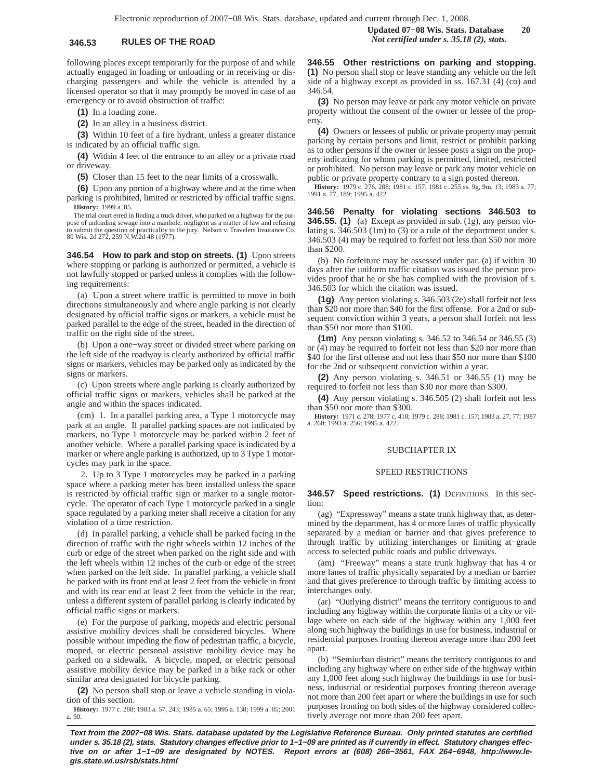following places except temporarily for the purpose of and while actually engaged in loading or unloading or in receiving or discharging passengers and while the vehicle is attended by a licensed operator so that it may promptly be moved in case of an emergency or to avoid obstruction of traffic:

**(1)** In a loading zone.

**(2)** In an alley in a business district.

**(3)** Within 10 feet of a fire hydrant, unless a greater distance is indicated by an official traffic sign.

**(4)** Within 4 feet of the entrance to an alley or a private road or driveway.

**(5)** Closer than 15 feet to the near limits of a crosswalk.

**(6)** Upon any portion of a highway where and at the time when parking is prohibited, limited or restricted by official traffic signs. **History:** 1999 a. 85.

The trial court erred in finding a truck driver, who parked on a highway for the pur-pose of unloading sewage into a manhole, negligent as a matter of law and refusing to submit the question of practicality to the jury. Nelson v. Travelers Insurance Co. 80 Wis. 2d 272, 259 N.W.2d 48 (1977).

**346.54 How to park and stop on streets. (1)** Upon streets where stopping or parking is authorized or permitted, a vehicle is not lawfully stopped or parked unless it complies with the following requirements:

(a) Upon a street where traffic is permitted to move in both directions simultaneously and where angle parking is not clearly designated by official traffic signs or markers, a vehicle must be parked parallel to the edge of the street, headed in the direction of traffic on the right side of the street.

(b) Upon a one−way street or divided street where parking on the left side of the roadway is clearly authorized by official traffic signs or markers, vehicles may be parked only as indicated by the signs or markers.

(c) Upon streets where angle parking is clearly authorized by official traffic signs or markers, vehicles shall be parked at the angle and within the spaces indicated.

(cm) 1. In a parallel parking area, a Type 1 motorcycle may park at an angle. If parallel parking spaces are not indicated by markers, no Type 1 motorcycle may be parked within 2 feet of another vehicle. Where a parallel parking space is indicated by a marker or where angle parking is authorized, up to 3 Type 1 motorcycles may park in the space.

2. Up to 3 Type 1 motorcycles may be parked in a parking space where a parking meter has been installed unless the space is restricted by official traffic sign or marker to a single motorcycle. The operator of each Type 1 motorcycle parked in a single space regulated by a parking meter shall receive a citation for any violation of a time restriction.

(d) In parallel parking, a vehicle shall be parked facing in the direction of traffic with the right wheels within 12 inches of the curb or edge of the street when parked on the right side and with the left wheels within 12 inches of the curb or edge of the street when parked on the left side. In parallel parking, a vehicle shall be parked with its front end at least 2 feet from the vehicle in front and with its rear end at least 2 feet from the vehicle in the rear, unless a different system of parallel parking is clearly indicated by official traffic signs or markers.

(e) For the purpose of parking, mopeds and electric personal assistive mobility devices shall be considered bicycles. Where possible without impeding the flow of pedestrian traffic, a bicycle, moped, or electric personal assistive mobility device may be parked on a sidewalk. A bicycle, moped, or electric personal assistive mobility device may be parked in a bike rack or other similar area designated for bicycle parking.

**(2)** No person shall stop or leave a vehicle standing in violation of this section.

**History:** 1977 c. 288; 1983 a. 57, 243; 1985 a. 65; 1995 a. 138; 1999 a. 85; 2001 a. 90.

**Updated 07−08 Wis. Stats. Database 20 346.53 RULES OF THE ROAD** *Not certified under s. 35.18 (2), stats.*

> **346.55 Other restrictions on parking and stopping. (1)** No person shall stop or leave standing any vehicle on the left side of a highway except as provided in ss. 167.31 (4) (co) and 346.54.

> **(3)** No person may leave or park any motor vehicle on private property without the consent of the owner or lessee of the property.

> **(4)** Owners or lessees of public or private property may permit parking by certain persons and limit, restrict or prohibit parking as to other persons if the owner or lessee posts a sign on the property indicating for whom parking is permitted, limited, restricted or prohibited. No person may leave or park any motor vehicle on public or private property contrary to a sign posted thereon.

> **History:** 1979 c. 276, 288; 1981 c. 157; 1981 c. 255 ss. 9g, 9m, 13; 1983 a. 77; 1991 a. 77, 189; 1995 a. 422.

**346.56 Penalty for violating sections 346.503 to 346.55. (1)** (a) Except as provided in sub. (1g), any person violating s. 346.503 (1m) to (3) or a rule of the department under s. 346.503 (4) may be required to forfeit not less than \$50 nor more than \$200.

(b) No forfeiture may be assessed under par. (a) if within 30 days after the uniform traffic citation was issued the person provides proof that he or she has complied with the provision of s. 346.503 for which the citation was issued.

**(1g)** Any person violating s. 346.503 (2e) shall forfeit not less than \$20 nor more than \$40 for the first offense. For a 2nd or subsequent conviction within 3 years, a person shall forfeit not less than \$50 nor more than \$100.

**(1m)** Any person violating s. 346.52 to 346.54 or 346.55 (3) or (4) may be required to forfeit not less than \$20 nor more than \$40 for the first offense and not less than \$50 nor more than \$100 for the 2nd or subsequent conviction within a year.

**(2)** Any person violating s. 346.51 or 346.55 (1) may be required to forfeit not less than \$30 nor more than \$300.

**(4)** Any person violating s. 346.505 (2) shall forfeit not less than \$50 nor more than \$300.

**History:** 1971 c. 278; 1977 c. 418; 1979 c. 288; 1981 c. 157; 1983 a. 27, 77; 1987 a. 260; 1993 a. 256; 1995 a. 422.

### SUBCHAPTER IX

### SPEED RESTRICTIONS

**346.57 Speed restrictions. (1)** DEFINITIONS. In this section:

(ag) "Expressway" means a state trunk highway that, as determined by the department, has 4 or more lanes of traffic physically separated by a median or barrier and that gives preference to through traffic by utilizing interchanges or limiting at−grade access to selected public roads and public driveways.

(am) "Freeway" means a state trunk highway that has 4 or more lanes of traffic physically separated by a median or barrier and that gives preference to through traffic by limiting access to interchanges only.

(ar) "Outlying district" means the territory contiguous to and including any highway within the corporate limits of a city or village where on each side of the highway within any 1,000 feet along such highway the buildings in use for business, industrial or residential purposes fronting thereon average more than 200 feet apart.

(b) "Semiurban district" means the territory contiguous to and including any highway where on either side of the highway within any 1,000 feet along such highway the buildings in use for business, industrial or residential purposes fronting thereon average not more than 200 feet apart or where the buildings in use for such purposes fronting on both sides of the highway considered collectively average not more than 200 feet apart.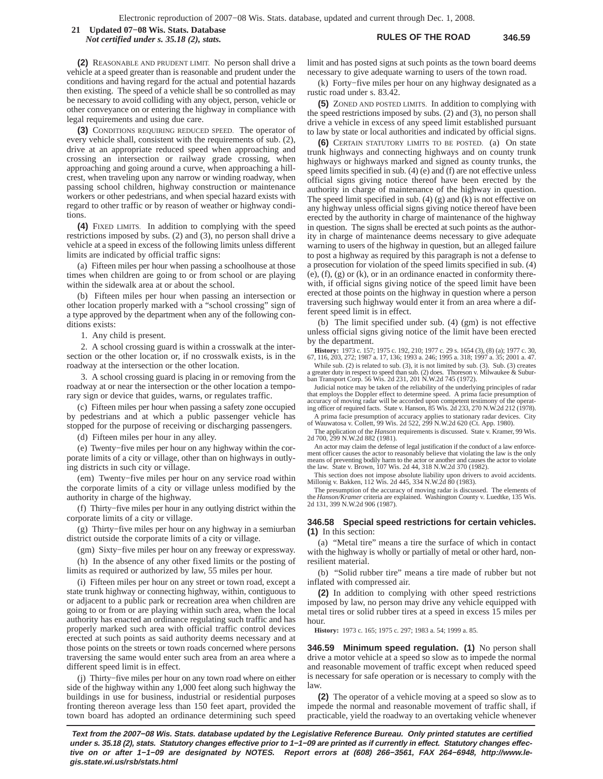**RULES OF THE ROAD 346.59 21 Updated 07−08 Wis. Stats. Database** *Not certified under s. 35.18 (2), stats.*

**(2)** REASONABLE AND PRUDENT LIMIT. No person shall drive a vehicle at a speed greater than is reasonable and prudent under the conditions and having regard for the actual and potential hazards then existing. The speed of a vehicle shall be so controlled as may be necessary to avoid colliding with any object, person, vehicle or other conveyance on or entering the highway in compliance with legal requirements and using due care.

**(3)** CONDITIONS REQUIRING REDUCED SPEED. The operator of every vehicle shall, consistent with the requirements of sub. (2), drive at an appropriate reduced speed when approaching and crossing an intersection or railway grade crossing, when approaching and going around a curve, when approaching a hillcrest, when traveling upon any narrow or winding roadway, when passing school children, highway construction or maintenance workers or other pedestrians, and when special hazard exists with regard to other traffic or by reason of weather or highway conditions.

**(4)** FIXED LIMITS. In addition to complying with the speed restrictions imposed by subs. (2) and (3), no person shall drive a vehicle at a speed in excess of the following limits unless different limits are indicated by official traffic signs:

(a) Fifteen miles per hour when passing a schoolhouse at those times when children are going to or from school or are playing within the sidewalk area at or about the school.

(b) Fifteen miles per hour when passing an intersection or other location properly marked with a "school crossing" sign of a type approved by the department when any of the following conditions exists:

1. Any child is present.

2. A school crossing guard is within a crosswalk at the intersection or the other location or, if no crosswalk exists, is in the roadway at the intersection or the other location.

3. A school crossing guard is placing in or removing from the roadway at or near the intersection or the other location a temporary sign or device that guides, warns, or regulates traffic.

(c) Fifteen miles per hour when passing a safety zone occupied by pedestrians and at which a public passenger vehicle has stopped for the purpose of receiving or discharging passengers.

(d) Fifteen miles per hour in any alley.

(e) Twenty−five miles per hour on any highway within the corporate limits of a city or village, other than on highways in outlying districts in such city or village.

(em) Twenty−five miles per hour on any service road within the corporate limits of a city or village unless modified by the authority in charge of the highway.

(f) Thirty−five miles per hour in any outlying district within the corporate limits of a city or village.

(g) Thirty−five miles per hour on any highway in a semiurban district outside the corporate limits of a city or village.

(gm) Sixty−five miles per hour on any freeway or expressway.

(h) In the absence of any other fixed limits or the posting of limits as required or authorized by law, 55 miles per hour.

(i) Fifteen miles per hour on any street or town road, except a state trunk highway or connecting highway, within, contiguous to or adjacent to a public park or recreation area when children are going to or from or are playing within such area, when the local authority has enacted an ordinance regulating such traffic and has properly marked such area with official traffic control devices erected at such points as said authority deems necessary and at those points on the streets or town roads concerned where persons traversing the same would enter such area from an area where a different speed limit is in effect.

(j) Thirty−five miles per hour on any town road where on either side of the highway within any 1,000 feet along such highway the buildings in use for business, industrial or residential purposes fronting thereon average less than 150 feet apart, provided the town board has adopted an ordinance determining such speed limit and has posted signs at such points as the town board deems necessary to give adequate warning to users of the town road.

(k) Forty−five miles per hour on any highway designated as a rustic road under s. 83.42.

**(5)** ZONED AND POSTED LIMITS. In addition to complying with the speed restrictions imposed by subs. (2) and (3), no person shall drive a vehicle in excess of any speed limit established pursuant to law by state or local authorities and indicated by official signs.

**(6)** CERTAIN STATUTORY LIMITS TO BE POSTED. (a) On state trunk highways and connecting highways and on county trunk highways or highways marked and signed as county trunks, the speed limits specified in sub. (4) (e) and (f) are not effective unless official signs giving notice thereof have been erected by the authority in charge of maintenance of the highway in question. The speed limit specified in sub.  $(4)$   $(g)$  and  $(k)$  is not effective on any highway unless official signs giving notice thereof have been erected by the authority in charge of maintenance of the highway in question. The signs shall be erected at such points as the authority in charge of maintenance deems necessary to give adequate warning to users of the highway in question, but an alleged failure to post a highway as required by this paragraph is not a defense to a prosecution for violation of the speed limits specified in sub. (4) (e), (f), (g) or (k), or in an ordinance enacted in conformity therewith, if official signs giving notice of the speed limit have been erected at those points on the highway in question where a person traversing such highway would enter it from an area where a different speed limit is in effect.

(b) The limit specified under sub. (4) (gm) is not effective unless official signs giving notice of the limit have been erected by the department.

**History:** 1973 c. 157; 1975 c. 192, 210; 1977 c. 29 s. 1654 (3), (8) (a); 1977 c. 30, 67, 116, 203, 272; 1987 a. 17, 136; 1993 a. 246; 1995 a. 318; 1997 a. 35; 2001 a. 47.

While sub. (2) is related to sub. (3), it is not limited by sub. (3). Sub. (3) creates a greater duty in respect to speed than sub. (2) does. Thoreson v. Milwaukee & Subur-ban Transport Corp. 56 Wis. 2d 231, 201 N.W.2d 745 (1972).

Judicial notice may be taken of the reliability of the underlying principles of radar that employs the Doppler effect to determine speed. A prima facie presumption of accuracy of moving radar will be accorded upon competent testimony of the operat-ing officer of required facts. State v. Hanson, 85 Wis. 2d 233, 270 N.W.2d 212 (1978).

A prima facie presumption of accuracy applies to stationary radar devices. City of Wauwatosa v. Collett, 99 Wis. 2d 522, 299 N.W.2d 620 (Ct. App. 1980).

The application of the *Hanson* requirements is discussed. State v. Kramer, 99 Wis. 2d 700, 299 N.W.2d 882 (1981).

An actor may claim the defense of legal justification if the conduct of a law enforcement officer causes the actor to reasonably believe that violating the law is the only means of preventing bodily harm to the actor or another and causes the actor to violate the law. State v. Brown, 107 Wis. 2d 44, 318 N.W.2d 370 (1982).

This section does not impose absolute liability upon drivers to avoid accidents. Millonig v. Bakken, 112 Wis. 2d 445, 334 N.W.2d 80 (1983).

The presumption of the accuracy of moving radar is discussed. The elements of the *Hanson/Kramer* criteria are explained. Washington County v. Luedtke, 135 Wis. 2d 131, 399 N.W.2d 906 (1987).

### **346.58 Special speed restrictions for certain vehicles. (1)** In this section:

(a) "Metal tire" means a tire the surface of which in contact with the highway is wholly or partially of metal or other hard, nonresilient material.

(b) "Solid rubber tire" means a tire made of rubber but not inflated with compressed air.

**(2)** In addition to complying with other speed restrictions imposed by law, no person may drive any vehicle equipped with metal tires or solid rubber tires at a speed in excess 15 miles per hour.

**History:** 1973 c. 165; 1975 c. 297; 1983 a. 54; 1999 a. 85.

**346.59 Minimum speed regulation. (1)** No person shall drive a motor vehicle at a speed so slow as to impede the normal and reasonable movement of traffic except when reduced speed is necessary for safe operation or is necessary to comply with the law.

**(2)** The operator of a vehicle moving at a speed so slow as to impede the normal and reasonable movement of traffic shall, if practicable, yield the roadway to an overtaking vehicle whenever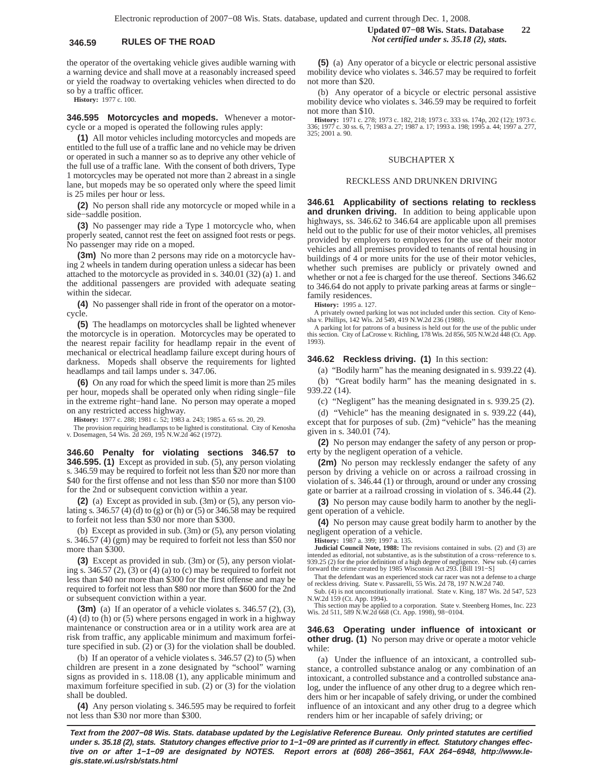the operator of the overtaking vehicle gives audible warning with a warning device and shall move at a reasonably increased speed or yield the roadway to overtaking vehicles when directed to do so by a traffic officer.

**History:** 1977 c. 100.

**346.595 Motorcycles and mopeds.** Whenever a motorcycle or a moped is operated the following rules apply:

**(1)** All motor vehicles including motorcycles and mopeds are entitled to the full use of a traffic lane and no vehicle may be driven or operated in such a manner so as to deprive any other vehicle of the full use of a traffic lane. With the consent of both drivers, Type 1 motorcycles may be operated not more than 2 abreast in a single lane, but mopeds may be so operated only where the speed limit is 25 miles per hour or less.

**(2)** No person shall ride any motorcycle or moped while in a side−saddle position.

**(3)** No passenger may ride a Type 1 motorcycle who, when properly seated, cannot rest the feet on assigned foot rests or pegs. No passenger may ride on a moped.

**(3m)** No more than 2 persons may ride on a motorcycle having 2 wheels in tandem during operation unless a sidecar has been attached to the motorcycle as provided in s. 340.01 (32) (a) 1. and the additional passengers are provided with adequate seating within the sidecar.

**(4)** No passenger shall ride in front of the operator on a motorcycle.

**(5)** The headlamps on motorcycles shall be lighted whenever the motorcycle is in operation. Motorcycles may be operated to the nearest repair facility for headlamp repair in the event of mechanical or electrical headlamp failure except during hours of darkness. Mopeds shall observe the requirements for lighted headlamps and tail lamps under s. 347.06.

**(6)** On any road for which the speed limit is more than 25 miles per hour, mopeds shall be operated only when riding single−file in the extreme right−hand lane. No person may operate a moped on any restricted access highway.

**History:** 1977 c. 288; 1981 c. 52; 1983 a. 243; 1985 a. 65 ss. 20, 29.

The provision requiring headlamps to be lighted is constitutional. City of Kenosha v. Dosemagen, 54 Wis. 2d 269, 195 N.W.2d 462 (1972).

**346.60 Penalty for violating sections 346.57 to 346.595. (1)** Except as provided in sub. (5), any person violating s. 346.59 may be required to forfeit not less than \$20 nor more than \$40 for the first offense and not less than \$50 nor more than \$100 for the 2nd or subsequent conviction within a year.

**(2)** (a) Except as provided in sub. (3m) or (5), any person violating s. 346.57 (4) (d) to (g) or (h) or (5) or 346.58 may be required to forfeit not less than \$30 nor more than \$300.

(b) Except as provided in sub. (3m) or (5), any person violating s. 346.57 (4) (gm) may be required to forfeit not less than \$50 nor more than \$300.

**(3)** Except as provided in sub. (3m) or (5), any person violating s. 346.57  $(2)$ ,  $(3)$  or  $(4)$   $(a)$  to  $(c)$  may be required to forfeit not less than \$40 nor more than \$300 for the first offense and may be required to forfeit not less than \$80 nor more than \$600 for the 2nd or subsequent conviction within a year.

**(3m)** (a) If an operator of a vehicle violates s. 346.57 (2), (3), (4) (d) to (h) or (5) where persons engaged in work in a highway maintenance or construction area or in a utility work area are at risk from traffic, any applicable minimum and maximum forfeiture specified in sub. (2) or (3) for the violation shall be doubled.

(b) If an operator of a vehicle violates s. 346.57 (2) to (5) when children are present in a zone designated by "school" warning signs as provided in s. 118.08 (1), any applicable minimum and maximum forfeiture specified in sub. (2) or (3) for the violation shall be doubled.

**(4)** Any person violating s. 346.595 may be required to forfeit not less than \$30 nor more than \$300.

**(5)** (a) Any operator of a bicycle or electric personal assistive mobility device who violates s. 346.57 may be required to forfeit not more than \$20.

(b) Any operator of a bicycle or electric personal assistive mobility device who violates s. 346.59 may be required to forfeit not more than \$10.

**History:** 1971 c. 278; 1973 c. 182, 218; 1973 c. 333 ss. 174p, 202 (12); 1973 c. 336; 1977 c. 30 ss. 6, 7; 1983 a. 27; 1987 a. 17; 1993 a. 198; 1995 a. 44; 1997 a. 277, 325; 2001 a. 90.

### SUBCHAPTER X

### RECKLESS AND DRUNKEN DRIVING

**346.61 Applicability of sections relating to reckless and drunken driving.** In addition to being applicable upon highways, ss. 346.62 to 346.64 are applicable upon all premises held out to the public for use of their motor vehicles, all premises provided by employers to employees for the use of their motor vehicles and all premises provided to tenants of rental housing in buildings of 4 or more units for the use of their motor vehicles, whether such premises are publicly or privately owned and whether or not a fee is charged for the use thereof. Sections 346.62 to 346.64 do not apply to private parking areas at farms or single− family residences.

**History:** 1995 a. 127.

A privately owned parking lot was not included under this section. City of Keno-sha v. Phillips, 142 Wis. 2d 549, 419 N.W.2d 236 (1988).

A parking lot for patrons of a business is held out for the use of the public under this section. City of LaCrosse v. Richling, 178 Wis. 2d 856, 505 N.W.2d 448 (Ct. App. 1993).

### **346.62 Reckless driving. (1)** In this section:

(a) "Bodily harm" has the meaning designated in s. 939.22 (4).

(b) "Great bodily harm" has the meaning designated in s. 939.22 (14).

(c) "Negligent" has the meaning designated in s. 939.25 (2).

(d) "Vehicle" has the meaning designated in s. 939.22 (44), except that for purposes of sub. (2m) "vehicle" has the meaning given in s. 340.01 (74).

**(2)** No person may endanger the safety of any person or property by the negligent operation of a vehicle.

**(2m)** No person may recklessly endanger the safety of any person by driving a vehicle on or across a railroad crossing in violation of s. 346.44 (1) or through, around or under any crossing gate or barrier at a railroad crossing in violation of s. 346.44 (2).

**(3)** No person may cause bodily harm to another by the negligent operation of a vehicle.

**(4)** No person may cause great bodily harm to another by the negligent operation of a vehicle.

**History:** 1987 a. 399; 1997 a. 135.

**Judicial Council Note, 1988:** The revisions contained in subs. (2) and (3) are intended as editorial, not substantive, as is the substitution of a cross−reference to s. 939.25 (2) for the prior definition of a high degree of negligence. New sub. (4) carries forward the crime created by 1985 Wisconsin Act 293. [Bill 191−S]

That the defendant was an experienced stock car racer was not a defense to a charge of reckless driving. State v. Passarelli, 55 Wis. 2d 78, 197 N.W.2d 740.

Sub. (4) is not unconstitutionally irrational. State v. King, 187 Wis. 2d 547, 523 N.W.2d 159 (Ct. App. 1994).

This section may be applied to a corporation. State v. Steenberg Homes, Inc. 223 Wis. 2d 511, 589 N.W.2d 668 (Ct. App. 1998), 98−0104.

**346.63 Operating under influence of intoxicant or other drug. (1)** No person may drive or operate a motor vehicle while:

(a) Under the influence of an intoxicant, a controlled substance, a controlled substance analog or any combination of an intoxicant, a controlled substance and a controlled substance analog, under the influence of any other drug to a degree which renders him or her incapable of safely driving, or under the combined influence of an intoxicant and any other drug to a degree which renders him or her incapable of safely driving; or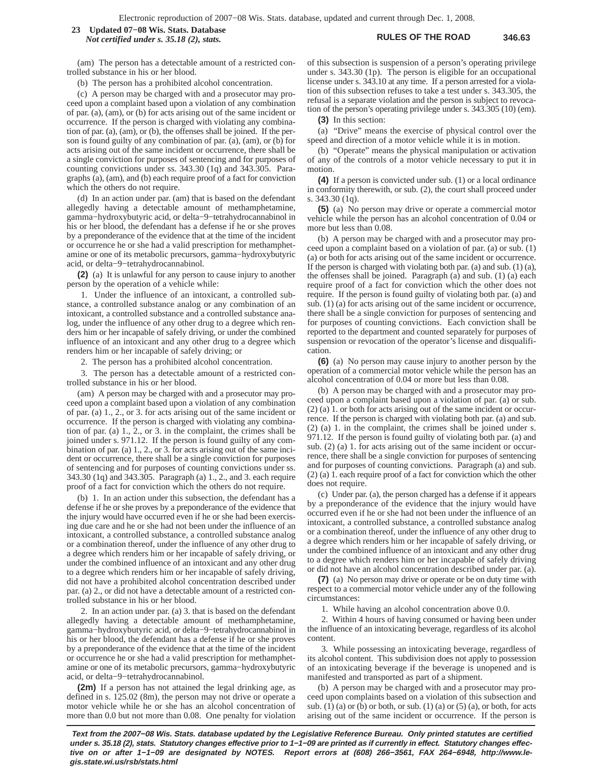### **RULES OF THE ROAD 346.63 23 Updated 07−08 Wis. Stats. Database** *Not certified under s. 35.18 (2), stats.*

(am) The person has a detectable amount of a restricted controlled substance in his or her blood.

(b) The person has a prohibited alcohol concentration.

(c) A person may be charged with and a prosecutor may proceed upon a complaint based upon a violation of any combination of par. (a), (am), or (b) for acts arising out of the same incident or occurrence. If the person is charged with violating any combination of par. (a), (am), or (b), the offenses shall be joined. If the person is found guilty of any combination of par. (a), (am), or (b) for acts arising out of the same incident or occurrence, there shall be a single conviction for purposes of sentencing and for purposes of counting convictions under ss. 343.30 (1q) and 343.305. Paragraphs (a), (am), and (b) each require proof of a fact for conviction which the others do not require.

(d) In an action under par. (am) that is based on the defendant allegedly having a detectable amount of methamphetamine, gamma−hydroxybutyric acid, or delta−9−tetrahydrocannabinol in his or her blood, the defendant has a defense if he or she proves by a preponderance of the evidence that at the time of the incident or occurrence he or she had a valid prescription for methamphetamine or one of its metabolic precursors, gamma−hydroxybutyric acid, or delta−9−tetrahydrocannabinol.

**(2)** (a) It is unlawful for any person to cause injury to another person by the operation of a vehicle while:

1. Under the influence of an intoxicant, a controlled substance, a controlled substance analog or any combination of an intoxicant, a controlled substance and a controlled substance analog, under the influence of any other drug to a degree which renders him or her incapable of safely driving, or under the combined influence of an intoxicant and any other drug to a degree which renders him or her incapable of safely driving; or

2. The person has a prohibited alcohol concentration.

3. The person has a detectable amount of a restricted controlled substance in his or her blood.

(am) A person may be charged with and a prosecutor may proceed upon a complaint based upon a violation of any combination of par. (a) 1., 2., or 3. for acts arising out of the same incident or occurrence. If the person is charged with violating any combination of par. (a) 1., 2., or 3. in the complaint, the crimes shall be joined under s. 971.12. If the person is found guilty of any combination of par. (a) 1., 2., or 3. for acts arising out of the same incident or occurrence, there shall be a single conviction for purposes of sentencing and for purposes of counting convictions under ss. 343.30 (1q) and 343.305. Paragraph (a) 1., 2., and 3. each require proof of a fact for conviction which the others do not require.

(b) 1. In an action under this subsection, the defendant has a defense if he or she proves by a preponderance of the evidence that the injury would have occurred even if he or she had been exercising due care and he or she had not been under the influence of an intoxicant, a controlled substance, a controlled substance analog or a combination thereof, under the influence of any other drug to a degree which renders him or her incapable of safely driving, or under the combined influence of an intoxicant and any other drug to a degree which renders him or her incapable of safely driving, did not have a prohibited alcohol concentration described under par. (a) 2., or did not have a detectable amount of a restricted controlled substance in his or her blood.

2. In an action under par. (a) 3. that is based on the defendant allegedly having a detectable amount of methamphetamine, gamma−hydroxybutyric acid, or delta−9−tetrahydrocannabinol in his or her blood, the defendant has a defense if he or she proves by a preponderance of the evidence that at the time of the incident or occurrence he or she had a valid prescription for methamphetamine or one of its metabolic precursors, gamma−hydroxybutyric acid, or delta−9−tetrahydrocannabinol.

**(2m)** If a person has not attained the legal drinking age, as defined in s. 125.02 (8m), the person may not drive or operate a motor vehicle while he or she has an alcohol concentration of more than 0.0 but not more than 0.08. One penalty for violation of this subsection is suspension of a person's operating privilege under s. 343.30 (1p). The person is eligible for an occupational license under s. 343.10 at any time. If a person arrested for a violation of this subsection refuses to take a test under s. 343.305, the refusal is a separate violation and the person is subject to revocation of the person's operating privilege under s. 343.305 (10) (em).

**(3)** In this section:

(a) "Drive" means the exercise of physical control over the speed and direction of a motor vehicle while it is in motion.

(b) "Operate" means the physical manipulation or activation of any of the controls of a motor vehicle necessary to put it in motion.

**(4)** If a person is convicted under sub. (1) or a local ordinance in conformity therewith, or sub. (2), the court shall proceed under s. 343.30 (1q).

**(5)** (a) No person may drive or operate a commercial motor vehicle while the person has an alcohol concentration of 0.04 or more but less than 0.08.

(b) A person may be charged with and a prosecutor may proceed upon a complaint based on a violation of par. (a) or sub. (1) (a) or both for acts arising out of the same incident or occurrence. If the person is charged with violating both par. (a) and sub. (1) (a), the offenses shall be joined. Paragraph (a) and sub. (1) (a) each require proof of a fact for conviction which the other does not require. If the person is found guilty of violating both par. (a) and sub. (1) (a) for acts arising out of the same incident or occurrence, there shall be a single conviction for purposes of sentencing and for purposes of counting convictions. Each conviction shall be reported to the department and counted separately for purposes of suspension or revocation of the operator's license and disqualification.

**(6)** (a) No person may cause injury to another person by the operation of a commercial motor vehicle while the person has an alcohol concentration of 0.04 or more but less than 0.08.

(b) A person may be charged with and a prosecutor may proceed upon a complaint based upon a violation of par. (a) or sub. (2) (a) 1. or both for acts arising out of the same incident or occurrence. If the person is charged with violating both par. (a) and sub. (2) (a) 1. in the complaint, the crimes shall be joined under s. 971.12. If the person is found guilty of violating both par. (a) and sub. (2) (a) 1. for acts arising out of the same incident or occurrence, there shall be a single conviction for purposes of sentencing and for purposes of counting convictions. Paragraph (a) and sub. (2) (a) 1. each require proof of a fact for conviction which the other does not require.

(c) Under par. (a), the person charged has a defense if it appears by a preponderance of the evidence that the injury would have occurred even if he or she had not been under the influence of an intoxicant, a controlled substance, a controlled substance analog or a combination thereof, under the influence of any other drug to a degree which renders him or her incapable of safely driving, or under the combined influence of an intoxicant and any other drug to a degree which renders him or her incapable of safely driving or did not have an alcohol concentration described under par. (a).

**(7)** (a) No person may drive or operate or be on duty time with respect to a commercial motor vehicle under any of the following circumstances:

1. While having an alcohol concentration above 0.0.

2. Within 4 hours of having consumed or having been under the influence of an intoxicating beverage, regardless of its alcohol content.

3. While possessing an intoxicating beverage, regardless of its alcohol content. This subdivision does not apply to possession of an intoxicating beverage if the beverage is unopened and is manifested and transported as part of a shipment.

(b) A person may be charged with and a prosecutor may proceed upon complaints based on a violation of this subsection and sub. (1) (a) or (b) or both, or sub. (1) (a) or  $(5)$  (a), or both, for acts arising out of the same incident or occurrence. If the person is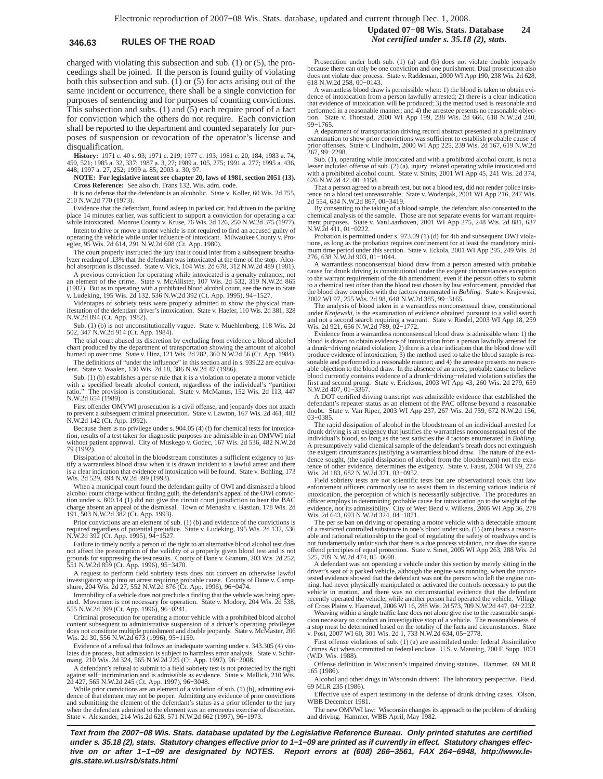charged with violating this subsection and sub. (1) or (5), the proceedings shall be joined. If the person is found guilty of violating both this subsection and sub. (1) or (5) for acts arising out of the same incident or occurrence, there shall be a single conviction for purposes of sentencing and for purposes of counting convictions. This subsection and subs. (1) and (5) each require proof of a fact for conviction which the others do not require. Each conviction shall be reported to the department and counted separately for purposes of suspension or revocation of the operator's license and disqualification.

**History:** 1971 c. 40 s. 93; 1971 c. 219; 1977 c. 193; 1981 c. 20, 184; 1983 a. 74, 459, 521; 1985 a. 32, 337; 1987 a. 3, 27; 1989 a. 105, 275; 1991 a. 277; 1995 a. 436, 448; 1997 a. 27, 252; 1999 a. 85; 2003 a. 30, 97.

**NOTE: For legislative intent see chapter 20, laws of 1981, section 2051 (13). Cross Reference:** See also ch. Trans 132, Wis. adm. code.

It is no defense that the defendant is an alcoholic. State v. Koller, 60 Wis. 2d 755, 210 N.W.2d 770 (1973).

Evidence that the defendant, found asleep in parked car, had driven to the parking place 14 minutes earlier, was sufficient to support a conviction for operating a car while intoxicated. Monroe County v. Kruse, 76 Wis. 2d 126, 250 N.W.2d 375 (1977).

Intent to drive or move a motor vehicle is not required to find an accused guilty of operating the vehicle while under influence of intoxicant. Milwaukee County v. Proegler, 95 Wis. 2d 614, 291 N.W.2d 608 (Ct. App. 1980).

The court properly instructed the jury that it could infer from a subsequent breathalyzer reading of .13% that the defendant was intoxicated at the time of the stop. Alcohol absorption is discussed. State v. Vick, 104 Wis. 2d 678, 312 N.W.2d 489 (1981).

A previous conviction for operating while intoxicated is a penalty enhancer, not an element of the crime. State v. McAllister, 107 Wis. 2d 532, 319 N.W.2d 865 (1982). But as to operating with a prohibited blood alcohol count, see the note to State v. Ludeking, 195 Wis. 2d 132, 536 N.W.2d 392 (Ct. App. 1995), 94−1527.

Videotapes of sobriety tests were properly admitted to show the physical manifestation of the defendant driver's intoxication. State v. Haefer, 110 Wis. 2d 381, 328 N.W.2d 894 (Ct. App. 1982).

Sub. (1) (b) is not unconstitutionally vague. State v. Muehlenberg, 118 Wis. 2d 502, 347 N.W.2d 914 (Ct. App. 1984).

The trial court abused its discretion by excluding from evidence a blood alcohol chart produced by the department of transportation showing the amount of alcohol burned up over time. State v. Hinz, 121 Wis. 2d 282, 360 N.W.2d 56 (Ct. App. 1984).

The definitions of "under the influence" in this section and in s. 939.22 are equiva-lent. State v. Waalen, 130 Wis. 2d 18, 386 N.W.2d 47 (1986).

Sub. (1) (b) establishes a per se rule that it is a violation to operate a motor vehicle with a specified breath alcohol content, regardless of the individual's "partition ratio." The provision is constitutional. State v. McManus, 152 Wis. 2d 113, 447 N.W.2d 654 (1989).

First offender OMVWI prosecution is a civil offense, and jeopardy does not attach to prevent a subsequent criminal prosecution. State v. Lawton, 167 Wis. 2d 461, 482 N.W.2d 142 (Ct. App. 1992).

Because there is no privilege under s. 904.05 (4) (f) for chemical tests for intoxication, results of a test taken for diagnostic purposes are admissible in an OMVWI trial without patient approval. City of Muskego v. Godec, 167 Wis. 2d 536, 482 N.W.2d 79 (1992).

Dissipation of alcohol in the bloodstream constitutes a sufficient exigency to justify a warrantless blood draw when it is drawn incident to a lawful arrest and there is a clear indication that evidence of intoxication will be found. State v. Bohling, 173 Wis. 2d 529, 494 N.W.2d 399 (1993).

When a municipal court found the defendant guilty of OWI and dismissed a blood alcohol count charge without finding guilt, the defendant's appeal of the OWI conviction under s. 800.14 (1) did not give the circuit court jurisdiction to hear the BAC charge absent an appeal of the dismissal. Town of Menasha v. Bastian, 178 Wis. 2d 191, 503 N.W.2d 382 (Ct. App. 1993).

Prior convictions are an element of sub. (1) (b) and evidence of the convictions is required regardless of potential prejudice. State v. Ludeking, 195 Wis. 2d 132, 536 N.W.2d 392 (Ct. App. 1995), 94−1527.

Failure to timely notify a person of the right to an alternative blood alcohol test does<br>not affect the presumption of the validity of a properly given blood test and is not<br>grounds for suppressing the test results. County

A request to perform field sobriety tests does not convert an otherwise lawful investigatory stop into an arrest requiring probable cause. County of Dane v. Camp-shure, 204 Wis. 2d 27, 552 N.W.2d 876 (Ct. App. 1996), 96−0474.

Immobility of a vehicle does not preclude a finding that the vehicle was being op ated. Movement is not necessary for operation. State v. Modory, 204 Wis. 2d 538, 555 N.W.2d 399 (Ct. App. 1996), 96−0241.

Criminal prosecution for operating a motor vehicle with a prohibited blood alcohol content subsequent to administrative suspension of a driver's operating privileges does not constitute multiple punishment and double jeopardy. State v. McMaster, 206 Wis. 2d 30, 556 N.W.2d 673 (1996), 95−1159.

Evidence of a refusal that follows an inadequate warning under s. 343.305 (4) violates due process, but admission is subject to harmless error analysis. State v. Schir-mang, 210 Wis. 2d 324, 565 N.W.2d 225 (Ct. App. 1997), 96−2008.

A defendant's refusal to submit to a field sobriety test is not protected by the right against self−incrimination and is admissible as evidence. State v. Mallick, 210 Wis.

2d 427, 565 N.W.2d 245 (Ct. App. 1997), 96−3048. While prior convictions are an element of a violation of sub. (1) (b), admitting evidence of that element may not be proper. Admitting any evidence of prior convictions and submitting the element of the defendant's status as a prior offender to the jury when the defendant admitted to the element was an erroneous exercise of discretion. State v. Alexander, 214 Wis.2d 628, 571 N.W.2d 662 (1997), 96−1973.

Prosecution under both sub. (1) (a) and (b) does not violate double jeopardy because there can only be one conviction and one punishment. Dual prosecution also does not violate due process. State v. Raddeman, 2000 WI App 190, 238 Wis. 2d 628, 618 N.W.2d 258, 00−0143.

A warrantless blood draw is permissible when: 1) the blood is taken to obtain evidence of intoxication from a person lawfully arrested; 2) there is a clear indication that evidence of intoxication will be produced; 3) the method used is reasonable and performed in a reasonable manner; and 4) the arrestee presents no reasonable objec-tion. State v. Thorstad, 2000 WI App 199, 238 Wis. 2d 666, 618 N.W.2d 240, 99−1765.

A department of transportation driving record abstract presented at a preliminary examination to show prior convictions was sufficient to establish probable cause of prior offenses. State v. Lindholm, 2000 WI App 225, 239 Wis. 2d 167, 619 N.W.2d 267, 99−2298.

Sub. (1), operating while intoxicated and with a prohibited alcohol count, is not a lesser included offense of sub. (2) (a), injury−related operating while intoxicated and with a prohibited alcohol count. State v. Smits, 2001 WI App 45, 241 Wis. 2d 374,

626 N.W.2d 42, 00−1158. That a person agreed to a breath test, but not a blood test, did not render police insistence on a blood test unreasonable. State v. Wodenjak, 2001 WI App 216, 247 Wis. 2d 554, 634 N.W.2d 867, 00−3419.

By consenting to the taking of a blood sample, the defendant also consented to the chemical analysis of the sample. Those are not separate events for warrant requirement purposes. State v. VanLaarhoven, 2001 WI App 275, 248 Wis. 2d 881, 637 N.W.2d 411, 01−0222.

Probation is permitted under s. 973.09 (1) (d) for 4th and subsequent OWI violations, as long as the probation requires confinement for at least the mandatory mini-mum time period under this section. State v. Eckola, 2001 WI App 295, 249 Wis. 2d 276, 638 N.W.2d 903, 01−1044.

A warrantless nonconsensual blood draw from a person arrested with probable cause for drunk driving is constitutional under the exigent circumstances exception to the warrant requirement of the 4th amendment, even if the person offers to submit to a chemical test other than the blood test chosen by law enforcement, provided that the blood draw complies with the factors enumerated in *Bohling.* State v. Krajewski, 2002 WI 97, 255 Wis. 2d 98, 648 N.W.2d 385, 99−3165.

The analysis of blood taken in a warrantless nonconsensual draw, constitutional under *Krajewski,* is the examination of evidence obtained pursuant to a valid search and not a second search requiring a warrant. State v. Riedel, 2003 WI App 18, 259 Wis. 2d 921, 656 N.W.2d 789, 02−1772.

Evidence from a warrantless nonconsensual blood draw is admissible when: 1) the blood is drawn to obtain evidence of intoxication from a person lawfully arrested for a drunk−driving related violation; 2) there is a clear indication that the blood draw will produce evidence of intoxication; 3) the method used to take the blood sample is reasonable and performed in a reasonable manner; and 4) the arrestee presents no reason-<br>able objection to the blood draw. In the absence of an arrest, probable cause to believe blood currently contains evidence of a drunk−driving−related violation satisfies the first and second prong. State v. Erickson, 2003 WI App 43, 260 Wis. 2d 279, 659 N.W.2d 407, 01−3367.

A DOT certified driving transcript was admissible evidence that established the defendant's repeater status as an element of the PAC offense beyond a reasonable doubt. State v. Van Riper, 2003 WI App 237, 267 Wis. 2d 759, 672 N.W.2d 156, 03−0385.

The rapid dissipation of alcohol in the bloodstream of an individual arrested for drunk driving is an exigency that justifies the warrantless nonconsensual test of the individual's blood, so long as the test satisfies the 4 factors enumerated in *Bohling*. A presumptively valid chemical sample of the defendant's breath does not extinguish the exigent circumstances justifying a warrantless blood draw. The nature of the evi-dence sought, (the rapid dissipation of alcohol from the bloodstream) not the existence of other evidence, determines the exigency. State v. Faust, 2004 WI 99, 274 Wis. 2d 183, 682 N.W.2d 371, 03−0952.

Field sobriety tests are not scientific tests but are observational tools that law enforcement officers commonly use to assist them in discerning various indicia of intoxication, the perception of which is necessarily subjective. The procedures an<br>officer employs in determining probable cause for intoxication go to the weight of the<br>evidence, not its admissibility. City of West Bend v Wis. 2d 643, 693 N.W.2d 324, 04–1871.<br>The per se ban on driving or operating a motor vehicle with a detectable amount

of a restricted controlled substance in one's blood under sub. (1) (am) bears a reasonable and rational relationship to the goal of regulating the safety of roadways and is not fundamentally unfair such that there is a due process violation, nor does the statute offend principles of equal protection. State v. Smet, 2005 WI App 263, 288 Wis. 2d 525, 709 N.W.2d 474, 05−0690.

A defendant was not operating a vehicle under this section by merely sitting in the driver's seat of a parked vehicle, although the engine was running, when the uncontested evidence showed that the defendant was not the person who left the engine running, had never physically manipulated or activated the controls necessary to put the vehicle in motion, and there was no circumstantial evidence that the defendant recently operated the vehicle, while another person had operated the vehicle. Village of Cross Plains v. Haanstad, 2006 WI 16, 288 Wis. 2d 573, 709 N.W.2d 447, 04−2232.

Weaving within a single traffic lane does not alone give rise to the reasonable suspicion necessary to conduct an investigative stop of a vehicle. The reasonableness of a stop must be determined based on the totality of the facts and circumstances. State v. Post, 2007 WI 60, 301 Wis. 2d 1, 733 N.W.2d 634, 05−2778.

First offense violations of sub. (1) (a) are assimilated under federal Assimilative Crimes Act when committed on federal enclave. U.S. v. Manning, 700 F. Supp. 1001 (W.D. Wis. 1988).

Offense definition in Wisconsin's impaired driving statutes. Hammer. 69 MLR 165 (1986).

Alcohol and other drugs in Wisconsin drivers: The laboratory perspective. Field. 69 MLR 235 (1986).

Effective use of expert testimony in the defense of drunk driving cases. Olson, WBB December 1981.

The new OMVWI law: Wisconsin changes its approach to the problem of drinking and driving. Hammer, WBB April, May 1982.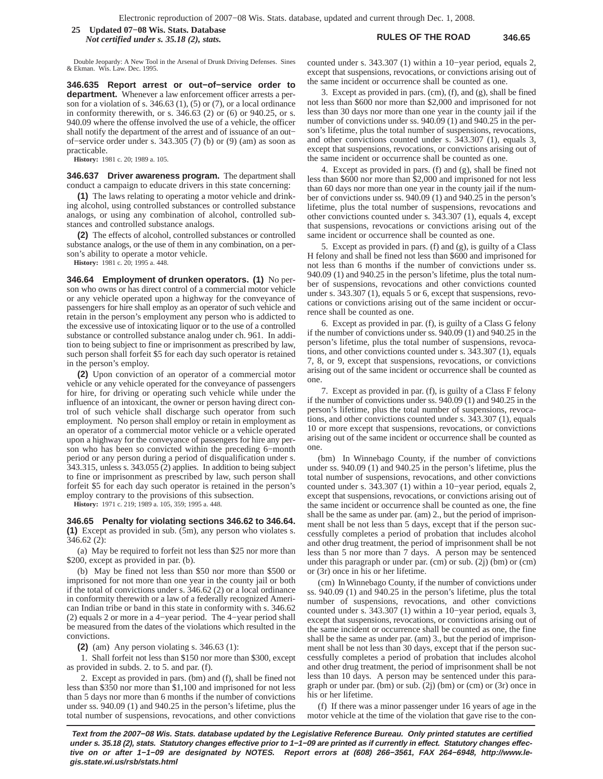### **RULES OF THE ROAD 346.65 25 Updated 07−08 Wis. Stats. Database** *Not certified under s. 35.18 (2), stats.*

Double Jeopardy: A New Tool in the Arsenal of Drunk Driving Defenses. Sines & Ekman. Wis. Law. Dec. 1995.

**346.635 Report arrest or out−of−service order to department.** Whenever a law enforcement officer arrests a person for a violation of s.  $346.63$  (1), (5) or (7), or a local ordinance in conformity therewith, or s. 346.63 (2) or (6) or 940.25, or s. 940.09 where the offense involved the use of a vehicle, the officer shall notify the department of the arrest and of issuance of an out− of−service order under s. 343.305 (7) (b) or (9) (am) as soon as practicable.

**History:** 1981 c. 20; 1989 a. 105.

**346.637 Driver awareness program.** The department shall conduct a campaign to educate drivers in this state concerning:

**(1)** The laws relating to operating a motor vehicle and drinking alcohol, using controlled substances or controlled substance analogs, or using any combination of alcohol, controlled substances and controlled substance analogs.

**(2)** The effects of alcohol, controlled substances or controlled substance analogs, or the use of them in any combination, on a person's ability to operate a motor vehicle.

**History:** 1981 c. 20; 1995 a. 448.

**346.64 Employment of drunken operators. (1)** No person who owns or has direct control of a commercial motor vehicle or any vehicle operated upon a highway for the conveyance of passengers for hire shall employ as an operator of such vehicle and retain in the person's employment any person who is addicted to the excessive use of intoxicating liquor or to the use of a controlled substance or controlled substance analog under ch. 961. In addition to being subject to fine or imprisonment as prescribed by law, such person shall forfeit \$5 for each day such operator is retained in the person's employ.

**(2)** Upon conviction of an operator of a commercial motor vehicle or any vehicle operated for the conveyance of passengers for hire, for driving or operating such vehicle while under the influence of an intoxicant, the owner or person having direct control of such vehicle shall discharge such operator from such employment. No person shall employ or retain in employment as an operator of a commercial motor vehicle or a vehicle operated upon a highway for the conveyance of passengers for hire any person who has been so convicted within the preceding 6−month period or any person during a period of disqualification under s. 343.315, unless s. 343.055 (2) applies. In addition to being subject to fine or imprisonment as prescribed by law, such person shall forfeit \$5 for each day such operator is retained in the person's employ contrary to the provisions of this subsection.

**History:** 1971 c. 219; 1989 a. 105, 359; 1995 a. 448.

**346.65 Penalty for violating sections 346.62 to 346.64. (1)** Except as provided in sub. (5m), any person who violates s.

346.62 (2): (a) May be required to forfeit not less than \$25 nor more than \$200, except as provided in par. (b).

(b) May be fined not less than \$50 nor more than \$500 or imprisoned for not more than one year in the county jail or both if the total of convictions under s. 346.62 (2) or a local ordinance in conformity therewith or a law of a federally recognized American Indian tribe or band in this state in conformity with s. 346.62 (2) equals 2 or more in a 4−year period. The 4−year period shall be measured from the dates of the violations which resulted in the convictions.

**(2)** (am) Any person violating s. 346.63 (1):

1. Shall forfeit not less than \$150 nor more than \$300, except as provided in subds. 2. to 5. and par. (f).

2. Except as provided in pars. (bm) and (f), shall be fined not less than \$350 nor more than \$1,100 and imprisoned for not less than 5 days nor more than 6 months if the number of convictions under ss. 940.09 (1) and 940.25 in the person's lifetime, plus the total number of suspensions, revocations, and other convictions counted under s. 343.307 (1) within a 10−year period, equals 2, except that suspensions, revocations, or convictions arising out of the same incident or occurrence shall be counted as one.

3. Except as provided in pars. (cm), (f), and (g), shall be fined not less than \$600 nor more than \$2,000 and imprisoned for not less than 30 days nor more than one year in the county jail if the number of convictions under ss. 940.09 (1) and 940.25 in the person's lifetime, plus the total number of suspensions, revocations, and other convictions counted under s. 343.307 (1), equals 3, except that suspensions, revocations, or convictions arising out of the same incident or occurrence shall be counted as one.

4. Except as provided in pars. (f) and (g), shall be fined not less than \$600 nor more than \$2,000 and imprisoned for not less than 60 days nor more than one year in the county jail if the number of convictions under ss. 940.09 (1) and 940.25 in the person's lifetime, plus the total number of suspensions, revocations and other convictions counted under s. 343.307 (1), equals 4, except that suspensions, revocations or convictions arising out of the same incident or occurrence shall be counted as one.

5. Except as provided in pars. (f) and (g), is guilty of a Class H felony and shall be fined not less than \$600 and imprisoned for not less than 6 months if the number of convictions under ss. 940.09 (1) and 940.25 in the person's lifetime, plus the total number of suspensions, revocations and other convictions counted under s. 343.307 (1), equals 5 or 6, except that suspensions, revocations or convictions arising out of the same incident or occurrence shall be counted as one.

6. Except as provided in par. (f), is guilty of a Class G felony if the number of convictions under ss. 940.09 (1) and 940.25 in the person's lifetime, plus the total number of suspensions, revocations, and other convictions counted under s. 343.307 (1), equals 7, 8, or 9, except that suspensions, revocations, or convictions arising out of the same incident or occurrence shall be counted as one.

7. Except as provided in par. (f), is guilty of a Class F felony if the number of convictions under ss. 940.09 (1) and 940.25 in the person's lifetime, plus the total number of suspensions, revocations, and other convictions counted under s. 343.307 (1), equals 10 or more except that suspensions, revocations, or convictions arising out of the same incident or occurrence shall be counted as one.

(bm) In Winnebago County, if the number of convictions under ss. 940.09 (1) and 940.25 in the person's lifetime, plus the total number of suspensions, revocations, and other convictions counted under s. 343.307 (1) within a 10−year period, equals 2, except that suspensions, revocations, or convictions arising out of the same incident or occurrence shall be counted as one, the fine shall be the same as under par. (am) 2., but the period of imprisonment shall be not less than 5 days, except that if the person successfully completes a period of probation that includes alcohol and other drug treatment, the period of imprisonment shall be not less than 5 nor more than 7 days. A person may be sentenced under this paragraph or under par. (cm) or sub. (2j) (bm) or (cm) or (3r) once in his or her lifetime.

(cm) In Winnebago County, if the number of convictions under ss. 940.09 (1) and 940.25 in the person's lifetime, plus the total number of suspensions, revocations, and other convictions counted under s. 343.307 (1) within a 10−year period, equals 3, except that suspensions, revocations, or convictions arising out of the same incident or occurrence shall be counted as one, the fine shall be the same as under par. (am) 3., but the period of imprisonment shall be not less than 30 days, except that if the person successfully completes a period of probation that includes alcohol and other drug treatment, the period of imprisonment shall be not less than 10 days. A person may be sentenced under this paragraph or under par. (bm) or sub. (2j) (bm) or (cm) or (3r) once in his or her lifetime.

(f) If there was a minor passenger under 16 years of age in the motor vehicle at the time of the violation that gave rise to the con-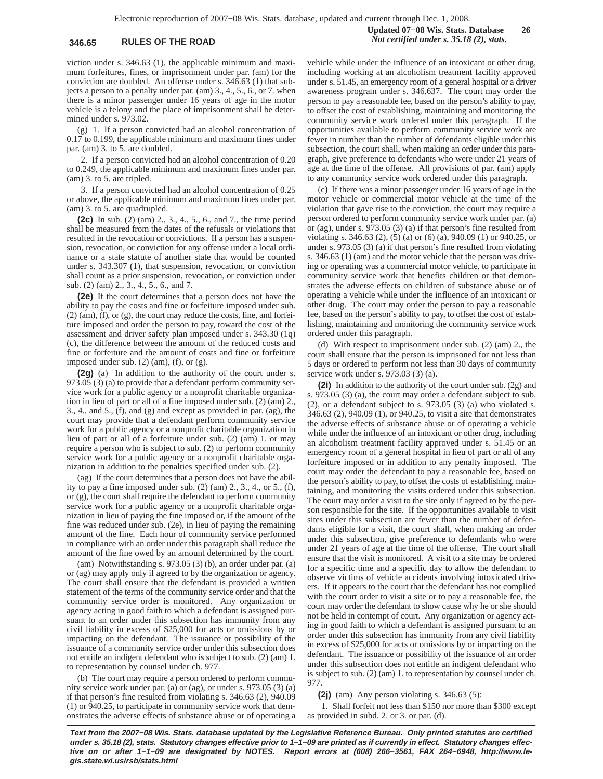## **346.65 RULES OF THE ROAD** *Not certified under s. 35.18 (2), stats.*

viction under s. 346.63 (1), the applicable minimum and maximum forfeitures, fines, or imprisonment under par. (am) for the conviction are doubled. An offense under s. 346.63 (1) that subjects a person to a penalty under par. (am) 3., 4., 5., 6., or 7. when there is a minor passenger under 16 years of age in the motor vehicle is a felony and the place of imprisonment shall be determined under s. 973.02.

(g) 1. If a person convicted had an alcohol concentration of 0.17 to 0.199, the applicable minimum and maximum fines under par. (am) 3. to 5. are doubled.

2. If a person convicted had an alcohol concentration of 0.20 to 0.249, the applicable minimum and maximum fines under par. (am) 3. to 5. are tripled.

3. If a person convicted had an alcohol concentration of 0.25 or above, the applicable minimum and maximum fines under par. (am) 3. to 5. are quadrupled.

**(2c)** In sub. (2) (am) 2., 3., 4., 5., 6., and 7., the time period shall be measured from the dates of the refusals or violations that resulted in the revocation or convictions. If a person has a suspension, revocation, or conviction for any offense under a local ordinance or a state statute of another state that would be counted under s. 343.307 (1), that suspension, revocation, or conviction shall count as a prior suspension, revocation, or conviction under sub. (2) (am) 2., 3., 4., 5., 6., and 7.

**(2e)** If the court determines that a person does not have the ability to pay the costs and fine or forfeiture imposed under sub. (2) (am), (f), or (g), the court may reduce the costs, fine, and forfeiture imposed and order the person to pay, toward the cost of the assessment and driver safety plan imposed under s. 343.30 (1q) (c), the difference between the amount of the reduced costs and fine or forfeiture and the amount of costs and fine or forfeiture imposed under sub.  $(2)$  (am),  $(f)$ , or  $(g)$ .

**(2g)** (a) In addition to the authority of the court under s.  $973.05$  (3) (a) to provide that a defendant perform community service work for a public agency or a nonprofit charitable organization in lieu of part or all of a fine imposed under sub. (2) (am) 2., 3., 4., and 5., (f), and (g) and except as provided in par. (ag), the court may provide that a defendant perform community service work for a public agency or a nonprofit charitable organization in lieu of part or all of a forfeiture under sub. (2) (am) 1. or may require a person who is subject to sub. (2) to perform community service work for a public agency or a nonprofit charitable organization in addition to the penalties specified under sub. (2).

(ag) If the court determines that a person does not have the ability to pay a fine imposed under sub. (2) (am) 2., 3., 4., or 5., (f), or (g), the court shall require the defendant to perform community service work for a public agency or a nonprofit charitable organization in lieu of paying the fine imposed or, if the amount of the fine was reduced under sub. (2e), in lieu of paying the remaining amount of the fine. Each hour of community service performed in compliance with an order under this paragraph shall reduce the amount of the fine owed by an amount determined by the court.

(am) Notwithstanding s. 973.05 (3) (b), an order under par. (a) or (ag) may apply only if agreed to by the organization or agency. The court shall ensure that the defendant is provided a written statement of the terms of the community service order and that the community service order is monitored. Any organization or agency acting in good faith to which a defendant is assigned pursuant to an order under this subsection has immunity from any civil liability in excess of \$25,000 for acts or omissions by or impacting on the defendant. The issuance or possibility of the issuance of a community service order under this subsection does not entitle an indigent defendant who is subject to sub. (2) (am) 1. to representation by counsel under ch. 977.

(b) The court may require a person ordered to perform community service work under par. (a) or (ag), or under s. 973.05 (3) (a) if that person's fine resulted from violating s. 346.63 (2), 940.09 (1) or 940.25, to participate in community service work that demonstrates the adverse effects of substance abuse or of operating a

vehicle while under the influence of an intoxicant or other drug, including working at an alcoholism treatment facility approved under s. 51.45, an emergency room of a general hospital or a driver awareness program under s. 346.637. The court may order the person to pay a reasonable fee, based on the person's ability to pay, to offset the cost of establishing, maintaining and monitoring the community service work ordered under this paragraph. If the opportunities available to perform community service work are fewer in number than the number of defendants eligible under this subsection, the court shall, when making an order under this paragraph, give preference to defendants who were under 21 years of age at the time of the offense. All provisions of par. (am) apply to any community service work ordered under this paragraph.

(c) If there was a minor passenger under 16 years of age in the motor vehicle or commercial motor vehicle at the time of the violation that gave rise to the conviction, the court may require a person ordered to perform community service work under par. (a) or (ag), under s. 973.05 (3) (a) if that person's fine resulted from violating s. 346.63 (2), (5) (a) or (6) (a), 940.09 (1) or 940.25, or under s. 973.05 (3) (a) if that person's fine resulted from violating s. 346.63 (1) (am) and the motor vehicle that the person was driving or operating was a commercial motor vehicle, to participate in community service work that benefits children or that demonstrates the adverse effects on children of substance abuse or of operating a vehicle while under the influence of an intoxicant or other drug. The court may order the person to pay a reasonable fee, based on the person's ability to pay, to offset the cost of establishing, maintaining and monitoring the community service work ordered under this paragraph.

(d) With respect to imprisonment under sub. (2) (am) 2., the court shall ensure that the person is imprisoned for not less than 5 days or ordered to perform not less than 30 days of community service work under s. 973.03 (3) (a).

**(2i)** In addition to the authority of the court under sub. (2g) and s. 973.05 (3) (a), the court may order a defendant subject to sub. (2), or a defendant subject to s. 973.05 (3) (a) who violated s. 346.63 (2), 940.09 (1), or 940.25, to visit a site that demonstrates the adverse effects of substance abuse or of operating a vehicle while under the influence of an intoxicant or other drug, including an alcoholism treatment facility approved under s. 51.45 or an emergency room of a general hospital in lieu of part or all of any forfeiture imposed or in addition to any penalty imposed. The court may order the defendant to pay a reasonable fee, based on the person's ability to pay, to offset the costs of establishing, maintaining, and monitoring the visits ordered under this subsection. The court may order a visit to the site only if agreed to by the person responsible for the site. If the opportunities available to visit sites under this subsection are fewer than the number of defendants eligible for a visit, the court shall, when making an order under this subsection, give preference to defendants who were under 21 years of age at the time of the offense. The court shall ensure that the visit is monitored. A visit to a site may be ordered for a specific time and a specific day to allow the defendant to observe victims of vehicle accidents involving intoxicated drivers. If it appears to the court that the defendant has not complied with the court order to visit a site or to pay a reasonable fee, the court may order the defendant to show cause why he or she should not be held in contempt of court. Any organization or agency acting in good faith to which a defendant is assigned pursuant to an order under this subsection has immunity from any civil liability in excess of \$25,000 for acts or omissions by or impacting on the defendant. The issuance or possibility of the issuance of an order under this subsection does not entitle an indigent defendant who is subject to sub. (2) (am) 1. to representation by counsel under ch. 977.

**(2j)** (am) Any person violating s. 346.63 (5):

1. Shall forfeit not less than \$150 nor more than \$300 except as provided in subd. 2. or 3. or par. (d).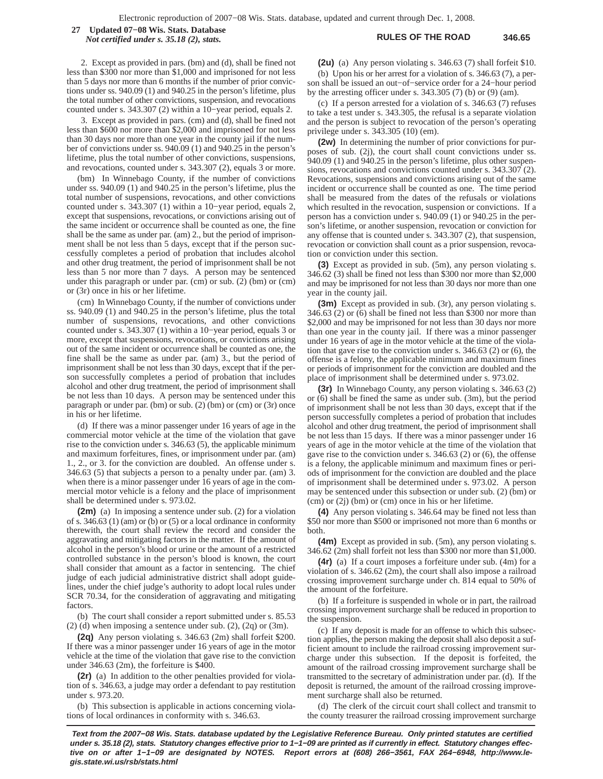**RULES OF THE ROAD 346.65 27 Updated 07−08 Wis. Stats. Database**

*Not certified under s. 35.18 (2), stats.*

2. Except as provided in pars. (bm) and (d), shall be fined not less than \$300 nor more than \$1,000 and imprisoned for not less than 5 days nor more than 6 months if the number of prior convictions under ss. 940.09 (1) and 940.25 in the person's lifetime, plus the total number of other convictions, suspension, and revocations counted under s. 343.307 (2) within a 10−year period, equals 2.

3. Except as provided in pars. (cm) and (d), shall be fined not less than \$600 nor more than \$2,000 and imprisoned for not less than 30 days nor more than one year in the county jail if the number of convictions under ss. 940.09 (1) and 940.25 in the person's lifetime, plus the total number of other convictions, suspensions, and revocations, counted under s. 343.307 (2), equals 3 or more.

(bm) In Winnebago County, if the number of convictions under ss. 940.09 (1) and 940.25 in the person's lifetime, plus the total number of suspensions, revocations, and other convictions counted under s. 343.307 (1) within a 10−year period, equals 2, except that suspensions, revocations, or convictions arising out of the same incident or occurrence shall be counted as one, the fine shall be the same as under par. (am) 2., but the period of imprisonment shall be not less than 5 days, except that if the person successfully completes a period of probation that includes alcohol and other drug treatment, the period of imprisonment shall be not less than 5 nor more than 7 days. A person may be sentenced under this paragraph or under par. (cm) or sub. (2) (bm) or (cm) or (3r) once in his or her lifetime.

(cm) In Winnebago County, if the number of convictions under ss. 940.09 (1) and 940.25 in the person's lifetime, plus the total number of suspensions, revocations, and other convictions counted under s. 343.307 (1) within a 10−year period, equals 3 or more, except that suspensions, revocations, or convictions arising out of the same incident or occurrence shall be counted as one, the fine shall be the same as under par. (am) 3., but the period of imprisonment shall be not less than 30 days, except that if the person successfully completes a period of probation that includes alcohol and other drug treatment, the period of imprisonment shall be not less than 10 days. A person may be sentenced under this paragraph or under par. (bm) or sub. (2) (bm) or (cm) or (3r) once in his or her lifetime.

(d) If there was a minor passenger under 16 years of age in the commercial motor vehicle at the time of the violation that gave rise to the conviction under s. 346.63 (5), the applicable minimum and maximum forfeitures, fines, or imprisonment under par. (am) 1., 2., or 3. for the conviction are doubled. An offense under s. 346.63 (5) that subjects a person to a penalty under par. (am) 3. when there is a minor passenger under 16 years of age in the commercial motor vehicle is a felony and the place of imprisonment shall be determined under s. 973.02.

**(2m)** (a) In imposing a sentence under sub. (2) for a violation of s. 346.63 (1) (am) or (b) or (5) or a local ordinance in conformity therewith, the court shall review the record and consider the aggravating and mitigating factors in the matter. If the amount of alcohol in the person's blood or urine or the amount of a restricted controlled substance in the person's blood is known, the court shall consider that amount as a factor in sentencing. The chief judge of each judicial administrative district shall adopt guidelines, under the chief judge's authority to adopt local rules under SCR 70.34, for the consideration of aggravating and mitigating factors.

(b) The court shall consider a report submitted under s. 85.53  $(2)$  (d) when imposing a sentence under sub.  $(2)$ ,  $(2q)$  or  $(3m)$ .

**(2q)** Any person violating s. 346.63 (2m) shall forfeit \$200. If there was a minor passenger under 16 years of age in the motor vehicle at the time of the violation that gave rise to the conviction under 346.63 (2m), the forfeiture is \$400.

**(2r)** (a) In addition to the other penalties provided for violation of s. 346.63, a judge may order a defendant to pay restitution under s. 973.20.

(b) This subsection is applicable in actions concerning violations of local ordinances in conformity with s. 346.63.

**(2u)** (a) Any person violating s. 346.63 (7) shall forfeit \$10. (b) Upon his or her arrest for a violation of s. 346.63 (7), a person shall be issued an out−of−service order for a 24−hour period by the arresting officer under s. 343.305 (7) (b) or (9) (am).

(c) If a person arrested for a violation of s. 346.63 (7) refuses to take a test under s. 343.305, the refusal is a separate violation and the person is subject to revocation of the person's operating privilege under s. 343.305 (10) (em).

**(2w)** In determining the number of prior convictions for purposes of sub. (2j), the court shall count convictions under ss. 940.09 (1) and 940.25 in the person's lifetime, plus other suspensions, revocations and convictions counted under s. 343.307 (2). Revocations, suspensions and convictions arising out of the same incident or occurrence shall be counted as one. The time period shall be measured from the dates of the refusals or violations which resulted in the revocation, suspension or convictions. If a person has a conviction under s. 940.09 (1) or 940.25 in the person's lifetime, or another suspension, revocation or conviction for any offense that is counted under s. 343.307 (2), that suspension, revocation or conviction shall count as a prior suspension, revocation or conviction under this section.

**(3)** Except as provided in sub. (5m), any person violating s. 346.62 (3) shall be fined not less than \$300 nor more than \$2,000 and may be imprisoned for not less than 30 days nor more than one year in the county jail.

**(3m)** Except as provided in sub. (3r), any person violating s. 346.63 (2) or (6) shall be fined not less than \$300 nor more than \$2,000 and may be imprisoned for not less than 30 days nor more than one year in the county jail. If there was a minor passenger under 16 years of age in the motor vehicle at the time of the violation that gave rise to the conviction under s. 346.63 (2) or (6), the offense is a felony, the applicable minimum and maximum fines or periods of imprisonment for the conviction are doubled and the place of imprisonment shall be determined under s. 973.02.

**(3r)** In Winnebago County, any person violating s. 346.63 (2) or (6) shall be fined the same as under sub. (3m), but the period of imprisonment shall be not less than 30 days, except that if the person successfully completes a period of probation that includes alcohol and other drug treatment, the period of imprisonment shall be not less than 15 days. If there was a minor passenger under 16 years of age in the motor vehicle at the time of the violation that gave rise to the conviction under s. 346.63 (2) or (6), the offense is a felony, the applicable minimum and maximum fines or periods of imprisonment for the conviction are doubled and the place of imprisonment shall be determined under s. 973.02. A person may be sentenced under this subsection or under sub. (2) (bm) or (cm) or (2j) (bm) or (cm) once in his or her lifetime.

**(4)** Any person violating s. 346.64 may be fined not less than \$50 nor more than \$500 or imprisoned not more than 6 months or both.

**(4m)** Except as provided in sub. (5m), any person violating s. 346.62 (2m) shall forfeit not less than \$300 nor more than \$1,000.

**(4r)** (a) If a court imposes a forfeiture under sub. (4m) for a violation of s. 346.62 (2m), the court shall also impose a railroad crossing improvement surcharge under ch. 814 equal to 50% of the amount of the forfeiture.

(b) If a forfeiture is suspended in whole or in part, the railroad crossing improvement surcharge shall be reduced in proportion to the suspension.

(c) If any deposit is made for an offense to which this subsection applies, the person making the deposit shall also deposit a sufficient amount to include the railroad crossing improvement surcharge under this subsection. If the deposit is forfeited, the amount of the railroad crossing improvement surcharge shall be transmitted to the secretary of administration under par. (d). If the deposit is returned, the amount of the railroad crossing improvement surcharge shall also be returned.

(d) The clerk of the circuit court shall collect and transmit to the county treasurer the railroad crossing improvement surcharge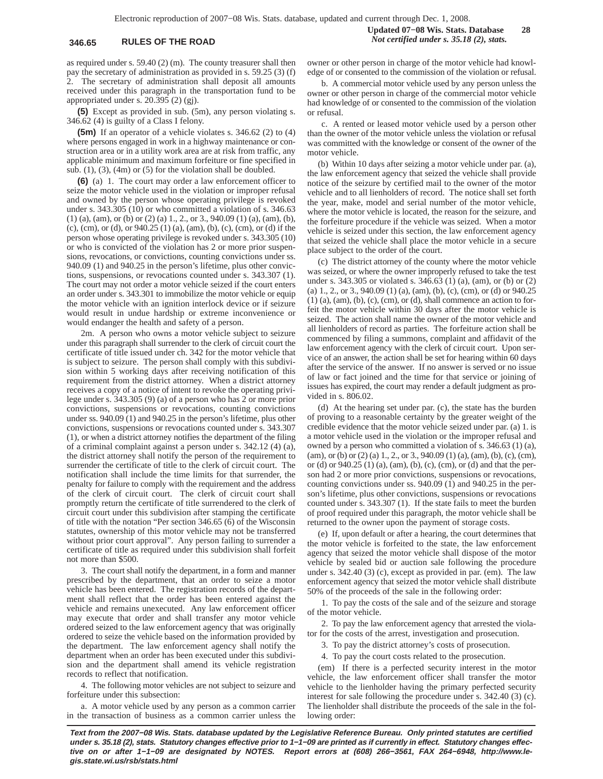as required under s. 59.40 (2) (m). The county treasurer shall then pay the secretary of administration as provided in s. 59.25 (3) (f) The secretary of administration shall deposit all amounts received under this paragraph in the transportation fund to be appropriated under s. 20.395 (2) (gj).

**(5)** Except as provided in sub. (5m), any person violating s. 346.62 (4) is guilty of a Class I felony.

**(5m)** If an operator of a vehicle violates s. 346.62 (2) to (4) where persons engaged in work in a highway maintenance or construction area or in a utility work area are at risk from traffic, any applicable minimum and maximum forfeiture or fine specified in sub.  $(1)$ ,  $(3)$ ,  $(4m)$  or  $(5)$  for the violation shall be doubled.

**(6)** (a) 1. The court may order a law enforcement officer to seize the motor vehicle used in the violation or improper refusal and owned by the person whose operating privilege is revoked under s. 343.305 (10) or who committed a violation of s. 346.63 (1) (a), (am), or (b) or (2) (a) 1., 2., or 3., 940.09 (1) (a), (am), (b), (c), (cm), or (d), or 940.25 (1) (a), (am), (b), (c), (cm), or (d) if the person whose operating privilege is revoked under s. 343.305 (10) or who is convicted of the violation has 2 or more prior suspensions, revocations, or convictions, counting convictions under ss. 940.09 (1) and 940.25 in the person's lifetime, plus other convictions, suspensions, or revocations counted under s. 343.307 (1). The court may not order a motor vehicle seized if the court enters an order under s. 343.301 to immobilize the motor vehicle or equip the motor vehicle with an ignition interlock device or if seizure would result in undue hardship or extreme inconvenience or would endanger the health and safety of a person.

2m. A person who owns a motor vehicle subject to seizure under this paragraph shall surrender to the clerk of circuit court the certificate of title issued under ch. 342 for the motor vehicle that is subject to seizure. The person shall comply with this subdivision within 5 working days after receiving notification of this requirement from the district attorney. When a district attorney receives a copy of a notice of intent to revoke the operating privilege under s. 343.305 (9) (a) of a person who has 2 or more prior convictions, suspensions or revocations, counting convictions under ss. 940.09 (1) and 940.25 in the person's lifetime, plus other convictions, suspensions or revocations counted under s. 343.307 (1), or when a district attorney notifies the department of the filing of a criminal complaint against a person under s. 342.12 (4) (a), the district attorney shall notify the person of the requirement to surrender the certificate of title to the clerk of circuit court. The notification shall include the time limits for that surrender, the penalty for failure to comply with the requirement and the address of the clerk of circuit court. The clerk of circuit court shall promptly return the certificate of title surrendered to the clerk of circuit court under this subdivision after stamping the certificate of title with the notation "Per section 346.65 (6) of the Wisconsin statutes, ownership of this motor vehicle may not be transferred without prior court approval". Any person failing to surrender a certificate of title as required under this subdivision shall forfeit not more than \$500.

3. The court shall notify the department, in a form and manner prescribed by the department, that an order to seize a motor vehicle has been entered. The registration records of the department shall reflect that the order has been entered against the vehicle and remains unexecuted. Any law enforcement officer may execute that order and shall transfer any motor vehicle ordered seized to the law enforcement agency that was originally ordered to seize the vehicle based on the information provided by the department. The law enforcement agency shall notify the department when an order has been executed under this subdivision and the department shall amend its vehicle registration records to reflect that notification.

4. The following motor vehicles are not subject to seizure and forfeiture under this subsection:

a. A motor vehicle used by any person as a common carrier in the transaction of business as a common carrier unless the

**Updated 07−08 Wis. Stats. Database 28 346.65 RULES OF THE ROAD** *Not certified under s. 35.18 (2), stats.*

> owner or other person in charge of the motor vehicle had knowledge of or consented to the commission of the violation or refusal.

> b. A commercial motor vehicle used by any person unless the owner or other person in charge of the commercial motor vehicle had knowledge of or consented to the commission of the violation or refusal.

> c. A rented or leased motor vehicle used by a person other than the owner of the motor vehicle unless the violation or refusal was committed with the knowledge or consent of the owner of the motor vehicle.

> (b) Within 10 days after seizing a motor vehicle under par. (a), the law enforcement agency that seized the vehicle shall provide notice of the seizure by certified mail to the owner of the motor vehicle and to all lienholders of record. The notice shall set forth the year, make, model and serial number of the motor vehicle, where the motor vehicle is located, the reason for the seizure, and the forfeiture procedure if the vehicle was seized. When a motor vehicle is seized under this section, the law enforcement agency that seized the vehicle shall place the motor vehicle in a secure place subject to the order of the court.

> (c) The district attorney of the county where the motor vehicle was seized, or where the owner improperly refused to take the test under s. 343.305 or violated s. 346.63 (1) (a), (am), or (b) or (2) (a) 1., 2., or 3., 940.09 (1) (a), (am), (b), (c), (cm), or (d) or 940.25  $(1)$  (a), (am), (b), (c), (cm), or (d), shall commence an action to forfeit the motor vehicle within 30 days after the motor vehicle is seized. The action shall name the owner of the motor vehicle and all lienholders of record as parties. The forfeiture action shall be commenced by filing a summons, complaint and affidavit of the law enforcement agency with the clerk of circuit court. Upon service of an answer, the action shall be set for hearing within 60 days after the service of the answer. If no answer is served or no issue of law or fact joined and the time for that service or joining of issues has expired, the court may render a default judgment as provided in s. 806.02.

> (d) At the hearing set under par. (c), the state has the burden of proving to a reasonable certainty by the greater weight of the credible evidence that the motor vehicle seized under par. (a) 1. is a motor vehicle used in the violation or the improper refusal and owned by a person who committed a violation of s. 346.63 (1) (a),  $(\text{am})$ , or (b) or (2) (a) 1, 2, or 3, 940.09 (1) (a), (am), (b), (c), (cm), or (d) or 940.25 (1) (a), (am), (b), (c), (cm), or (d) and that the person had 2 or more prior convictions, suspensions or revocations, counting convictions under ss. 940.09 (1) and 940.25 in the person's lifetime, plus other convictions, suspensions or revocations counted under s. 343.307 (1). If the state fails to meet the burden of proof required under this paragraph, the motor vehicle shall be returned to the owner upon the payment of storage costs.

> (e) If, upon default or after a hearing, the court determines that the motor vehicle is forfeited to the state, the law enforcement agency that seized the motor vehicle shall dispose of the motor vehicle by sealed bid or auction sale following the procedure under s. 342.40 (3) (c), except as provided in par. (em). The law enforcement agency that seized the motor vehicle shall distribute 50% of the proceeds of the sale in the following order:

> 1. To pay the costs of the sale and of the seizure and storage of the motor vehicle.

> 2. To pay the law enforcement agency that arrested the violator for the costs of the arrest, investigation and prosecution.

3. To pay the district attorney's costs of prosecution.

4. To pay the court costs related to the prosecution.

(em) If there is a perfected security interest in the motor vehicle, the law enforcement officer shall transfer the motor vehicle to the lienholder having the primary perfected security interest for sale following the procedure under s. 342.40 (3) (c). The lienholder shall distribute the proceeds of the sale in the following order: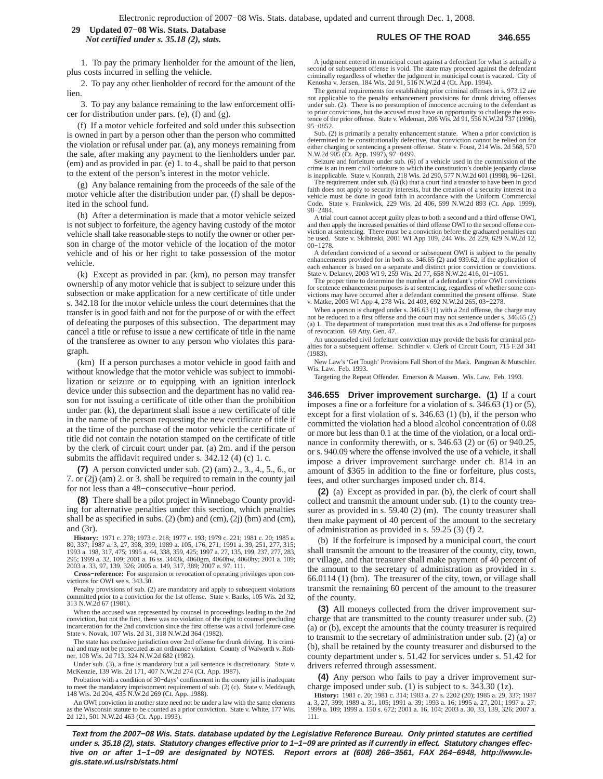### **RULES OF THE ROAD 346.655 29 Updated 07−08 Wis. Stats. Database** *Not certified under s. 35.18 (2), stats.*

1. To pay the primary lienholder for the amount of the lien, plus costs incurred in selling the vehicle.

2. To pay any other lienholder of record for the amount of the lien.

3. To pay any balance remaining to the law enforcement officer for distribution under pars. (e), (f) and (g).

(f) If a motor vehicle forfeited and sold under this subsection is owned in part by a person other than the person who committed the violation or refusal under par. (a), any moneys remaining from the sale, after making any payment to the lienholders under par. (em) and as provided in par. (e) 1. to 4., shall be paid to that person to the extent of the person's interest in the motor vehicle.

(g) Any balance remaining from the proceeds of the sale of the motor vehicle after the distribution under par. (f) shall be deposited in the school fund.

(h) After a determination is made that a motor vehicle seized is not subject to forfeiture, the agency having custody of the motor vehicle shall take reasonable steps to notify the owner or other person in charge of the motor vehicle of the location of the motor vehicle and of his or her right to take possession of the motor vehicle.

(k) Except as provided in par. (km), no person may transfer ownership of any motor vehicle that is subject to seizure under this subsection or make application for a new certificate of title under s. 342.18 for the motor vehicle unless the court determines that the transfer is in good faith and not for the purpose of or with the effect of defeating the purposes of this subsection. The department may cancel a title or refuse to issue a new certificate of title in the name of the transferee as owner to any person who violates this paragraph.

(km) If a person purchases a motor vehicle in good faith and without knowledge that the motor vehicle was subject to immobilization or seizure or to equipping with an ignition interlock device under this subsection and the department has no valid reason for not issuing a certificate of title other than the prohibition under par. (k), the department shall issue a new certificate of title in the name of the person requesting the new certificate of title if at the time of the purchase of the motor vehicle the certificate of title did not contain the notation stamped on the certificate of title by the clerk of circuit court under par. (a) 2m. and if the person submits the affidavit required under s. 342.12 (4) (c) 1. c.

**(7)** A person convicted under sub. (2) (am) 2., 3., 4., 5., 6., or 7. or (2j) (am) 2. or 3. shall be required to remain in the county jail for not less than a 48−consecutive−hour period.

**(8)** There shall be a pilot project in Winnebago County providing for alternative penalties under this section, which penalties shall be as specified in subs. (2) (bm) and (cm), (2j) (bm) and (cm), and (3r).

**History:** 1971 c. 278; 1973 c. 218; 1977 c. 193; 1979 c. 221; 1981 c. 20; 1985 a. 80, 337; 1987 a. 3, 27, 398, 399; 1989 a. 105, 176, 271; 1991 a. 39, 251, 277, 315;<br>1993 a. 198, 317, 475; 1995 a. 44, 338, 359, 425; 1997 a. 27, 135, 199, 237, 277, 283,<br>295; 1999 a. 32, 109; 2001 a. 16 ss. 3443k, 4060gm, 2003 a. 33, 97, 139, 326; 2005 a. 149, 317, 389; 2007 a. 97, 111.

**Cross−reference:** For suspension or revocation of operating privileges upon convictions for OWI see s. 343.30.

Penalty provisions of sub. (2) are mandatory and apply to subsequent violations committed prior to a conviction for the 1st offense. State v. Banks, 105 Wis. 2d 32, 313 N.W.2d 67 (1981).

When the accused was represented by counsel in proceedings leading to the 2nd conviction, but not the first, there was no violation of the right to counsel precluding incarceration for the 2nd conviction since the first offense was a civil forfeiture case. State v. Novak, 107 Wis. 2d 31, 318 N.W.2d 364 (1982).

The state has exclusive jurisdiction over 2nd offense for drunk driving. It is criminal and may not be prosecuted as an ordinance violation. County of Walworth v. Roh-ner, 108 Wis. 2d 713, 324 N.W.2d 682 (1982).

Under sub. (3), a fine is mandatory but a jail sentence is discretionary. State v. McKenzie, 139 Wis. 2d 171, 407 N.W.2d 274 (Ct. App. 1987).

Probation with a condition of 30−days' confinement in the county jail is inadequate to meet the mandatory imprisonment requirement of sub. (2) (c). State v. Meddaugh, 148 Wis. 2d 204, 435 N.W.2d 269 (Ct. App. 1988).

An OWI conviction in another state need not be under a law with the same elements as the Wisconsin statute to be counted as a prior conviction. State v. White, 177 Wis. 2d 121, 501 N.W.2d 463 (Ct. App. 1993).

A judgment entered in municipal court against a defendant for what is actually a second or subsequent offense is void. The state may proceed against the defendant<br>criminally regardless of whether the judgment in municipal court is vacated. City of<br>Kenosha v. Jensen, 184 Wis. 2d 91, 516 N.W.2d 4 (Ct. Ap

The general requirements for establishing prior criminal offenses in s. 973.12 are not applicable to the penalty enhancement provisions for drunk driving offenses under sub. (2). There is no presumption of innocence accruing to the defendant as to prior convictions, but the accused must have an opportunity to challenge the existence of the prior offense. State v. Wideman, 206 Wis. 2d 91, 556 N.W.2d 737 (1996), 95−0852.

Sub. (2) is primarily a penalty enhancement statute. When a prior conviction is determined to be constitutionally defective, that conviction cannot be relied on for either charging or sentencing a present offense. State v. Foust, 214 Wis. 2d 568, 570 N.W.2d 905 (Ct. App. 1997), 97−0499.

Seizure and forfeiture under sub. (6) of a vehicle used in the commission of the crime is an in rem civil forfeiture to which the constitution's double jeopardy clause is inapplicable. State v. Konrath, 218 Wis. 2d 290, 577 N.W.2d 601 (1998), 96−1261.

The requirement under sub. (6) (k) that a court find a transfer to have been in good faith does not apply to security interests, but the creation of a security interest in a vehicle must be done in good faith in accordance with the Uniform Commercial Code. State v. Frankwick, 229 Wis. 2d 406, 599 N.W.2d 893 (Ct. App. 1999), 98−2484.

A trial court cannot accept guilty pleas to both a second and a third offense OWI, and then apply the increased penalties of third offense OWI to the second offense con-viction at sentencing. There must be a conviction before the graduated penalties can be used. State v. Skibinski, 2001 WI App 109, 244 Wis. 2d 229, 629 N.W.2d 12, 00−1278.

A defendant convicted of a second or subsequent OWI is subject to the penalty enhancements provided for in both ss. 346.65 (2) and 939.62, if the application of each enhancer is based on a separate and distinct prior conviction or convictions. State v. Delaney, 2003 WI 9, 259 Wis. 2d 77, 658 N.W.2d 416, 01−1051.

The proper time to determine the number of a defendant's prior OWI convictions for sentence enhancement purposes is at sentencing, regardless of whether some convictions may have occurred after a defendant committed the present offense. State v. Matke, 2005 WI App 4, 278 Wis. 2d 403, 692 N.W.2d 265, 03−2278.

When a person is charged under s.  $346.63$  (1) with a 2nd offense, the charge ma not be reduced to a first offense and the court may not sentence under s.  $346.65$  (2) (a) 1. The department of transportation must treat this as a 2nd offense for purposes of revocation. 69 Atty. Gen. 47.

An uncounseled civil forfeiture conviction may provide the basis for criminal penalties for a subsequent offense. Schindler v. Clerk of Circuit Court, 715 F.2d 341 (1983).

New Law's 'Get Tough' Provisions Fall Short of the Mark. Pangman & Mutschler. Wis. Law. Feb. 1993.

Targeting the Repeat Offender. Emerson & Maasen. Wis. Law. Feb. 1993.

**346.655 Driver improvement surcharge. (1)** If a court imposes a fine or a forfeiture for a violation of s. 346.63 (1) or (5), except for a first violation of s. 346.63 (1) (b), if the person who committed the violation had a blood alcohol concentration of 0.08 or more but less than 0.1 at the time of the violation, or a local ordinance in conformity therewith, or s. 346.63 (2) or (6) or 940.25, or s. 940.09 where the offense involved the use of a vehicle, it shall impose a driver improvement surcharge under ch. 814 in an amount of \$365 in addition to the fine or forfeiture, plus costs, fees, and other surcharges imposed under ch. 814.

**(2)** (a) Except as provided in par. (b), the clerk of court shall collect and transmit the amount under sub. (1) to the county treasurer as provided in s. 59.40 (2) (m). The county treasurer shall then make payment of 40 percent of the amount to the secretary of administration as provided in s. 59.25 (3) (f) 2.

(b) If the forfeiture is imposed by a municipal court, the court shall transmit the amount to the treasurer of the county, city, town, or village, and that treasurer shall make payment of 40 percent of the amount to the secretary of administration as provided in s. 66.0114 (1) (bm). The treasurer of the city, town, or village shall transmit the remaining 60 percent of the amount to the treasurer of the county.

**(3)** All moneys collected from the driver improvement surcharge that are transmitted to the county treasurer under sub. (2) (a) or (b), except the amounts that the county treasurer is required to transmit to the secretary of administration under sub. (2) (a) or (b), shall be retained by the county treasurer and disbursed to the county department under s. 51.42 for services under s. 51.42 for drivers referred through assessment.

**(4)** Any person who fails to pay a driver improvement surcharge imposed under sub. (1) is subject to s. 343.30 (1z).

**History:** 1981 c. 20; 1981 c. 314; 1983 a. 27 s. 2202 (20); 1985 a. 29, 337; 1987 a. 3, 27, 399; 1989 a. 31, 105; 1991 a. 39; 1993 a. 16; 1995 a. 27, 201; 1997 a. 27; 1999 a. 109; 1999 a. 150 s. 672; 2001 a. 16, 104; 2003 a. 30, 33, 139, 326; 2007 a. 111.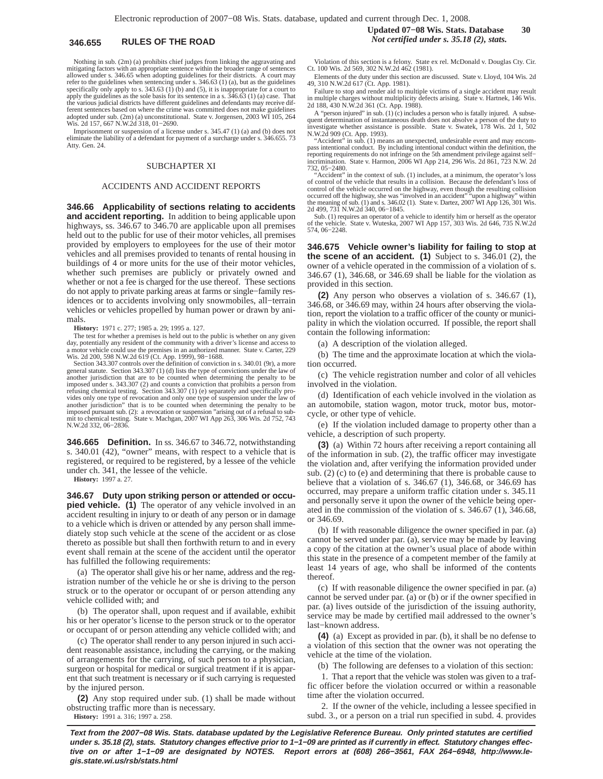Nothing in sub. (2m) (a) prohibits chief judges from linking the aggravating and mitigating factors with an appropriate sentence within the broader range of sentences allowed under s. 346.65 when adopting guidelines for their districts. A court may refer to the guidelines when sentencing under s. 346.63 (1) (a), but as the guidelines specifically only apply to s.  $343.63$  (1) (b) and (5), it is inappropriate for a court to apply the guidelines as the sole basis for its sentence in a s.  $346.63$  (1) (a) case. That the various judicial districts have different guidelines and defendants may receive different sentences based on where the crime was committed does not make guidelines adopted under sub. (2m) (a) unconstitutional. State v. Jorgensen, 2003 WI 105, 264 Wis. 2d 157, 667 N.W.2d 318, 01-2690.

Imprisonment or suspension of a license under s. 345.47 (1) (a) and (b) does not eliminate the liability of a defendant for payment of a surcharge under s. 346.655. 73 Atty. Gen. 24.

### SUBCHAPTER XI

### ACCIDENTS AND ACCIDENT REPORTS

**346.66 Applicability of sections relating to accidents and accident reporting.** In addition to being applicable upon highways, ss. 346.67 to 346.70 are applicable upon all premises held out to the public for use of their motor vehicles, all premises provided by employers to employees for the use of their motor vehicles and all premises provided to tenants of rental housing in buildings of 4 or more units for the use of their motor vehicles, whether such premises are publicly or privately owned and whether or not a fee is charged for the use thereof. These sections do not apply to private parking areas at farms or single−family residences or to accidents involving only snowmobiles, all−terrain vehicles or vehicles propelled by human power or drawn by animals.

**History:** 1971 c. 277; 1985 a. 29; 1995 a. 127.

The test for whether a premises is held out to the public is whether on any given day, potentially any resident of the community with a driver's license and access to a motor vehicle could use the premises in an authorized manner. State v. Carter, 229 Wis. 2d 200, 598 N.W.2d 619 (Ct. App. 1999), 98−1688. Section 343.307 controls over the definition of conviction in s. 340.01 (9r), a more

general statute. Section 343.307 (1) (d) lists the type of convictions under the law of another jurisdiction that are to be counted when determining the penalty to be imposed under s. 343.307 (2) and counts a conviction that prohibits a person from refusing chemical testing. Section 343.307 (1) (e) separately and specifically provides only one type of revocation and only one type of suspension under the law of another jurisdiction" that is to be counted when determining the penalty to be imposed pursuant sub. (2): a revocation or suspension "arising out of a refusal to submit to chemical testing. State v. Machgan, 2007 WI App 263, 306 Wis. 2d 752, 743 N.W.2d 332, 06−2836.

**346.665 Definition.** In ss. 346.67 to 346.72, notwithstanding s. 340.01 (42), "owner" means, with respect to a vehicle that is registered, or required to be registered, by a lessee of the vehicle under ch. 341, the lessee of the vehicle.

**History:** 1997 a. 27.

**346.67 Duty upon striking person or attended or occupied vehicle.** (1) The operator of any vehicle involved in an accident resulting in injury to or death of any person or in damage to a vehicle which is driven or attended by any person shall immediately stop such vehicle at the scene of the accident or as close thereto as possible but shall then forthwith return to and in every event shall remain at the scene of the accident until the operator has fulfilled the following requirements:

(a) The operator shall give his or her name, address and the registration number of the vehicle he or she is driving to the person struck or to the operator or occupant of or person attending any vehicle collided with; and

(b) The operator shall, upon request and if available, exhibit his or her operator's license to the person struck or to the operator or occupant of or person attending any vehicle collided with; and

(c) The operator shall render to any person injured in such accident reasonable assistance, including the carrying, or the making of arrangements for the carrying, of such person to a physician, surgeon or hospital for medical or surgical treatment if it is apparent that such treatment is necessary or if such carrying is requested by the injured person.

**(2)** Any stop required under sub. (1) shall be made without obstructing traffic more than is necessary. **History:** 1991 a. 316; 1997 a. 258.

Violation of this section is a felony. State ex rel. McDonald v. Douglas Cty. Cir. Ct. 100 Wis. 2d 569, 302 N.W.2d 462 (1981).

Elements of the duty under this section are discussed. State v. Lloyd, 104 Wis. 2d 49, 310 N.W.2d 617 (Ct. App. 1981).

Failure to stop and render aid to multiple victims of a single accident may result in multiple charges without multiplicity defects arising. State v. Hartnek, 146 Wis. 2d 188, 430 N.W.2d 361 (Ct. App. 1988).

A "person injured" in sub. (1) (c) includes a person who is fatally injured. A subsequent determination of instantaneous death does not absolve a person of the duty to investigate whether assistance is possible. State v. Swatek, 178 Wis. 2d 1, 502

N.W.2d 909 (Ct. App. 1993). "Accident" in sub. (1) means an unexpected, undesirable event and may encom-pass intentional conduct. By including intentional conduct within the definition, the reporting requirements do not infringe on the 5th amendment privilege against self− incrimination. State v. Harmon, 2006 WI App 214, 296 Wis. 2d 861, 723 N.W. 2d 732, 05−2480.

"Accident" in the context of sub. (1) includes, at a minimum, the operator's loss of control of the vehicle that results in a collision. Because the defendant's loss of control of the vehicle occurred on the highway, even though the resulting collision occurred off the highway, she was "involved in an accident" "upon a highway" within the meaning of sub. (1) and s. 346.02 (1). State v. Dartez, 2007 WI App 126, 301 Wis. 2d 499, 731 N.W.2d 340, 06−1845.

Sub. (1) requires an operator of a vehicle to identify him or herself as the operator of the vehicle. State v. Wuteska, 2007 WI App 157, 303 Wis. 2d 646, 735 N.W.2d 574, 06−2248.

**346.675 Vehicle owner's liability for failing to stop at the scene of an accident. (1)** Subject to s. 346.01 (2), the owner of a vehicle operated in the commission of a violation of s. 346.67 (1), 346.68, or 346.69 shall be liable for the violation as provided in this section.

**(2)** Any person who observes a violation of s. 346.67 (1), 346.68, or 346.69 may, within 24 hours after observing the violation, report the violation to a traffic officer of the county or municipality in which the violation occurred. If possible, the report shall contain the following information:

(a) A description of the violation alleged.

(b) The time and the approximate location at which the violation occurred.

(c) The vehicle registration number and color of all vehicles involved in the violation.

(d) Identification of each vehicle involved in the violation as an automobile, station wagon, motor truck, motor bus, motorcycle, or other type of vehicle.

(e) If the violation included damage to property other than a vehicle, a description of such property.

**(3)** (a) Within 72 hours after receiving a report containing all of the information in sub. (2), the traffic officer may investigate the violation and, after verifying the information provided under sub. (2) (c) to (e) and determining that there is probable cause to believe that a violation of s. 346.67 (1), 346.68, or 346.69 has occurred, may prepare a uniform traffic citation under s. 345.11 and personally serve it upon the owner of the vehicle being operated in the commission of the violation of s. 346.67 (1), 346.68, or 346.69.

(b) If with reasonable diligence the owner specified in par. (a) cannot be served under par. (a), service may be made by leaving a copy of the citation at the owner's usual place of abode within this state in the presence of a competent member of the family at least 14 years of age, who shall be informed of the contents thereof.

(c) If with reasonable diligence the owner specified in par. (a) cannot be served under par. (a) or (b) or if the owner specified in par. (a) lives outside of the jurisdiction of the issuing authority, service may be made by certified mail addressed to the owner's last−known address.

**(4)** (a) Except as provided in par. (b), it shall be no defense to a violation of this section that the owner was not operating the vehicle at the time of the violation.

(b) The following are defenses to a violation of this section:

1. That a report that the vehicle was stolen was given to a traffic officer before the violation occurred or within a reasonable time after the violation occurred.

2. If the owner of the vehicle, including a lessee specified in subd. 3., or a person on a trial run specified in subd. 4. provides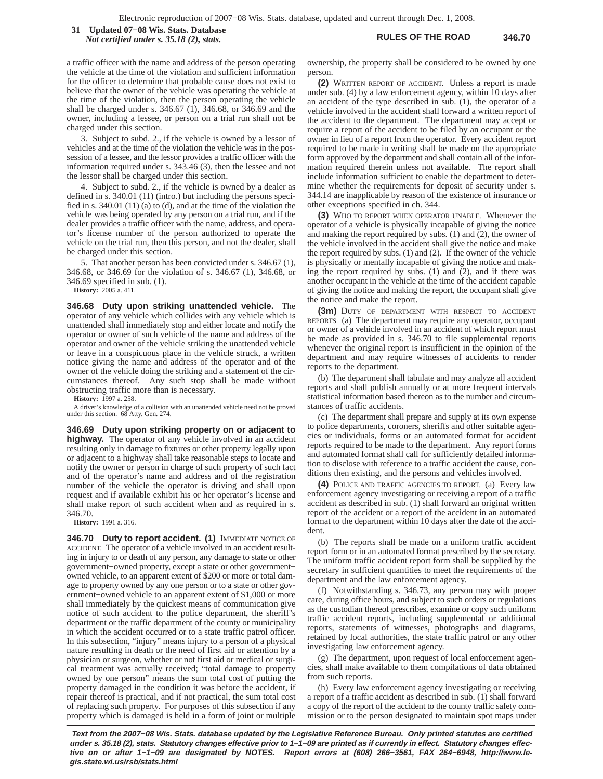**RULES OF THE ROAD 346.70 31 Updated 07−08 Wis. Stats. Database** *Not certified under s. 35.18 (2), stats.*

a traffic officer with the name and address of the person operating the vehicle at the time of the violation and sufficient information for the officer to determine that probable cause does not exist to believe that the owner of the vehicle was operating the vehicle at the time of the violation, then the person operating the vehicle shall be charged under s. 346.67 (1), 346.68, or 346.69 and the owner, including a lessee, or person on a trial run shall not be charged under this section.

3. Subject to subd. 2., if the vehicle is owned by a lessor of vehicles and at the time of the violation the vehicle was in the possession of a lessee, and the lessor provides a traffic officer with the information required under s. 343.46 (3), then the lessee and not the lessor shall be charged under this section.

4. Subject to subd. 2., if the vehicle is owned by a dealer as defined in s. 340.01 (11) (intro.) but including the persons specified in s. 340.01 (11) (a) to (d), and at the time of the violation the vehicle was being operated by any person on a trial run, and if the dealer provides a traffic officer with the name, address, and operator's license number of the person authorized to operate the vehicle on the trial run, then this person, and not the dealer, shall be charged under this section.

5. That another person has been convicted under s. 346.67 (1), 346.68, or 346.69 for the violation of s. 346.67 (1), 346.68, or 346.69 specified in sub. (1).

**History:** 2005 a. 411.

**346.68 Duty upon striking unattended vehicle.** The operator of any vehicle which collides with any vehicle which is unattended shall immediately stop and either locate and notify the operator or owner of such vehicle of the name and address of the operator and owner of the vehicle striking the unattended vehicle or leave in a conspicuous place in the vehicle struck, a written notice giving the name and address of the operator and of the owner of the vehicle doing the striking and a statement of the circumstances thereof. Any such stop shall be made without obstructing traffic more than is necessary.

**History:** 1997 a. 258.

A driver's knowledge of a collision with an unattended vehicle need not be proved under this section. 68 Atty. Gen. 274.

**346.69 Duty upon striking property on or adjacent to highway.** The operator of any vehicle involved in an accident resulting only in damage to fixtures or other property legally upon or adjacent to a highway shall take reasonable steps to locate and notify the owner or person in charge of such property of such fact and of the operator's name and address and of the registration number of the vehicle the operator is driving and shall upon request and if available exhibit his or her operator's license and shall make report of such accident when and as required in s. 346.70.

**History:** 1991 a. 316.

**346.70 Duty to report accident. (1)** IMMEDIATE NOTICE OF ACCIDENT. The operator of a vehicle involved in an accident resulting in injury to or death of any person, any damage to state or other government−owned property, except a state or other government− owned vehicle, to an apparent extent of \$200 or more or total damage to property owned by any one person or to a state or other government−owned vehicle to an apparent extent of \$1,000 or more shall immediately by the quickest means of communication give notice of such accident to the police department, the sheriff's department or the traffic department of the county or municipality in which the accident occurred or to a state traffic patrol officer. In this subsection, "injury" means injury to a person of a physical nature resulting in death or the need of first aid or attention by a physician or surgeon, whether or not first aid or medical or surgical treatment was actually received; "total damage to property owned by one person" means the sum total cost of putting the property damaged in the condition it was before the accident, if repair thereof is practical, and if not practical, the sum total cost of replacing such property. For purposes of this subsection if any property which is damaged is held in a form of joint or multiple ownership, the property shall be considered to be owned by one person.

**(2)** WRITTEN REPORT OF ACCIDENT. Unless a report is made under sub. (4) by a law enforcement agency, within 10 days after an accident of the type described in sub. (1), the operator of a vehicle involved in the accident shall forward a written report of the accident to the department. The department may accept or require a report of the accident to be filed by an occupant or the owner in lieu of a report from the operator. Every accident report required to be made in writing shall be made on the appropriate form approved by the department and shall contain all of the information required therein unless not available. The report shall include information sufficient to enable the department to determine whether the requirements for deposit of security under s. 344.14 are inapplicable by reason of the existence of insurance or other exceptions specified in ch. 344.

**(3)** WHO TO REPORT WHEN OPERATOR UNABLE. Whenever the operator of a vehicle is physically incapable of giving the notice and making the report required by subs. (1) and (2), the owner of the vehicle involved in the accident shall give the notice and make the report required by subs. (1) and (2). If the owner of the vehicle is physically or mentally incapable of giving the notice and making the report required by subs. (1) and (2), and if there was another occupant in the vehicle at the time of the accident capable of giving the notice and making the report, the occupant shall give the notice and make the report.

**(3m)** DUTY OF DEPARTMENT WITH RESPECT TO ACCIDENT REPORTS. (a) The department may require any operator, occupant or owner of a vehicle involved in an accident of which report must be made as provided in s. 346.70 to file supplemental reports whenever the original report is insufficient in the opinion of the department and may require witnesses of accidents to render reports to the department.

(b) The department shall tabulate and may analyze all accident reports and shall publish annually or at more frequent intervals statistical information based thereon as to the number and circumstances of traffic accidents.

(c) The department shall prepare and supply at its own expense to police departments, coroners, sheriffs and other suitable agencies or individuals, forms or an automated format for accident reports required to be made to the department. Any report forms and automated format shall call for sufficiently detailed information to disclose with reference to a traffic accident the cause, conditions then existing, and the persons and vehicles involved.

**(4)** POLICE AND TRAFFIC AGENCIES TO REPORT. (a) Every law enforcement agency investigating or receiving a report of a traffic accident as described in sub. (1) shall forward an original written report of the accident or a report of the accident in an automated format to the department within 10 days after the date of the accident.

(b) The reports shall be made on a uniform traffic accident report form or in an automated format prescribed by the secretary. The uniform traffic accident report form shall be supplied by the secretary in sufficient quantities to meet the requirements of the department and the law enforcement agency.

(f) Notwithstanding s. 346.73, any person may with proper care, during office hours, and subject to such orders or regulations as the custodian thereof prescribes, examine or copy such uniform traffic accident reports, including supplemental or additional reports, statements of witnesses, photographs and diagrams, retained by local authorities, the state traffic patrol or any other investigating law enforcement agency.

(g) The department, upon request of local enforcement agencies, shall make available to them compilations of data obtained from such reports.

(h) Every law enforcement agency investigating or receiving a report of a traffic accident as described in sub. (1) shall forward a copy of the report of the accident to the county traffic safety commission or to the person designated to maintain spot maps under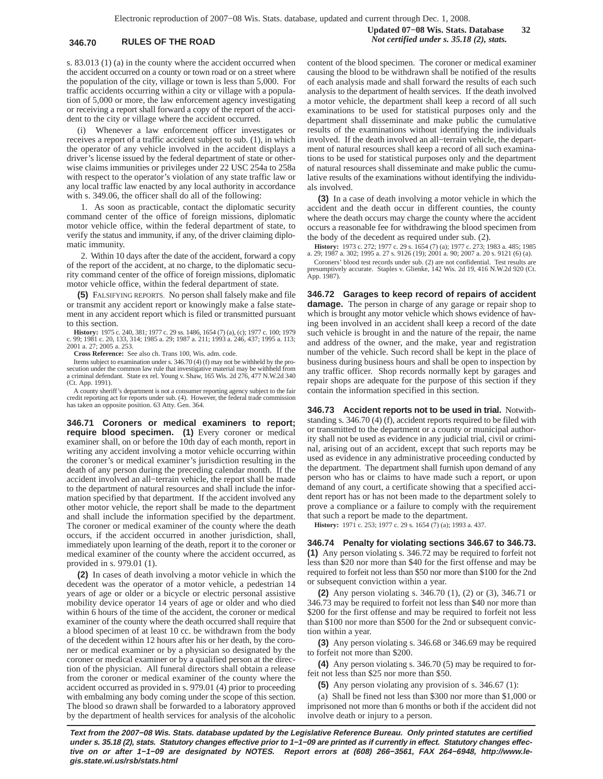## **346.70 RULES OF THE ROAD** *Not certified under s. 35.18 (2), stats.*

s. 83.013 (1) (a) in the county where the accident occurred when the accident occurred on a county or town road or on a street where the population of the city, village or town is less than 5,000. For traffic accidents occurring within a city or village with a population of 5,000 or more, the law enforcement agency investigating or receiving a report shall forward a copy of the report of the accident to the city or village where the accident occurred.

(i) Whenever a law enforcement officer investigates or receives a report of a traffic accident subject to sub. (1), in which the operator of any vehicle involved in the accident displays a driver's license issued by the federal department of state or otherwise claims immunities or privileges under 22 USC 254a to 258a with respect to the operator's violation of any state traffic law or any local traffic law enacted by any local authority in accordance with s. 349.06, the officer shall do all of the following:

1. As soon as practicable, contact the diplomatic security command center of the office of foreign missions, diplomatic motor vehicle office, within the federal department of state, to verify the status and immunity, if any, of the driver claiming diplomatic immunity.

2. Within 10 days after the date of the accident, forward a copy of the report of the accident, at no charge, to the diplomatic security command center of the office of foreign missions, diplomatic motor vehicle office, within the federal department of state.

**(5)** FALSIFYING REPORTS. No person shall falsely make and file or transmit any accident report or knowingly make a false statement in any accident report which is filed or transmitted pursuant to this section.

**History:** 1975 c. 240, 381; 1977 c. 29 ss. 1486, 1654 (7) (a), (c); 1977 c. 100; 1979 c. 99; 1981 c. 20, 133, 314; 1985 a. 29; 1987 a. 211; 1993 a. 246, 437; 1995 a. 113; 2001 a. 27; 2005 a. 253.

**Cross Reference:** See also ch. Trans 100, Wis. adm. code.

Items subject to examination under s. 346.70 (4) (f) may not be withheld by the pro-<br>secution under the common law rule that investigative material may be withheld from a criminal defendant. State ex rel. Young v. Shaw, 165 Wis. 2d 276, 477 N.W.2d 340 (Ct. App. 1991).

A county sheriff's department is not a consumer reporting agency subject to the fair credit reporting act for reports under sub. (4). However, the federal trade commission has taken an opposite position. 63 Atty. Gen. 364.

**346.71 Coroners or medical examiners to report; require blood specimen. (1)** Every coroner or medical examiner shall, on or before the 10th day of each month, report in writing any accident involving a motor vehicle occurring within the coroner's or medical examiner's jurisdiction resulting in the death of any person during the preceding calendar month. If the accident involved an all−terrain vehicle, the report shall be made to the department of natural resources and shall include the information specified by that department. If the accident involved any other motor vehicle, the report shall be made to the department and shall include the information specified by the department. The coroner or medical examiner of the county where the death occurs, if the accident occurred in another jurisdiction, shall, immediately upon learning of the death, report it to the coroner or medical examiner of the county where the accident occurred, as provided in s. 979.01 (1).

**(2)** In cases of death involving a motor vehicle in which the decedent was the operator of a motor vehicle, a pedestrian 14 years of age or older or a bicycle or electric personal assistive mobility device operator 14 years of age or older and who died within 6 hours of the time of the accident, the coroner or medical examiner of the county where the death occurred shall require that a blood specimen of at least 10 cc. be withdrawn from the body of the decedent within 12 hours after his or her death, by the coroner or medical examiner or by a physician so designated by the coroner or medical examiner or by a qualified person at the direction of the physician. All funeral directors shall obtain a release from the coroner or medical examiner of the county where the accident occurred as provided in s. 979.01 (4) prior to proceeding with embalming any body coming under the scope of this section. The blood so drawn shall be forwarded to a laboratory approved by the department of health services for analysis of the alcoholic content of the blood specimen. The coroner or medical examiner causing the blood to be withdrawn shall be notified of the results of each analysis made and shall forward the results of each such analysis to the department of health services. If the death involved a motor vehicle, the department shall keep a record of all such examinations to be used for statistical purposes only and the department shall disseminate and make public the cumulative results of the examinations without identifying the individuals involved. If the death involved an all−terrain vehicle, the department of natural resources shall keep a record of all such examinations to be used for statistical purposes only and the department of natural resources shall disseminate and make public the cumulative results of the examinations without identifying the individuals involved.

**(3)** In a case of death involving a motor vehicle in which the accident and the death occur in different counties, the county where the death occurs may charge the county where the accident occurs a reasonable fee for withdrawing the blood specimen from the body of the decedent as required under sub. (2).

**History:** 1973 c. 272; 1977 c. 29 s. 1654 (7) (a); 1977 c. 273; 1983 a. 485; 1985 a. 29; 1987 a. 302; 1995 a. 27 s. 9126 (19); 2001 a. 90; 2007 a. 20 s. 9121 (6) (a). Coroners' blood test records under sub. (2) are not confidential. Test results are

presumptively accurate. Staples v. Glienke, 142 Wis. 2d 19, 416 N.W.2d 920 (Ct. App. 1987).

**346.72 Garages to keep record of repairs of accident damage.** The person in charge of any garage or repair shop to which is brought any motor vehicle which shows evidence of having been involved in an accident shall keep a record of the date such vehicle is brought in and the nature of the repair, the name and address of the owner, and the make, year and registration number of the vehicle. Such record shall be kept in the place of business during business hours and shall be open to inspection by any traffic officer. Shop records normally kept by garages and repair shops are adequate for the purpose of this section if they contain the information specified in this section.

**346.73 Accident reports not to be used in trial.** Notwithstanding s. 346.70 (4) (f), accident reports required to be filed with or transmitted to the department or a county or municipal authority shall not be used as evidence in any judicial trial, civil or criminal, arising out of an accident, except that such reports may be used as evidence in any administrative proceeding conducted by the department. The department shall furnish upon demand of any person who has or claims to have made such a report, or upon demand of any court, a certificate showing that a specified accident report has or has not been made to the department solely to prove a compliance or a failure to comply with the requirement that such a report be made to the department.

**History:** 1971 c. 253; 1977 c. 29 s. 1654 (7) (a); 1993 a. 437.

**346.74 Penalty for violating sections 346.67 to 346.73. (1)** Any person violating s. 346.72 may be required to forfeit not less than \$20 nor more than \$40 for the first offense and may be required to forfeit not less than \$50 nor more than \$100 for the 2nd or subsequent conviction within a year.

**(2)** Any person violating s. 346.70 (1), (2) or (3), 346.71 or 346.73 may be required to forfeit not less than \$40 nor more than \$200 for the first offense and may be required to forfeit not less than \$100 nor more than \$500 for the 2nd or subsequent conviction within a year.

**(3)** Any person violating s. 346.68 or 346.69 may be required to forfeit not more than \$200.

**(4)** Any person violating s. 346.70 (5) may be required to forfeit not less than \$25 nor more than \$50.

**(5)** Any person violating any provision of s. 346.67 (1):

(a) Shall be fined not less than \$300 nor more than \$1,000 or imprisoned not more than 6 months or both if the accident did not involve death or injury to a person.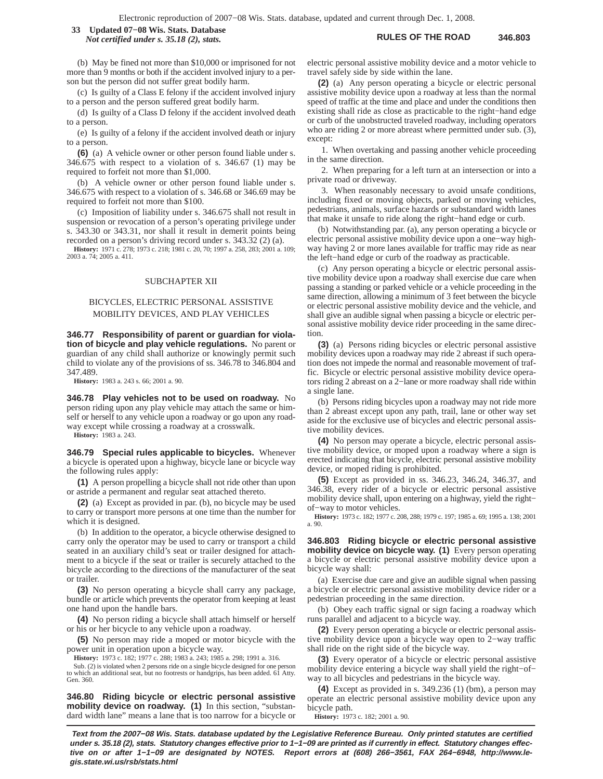**RULES OF THE ROAD 346.803 33 Updated 07−08 Wis. Stats. Database** *Not certified under s. 35.18 (2), stats.*

(b) May be fined not more than \$10,000 or imprisoned for not more than 9 months or both if the accident involved injury to a person but the person did not suffer great bodily harm.

(c) Is guilty of a Class E felony if the accident involved injury to a person and the person suffered great bodily harm.

(d) Is guilty of a Class D felony if the accident involved death to a person.

(e) Is guilty of a felony if the accident involved death or injury to a person.

**(6)** (a) A vehicle owner or other person found liable under s. 346.675 with respect to a violation of s. 346.67 (1) may be required to forfeit not more than \$1,000.

(b) A vehicle owner or other person found liable under s. 346.675 with respect to a violation of s. 346.68 or 346.69 may be required to forfeit not more than \$100.

(c) Imposition of liability under s. 346.675 shall not result in suspension or revocation of a person's operating privilege under s. 343.30 or 343.31, nor shall it result in demerit points being recorded on a person's driving record under s. 343.32 (2) (a).

**History:** 1971 c. 278; 1973 c. 218; 1981 c. 20, 70; 1997 a. 258, 283; 2001 a. 109; 2003 a. 74; 2005 a. 411.

### SUBCHAPTER XII

# BICYCLES, ELECTRIC PERSONAL ASSISTIVE MOBILITY DEVICES, AND PLAY VEHICLES

**346.77 Responsibility of parent or guardian for violation of bicycle and play vehicle regulations.** No parent or guardian of any child shall authorize or knowingly permit such child to violate any of the provisions of ss. 346.78 to 346.804 and 347.489.

**History:** 1983 a. 243 s. 66; 2001 a. 90.

**346.78 Play vehicles not to be used on roadway.** No person riding upon any play vehicle may attach the same or himself or herself to any vehicle upon a roadway or go upon any roadway except while crossing a roadway at a crosswalk.

**History:** 1983 a. 243.

**346.79 Special rules applicable to bicycles.** Whenever a bicycle is operated upon a highway, bicycle lane or bicycle way the following rules apply:

**(1)** A person propelling a bicycle shall not ride other than upon or astride a permanent and regular seat attached thereto.

**(2)** (a) Except as provided in par. (b), no bicycle may be used to carry or transport more persons at one time than the number for which it is designed.

(b) In addition to the operator, a bicycle otherwise designed to carry only the operator may be used to carry or transport a child seated in an auxiliary child's seat or trailer designed for attachment to a bicycle if the seat or trailer is securely attached to the bicycle according to the directions of the manufacturer of the seat or trailer.

**(3)** No person operating a bicycle shall carry any package, bundle or article which prevents the operator from keeping at least one hand upon the handle bars.

**(4)** No person riding a bicycle shall attach himself or herself or his or her bicycle to any vehicle upon a roadway.

**(5)** No person may ride a moped or motor bicycle with the power unit in operation upon a bicycle way.

**History:** 1973 c. 182; 1977 c. 288; 1983 a. 243; 1985 a. 298; 1991 a. 316.

Sub. (2) is violated when 2 persons ride on a single bicycle designed for one person to which an additional seat, but no footrests or handgrips, has been added. 61 Atty. Gen. 360.

**346.80 Riding bicycle or electric personal assistive mobility device on roadway. (1)** In this section, "substandard width lane" means a lane that is too narrow for a bicycle or electric personal assistive mobility device and a motor vehicle to travel safely side by side within the lane.

**(2)** (a) Any person operating a bicycle or electric personal assistive mobility device upon a roadway at less than the normal speed of traffic at the time and place and under the conditions then existing shall ride as close as practicable to the right−hand edge or curb of the unobstructed traveled roadway, including operators who are riding 2 or more abreast where permitted under sub. (3), except:

1. When overtaking and passing another vehicle proceeding in the same direction.

2. When preparing for a left turn at an intersection or into a private road or driveway.

3. When reasonably necessary to avoid unsafe conditions, including fixed or moving objects, parked or moving vehicles, pedestrians, animals, surface hazards or substandard width lanes that make it unsafe to ride along the right−hand edge or curb.

(b) Notwithstanding par. (a), any person operating a bicycle or electric personal assistive mobility device upon a one−way highway having 2 or more lanes available for traffic may ride as near the left−hand edge or curb of the roadway as practicable.

(c) Any person operating a bicycle or electric personal assistive mobility device upon a roadway shall exercise due care when passing a standing or parked vehicle or a vehicle proceeding in the same direction, allowing a minimum of 3 feet between the bicycle or electric personal assistive mobility device and the vehicle, and shall give an audible signal when passing a bicycle or electric personal assistive mobility device rider proceeding in the same direction.

**(3)** (a) Persons riding bicycles or electric personal assistive mobility devices upon a roadway may ride 2 abreast if such operation does not impede the normal and reasonable movement of traffic. Bicycle or electric personal assistive mobility device operators riding 2 abreast on a 2−lane or more roadway shall ride within a single lane.

(b) Persons riding bicycles upon a roadway may not ride more than 2 abreast except upon any path, trail, lane or other way set aside for the exclusive use of bicycles and electric personal assistive mobility devices.

**(4)** No person may operate a bicycle, electric personal assistive mobility device, or moped upon a roadway where a sign is erected indicating that bicycle, electric personal assistive mobility device, or moped riding is prohibited.

**(5)** Except as provided in ss. 346.23, 346.24, 346.37, and 346.38, every rider of a bicycle or electric personal assistive mobility device shall, upon entering on a highway, yield the right− of−way to motor vehicles.

**History:** 1973 c. 182; 1977 c. 208, 288; 1979 c. 197; 1985 a. 69; 1995 a. 138; 2001 a. 90.

**346.803 Riding bicycle or electric personal assistive mobility device on bicycle way. (1)** Every person operating a bicycle or electric personal assistive mobility device upon a bicycle way shall:

(a) Exercise due care and give an audible signal when passing a bicycle or electric personal assistive mobility device rider or a pedestrian proceeding in the same direction.

(b) Obey each traffic signal or sign facing a roadway which runs parallel and adjacent to a bicycle way.

**(2)** Every person operating a bicycle or electric personal assistive mobility device upon a bicycle way open to 2−way traffic shall ride on the right side of the bicycle way.

**(3)** Every operator of a bicycle or electric personal assistive mobility device entering a bicycle way shall yield the right−of− way to all bicycles and pedestrians in the bicycle way.

**(4)** Except as provided in s. 349.236 (1) (bm), a person may operate an electric personal assistive mobility device upon any bicycle path.

**History:** 1973 c. 182; 2001 a. 90.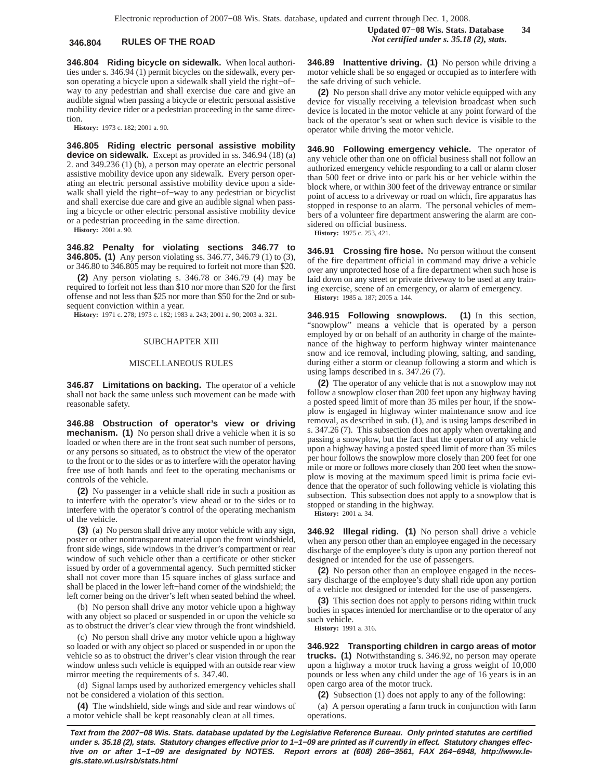**346.804 Riding bicycle on sidewalk.** When local authorities under s. 346.94 (1) permit bicycles on the sidewalk, every person operating a bicycle upon a sidewalk shall yield the right−of− way to any pedestrian and shall exercise due care and give an audible signal when passing a bicycle or electric personal assistive mobility device rider or a pedestrian proceeding in the same direction.

**History:** 1973 c. 182; 2001 a. 90.

**346.805 Riding electric personal assistive mobility device on sidewalk.** Except as provided in ss. 346.94 (18) (a) 2. and 349.236 (1) (b), a person may operate an electric personal assistive mobility device upon any sidewalk. Every person operating an electric personal assistive mobility device upon a sidewalk shall yield the right−of−way to any pedestrian or bicyclist and shall exercise due care and give an audible signal when passing a bicycle or other electric personal assistive mobility device or a pedestrian proceeding in the same direction.

**History:** 2001 a. 90.

**346.82 Penalty for violating sections 346.77 to 346.805. (1)** Any person violating ss. 346.77, 346.79 (1) to (3), or 346.80 to 346.805 may be required to forfeit not more than \$20.

**(2)** Any person violating s. 346.78 or 346.79 (4) may be required to forfeit not less than \$10 nor more than \$20 for the first offense and not less than \$25 nor more than \$50 for the 2nd or subsequent conviction within a year.

**History:** 1971 c. 278; 1973 c. 182; 1983 a. 243; 2001 a. 90; 2003 a. 321.

### SUBCHAPTER XIII

### MISCELLANEOUS RULES

**346.87 Limitations on backing.** The operator of a vehicle shall not back the same unless such movement can be made with reasonable safety.

**346.88 Obstruction of operator's view or driving mechanism. (1)** No person shall drive a vehicle when it is so loaded or when there are in the front seat such number of persons, or any persons so situated, as to obstruct the view of the operator to the front or to the sides or as to interfere with the operator having free use of both hands and feet to the operating mechanisms or controls of the vehicle.

**(2)** No passenger in a vehicle shall ride in such a position as to interfere with the operator's view ahead or to the sides or to interfere with the operator's control of the operating mechanism of the vehicle.

**(3)** (a) No person shall drive any motor vehicle with any sign, poster or other nontransparent material upon the front windshield, front side wings, side windows in the driver's compartment or rear window of such vehicle other than a certificate or other sticker issued by order of a governmental agency. Such permitted sticker shall not cover more than 15 square inches of glass surface and shall be placed in the lower left−hand corner of the windshield; the left corner being on the driver's left when seated behind the wheel.

(b) No person shall drive any motor vehicle upon a highway with any object so placed or suspended in or upon the vehicle so as to obstruct the driver's clear view through the front windshield.

(c) No person shall drive any motor vehicle upon a highway so loaded or with any object so placed or suspended in or upon the vehicle so as to obstruct the driver's clear vision through the rear window unless such vehicle is equipped with an outside rear view mirror meeting the requirements of s. 347.40.

(d) Signal lamps used by authorized emergency vehicles shall not be considered a violation of this section.

**(4)** The windshield, side wings and side and rear windows of a motor vehicle shall be kept reasonably clean at all times.

**346.89 Inattentive driving. (1)** No person while driving a motor vehicle shall be so engaged or occupied as to interfere with the safe driving of such vehicle.

**(2)** No person shall drive any motor vehicle equipped with any device for visually receiving a television broadcast when such device is located in the motor vehicle at any point forward of the back of the operator's seat or when such device is visible to the operator while driving the motor vehicle.

**346.90 Following emergency vehicle.** The operator of any vehicle other than one on official business shall not follow an authorized emergency vehicle responding to a call or alarm closer than 500 feet or drive into or park his or her vehicle within the block where, or within 300 feet of the driveway entrance or similar point of access to a driveway or road on which, fire apparatus has stopped in response to an alarm. The personal vehicles of members of a volunteer fire department answering the alarm are considered on official business.

**History:** 1975 c. 253, 421.

**346.91 Crossing fire hose.** No person without the consent of the fire department official in command may drive a vehicle over any unprotected hose of a fire department when such hose is laid down on any street or private driveway to be used at any training exercise, scene of an emergency, or alarm of emergency. **History:** 1985 a. 187; 2005 a. 144.

**346.915 Following snowplows. (1)** In this section, "snowplow" means a vehicle that is operated by a person employed by or on behalf of an authority in charge of the maintenance of the highway to perform highway winter maintenance snow and ice removal, including plowing, salting, and sanding, during either a storm or cleanup following a storm and which is using lamps described in s. 347.26 (7).

**(2)** The operator of any vehicle that is not a snowplow may not follow a snowplow closer than 200 feet upon any highway having a posted speed limit of more than 35 miles per hour, if the snowplow is engaged in highway winter maintenance snow and ice removal, as described in sub. (1), and is using lamps described in s. 347.26 (7). This subsection does not apply when overtaking and passing a snowplow, but the fact that the operator of any vehicle upon a highway having a posted speed limit of more than 35 miles per hour follows the snowplow more closely than 200 feet for one mile or more or follows more closely than 200 feet when the snowplow is moving at the maximum speed limit is prima facie evidence that the operator of such following vehicle is violating this subsection. This subsection does not apply to a snowplow that is stopped or standing in the highway.

**History:** 2001 a. 34.

**346.92 Illegal riding. (1)** No person shall drive a vehicle when any person other than an employee engaged in the necessary discharge of the employee's duty is upon any portion thereof not designed or intended for the use of passengers.

**(2)** No person other than an employee engaged in the necessary discharge of the employee's duty shall ride upon any portion of a vehicle not designed or intended for the use of passengers.

**(3)** This section does not apply to persons riding within truck bodies in spaces intended for merchandise or to the operator of any such vehicle.

**History:** 1991 a. 316.

**346.922 Transporting children in cargo areas of motor trucks. (1)** Notwithstanding s. 346.92, no person may operate upon a highway a motor truck having a gross weight of 10,000 pounds or less when any child under the age of 16 years is in an open cargo area of the motor truck.

**(2)** Subsection (1) does not apply to any of the following:

(a) A person operating a farm truck in conjunction with farm operations.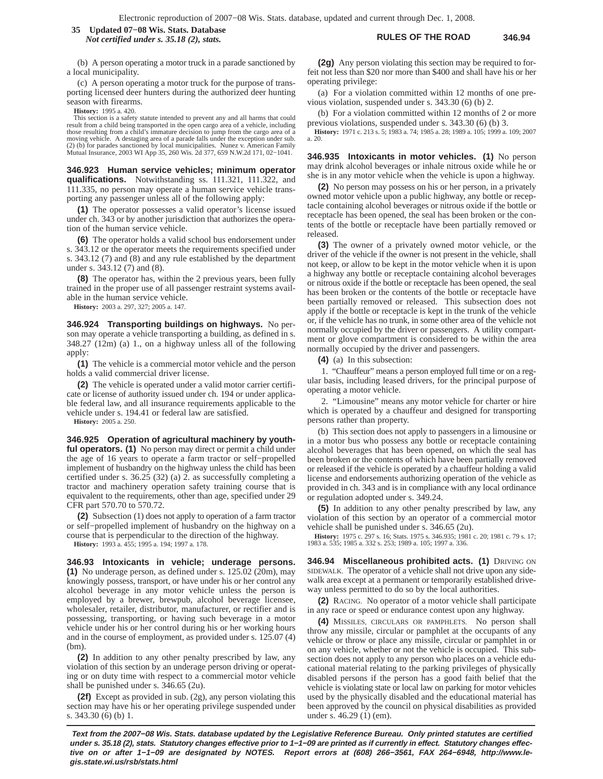### **RULES OF THE ROAD 346.94 35 Updated 07−08 Wis. Stats. Database** *Not certified under s. 35.18 (2), stats.*

(b) A person operating a motor truck in a parade sanctioned by a local municipality.

(c) A person operating a motor truck for the purpose of transporting licensed deer hunters during the authorized deer hunting season with firearms.

**History:** 1995 a. 420.

This section is a safety statute intended to prevent any and all harms that could result from a child being transported in the open cargo area of a vehicle, including those resulting from a child's immature decision to jump from the cargo area of a moving vehicle. A destaging area of a parade falls under the exception under sub. (2) (b) for parades sanctioned by local municipalities. Nunez v. American Family Mutual Insurance, 2003 WI App 35, 260 Wis. 2d 377, 659 N.W.2d 171, 02−1041.

**346.923 Human service vehicles; minimum operator qualifications.** Notwithstanding ss. 111.321, 111.322, and 111.335, no person may operate a human service vehicle transporting any passenger unless all of the following apply:

**(1)** The operator possesses a valid operator's license issued under ch. 343 or by another jurisdiction that authorizes the operation of the human service vehicle.

**(6)** The operator holds a valid school bus endorsement under s. 343.12 or the operator meets the requirements specified under s. 343.12 (7) and (8) and any rule established by the department under s. 343.12 (7) and (8).

**(8)** The operator has, within the 2 previous years, been fully trained in the proper use of all passenger restraint systems available in the human service vehicle.

**History:** 2003 a. 297, 327; 2005 a. 147.

**346.924 Transporting buildings on highways.** No person may operate a vehicle transporting a building, as defined in s. 348.27 (12m) (a) 1., on a highway unless all of the following apply:

**(1)** The vehicle is a commercial motor vehicle and the person holds a valid commercial driver license.

**(2)** The vehicle is operated under a valid motor carrier certificate or license of authority issued under ch. 194 or under applicable federal law, and all insurance requirements applicable to the vehicle under s. 194.41 or federal law are satisfied.

**History:** 2005 a. 250.

**346.925 Operation of agricultural machinery by youthful operators. (1)** No person may direct or permit a child under the age of 16 years to operate a farm tractor or self−propelled implement of husbandry on the highway unless the child has been certified under s. 36.25 (32) (a) 2. as successfully completing a tractor and machinery operation safety training course that is equivalent to the requirements, other than age, specified under 29 CFR part 570.70 to 570.72.

**(2)** Subsection (1) does not apply to operation of a farm tractor or self−propelled implement of husbandry on the highway on a course that is perpendicular to the direction of the highway.

**History:** 1993 a. 455; 1995 a. 194; 1997 a. 178.

**346.93 Intoxicants in vehicle; underage persons. (1)** No underage person, as defined under s. 125.02 (20m), may knowingly possess, transport, or have under his or her control any alcohol beverage in any motor vehicle unless the person is employed by a brewer, brewpub, alcohol beverage licensee, wholesaler, retailer, distributor, manufacturer, or rectifier and is possessing, transporting, or having such beverage in a motor vehicle under his or her control during his or her working hours and in the course of employment, as provided under s. 125.07 (4)  $(bm)$ 

**(2)** In addition to any other penalty prescribed by law, any violation of this section by an underage person driving or operating or on duty time with respect to a commercial motor vehicle shall be punished under s. 346.65 (2u).

**(2f)** Except as provided in sub. (2g), any person violating this section may have his or her operating privilege suspended under s. 343.30 (6) (b) 1.

**(2g)** Any person violating this section may be required to forfeit not less than \$20 nor more than \$400 and shall have his or her operating privilege:

(a) For a violation committed within 12 months of one previous violation, suspended under s. 343.30 (6) (b) 2.

(b) For a violation committed within 12 months of 2 or more previous violations, suspended under s. 343.30 (6) (b) 3.

**History:** 1971 c. 213 s. 5; 1983 a. 74; 1985 a. 28; 1989 a. 105; 1999 a. 109; 2007 a. 20.

**346.935 Intoxicants in motor vehicles. (1)** No person may drink alcohol beverages or inhale nitrous oxide while he or she is in any motor vehicle when the vehicle is upon a highway.

**(2)** No person may possess on his or her person, in a privately owned motor vehicle upon a public highway, any bottle or receptacle containing alcohol beverages or nitrous oxide if the bottle or receptacle has been opened, the seal has been broken or the contents of the bottle or receptacle have been partially removed or released.

**(3)** The owner of a privately owned motor vehicle, or the driver of the vehicle if the owner is not present in the vehicle, shall not keep, or allow to be kept in the motor vehicle when it is upon a highway any bottle or receptacle containing alcohol beverages or nitrous oxide if the bottle or receptacle has been opened, the seal has been broken or the contents of the bottle or receptacle have been partially removed or released. This subsection does not apply if the bottle or receptacle is kept in the trunk of the vehicle or, if the vehicle has no trunk, in some other area of the vehicle not normally occupied by the driver or passengers. A utility compartment or glove compartment is considered to be within the area normally occupied by the driver and passengers.

**(4)** (a) In this subsection:

1. "Chauffeur" means a person employed full time or on a regular basis, including leased drivers, for the principal purpose of operating a motor vehicle.

2. "Limousine" means any motor vehicle for charter or hire which is operated by a chauffeur and designed for transporting persons rather than property.

(b) This section does not apply to passengers in a limousine or in a motor bus who possess any bottle or receptacle containing alcohol beverages that has been opened, on which the seal has been broken or the contents of which have been partially removed or released if the vehicle is operated by a chauffeur holding a valid license and endorsements authorizing operation of the vehicle as provided in ch. 343 and is in compliance with any local ordinance or regulation adopted under s. 349.24.

**(5)** In addition to any other penalty prescribed by law, any violation of this section by an operator of a commercial motor vehicle shall be punished under s. 346.65 (2u).

**History:** 1975 c. 297 s. 16; Stats. 1975 s. 346.935; 1981 c. 20; 1981 c. 79 s. 17; 1983 a. 535; 1985 a. 332 s. 253; 1989 a. 105; 1997 a. 336.

**346.94 Miscellaneous prohibited acts. (1)** DRIVING ON SIDEWALK. The operator of a vehicle shall not drive upon any sidewalk area except at a permanent or temporarily established driveway unless permitted to do so by the local authorities.

**(2)** RACING. No operator of a motor vehicle shall participate in any race or speed or endurance contest upon any highway.

**(4)** MISSILES, CIRCULARS OR PAMPHLETS. No person shall throw any missile, circular or pamphlet at the occupants of any vehicle or throw or place any missile, circular or pamphlet in or on any vehicle, whether or not the vehicle is occupied. This subsection does not apply to any person who places on a vehicle educational material relating to the parking privileges of physically disabled persons if the person has a good faith belief that the vehicle is violating state or local law on parking for motor vehicles used by the physically disabled and the educational material has been approved by the council on physical disabilities as provided under s. 46.29 (1) (em).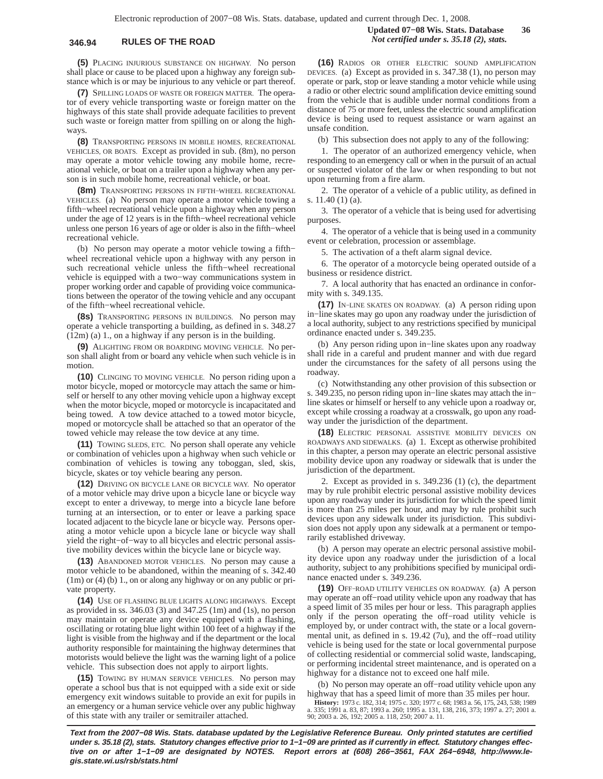**(5)** PLACING INJURIOUS SUBSTANCE ON HIGHWAY. No person shall place or cause to be placed upon a highway any foreign substance which is or may be injurious to any vehicle or part thereof.

**(7)** SPILLING LOADS OF WASTE OR FOREIGN MATTER. The operator of every vehicle transporting waste or foreign matter on the highways of this state shall provide adequate facilities to prevent such waste or foreign matter from spilling on or along the highways.

**(8)** TRANSPORTING PERSONS IN MOBILE HOMES, RECREATIONAL VEHICLES, OR BOATS. Except as provided in sub. (8m), no person may operate a motor vehicle towing any mobile home, recreational vehicle, or boat on a trailer upon a highway when any person is in such mobile home, recreational vehicle, or boat.

**(8m)** TRANSPORTING PERSONS IN FIFTH−WHEEL RECREATIONAL VEHICLES. (a) No person may operate a motor vehicle towing a fifth−wheel recreational vehicle upon a highway when any person under the age of 12 years is in the fifth−wheel recreational vehicle unless one person 16 years of age or older is also in the fifth−wheel recreational vehicle.

(b) No person may operate a motor vehicle towing a fifth− wheel recreational vehicle upon a highway with any person in such recreational vehicle unless the fifth−wheel recreational vehicle is equipped with a two−way communications system in proper working order and capable of providing voice communications between the operator of the towing vehicle and any occupant of the fifth−wheel recreational vehicle.

**(8s)** TRANSPORTING PERSONS IN BUILDINGS. No person may operate a vehicle transporting a building, as defined in s. 348.27 (12m) (a) 1., on a highway if any person is in the building.

**(9)** ALIGHTING FROM OR BOARDING MOVING VEHICLE. No person shall alight from or board any vehicle when such vehicle is in motion.

**(10)** CLINGING TO MOVING VEHICLE. No person riding upon a motor bicycle, moped or motorcycle may attach the same or himself or herself to any other moving vehicle upon a highway except when the motor bicycle, moped or motorcycle is incapacitated and being towed. A tow device attached to a towed motor bicycle, moped or motorcycle shall be attached so that an operator of the towed vehicle may release the tow device at any time.

**(11)** TOWING SLEDS, ETC. No person shall operate any vehicle or combination of vehicles upon a highway when such vehicle or combination of vehicles is towing any toboggan, sled, skis, bicycle, skates or toy vehicle bearing any person.

**(12)** DRIVING ON BICYCLE LANE OR BICYCLE WAY. No operator of a motor vehicle may drive upon a bicycle lane or bicycle way except to enter a driveway, to merge into a bicycle lane before turning at an intersection, or to enter or leave a parking space located adjacent to the bicycle lane or bicycle way. Persons operating a motor vehicle upon a bicycle lane or bicycle way shall yield the right−of−way to all bicycles and electric personal assistive mobility devices within the bicycle lane or bicycle way.

**(13)** ABANDONED MOTOR VEHICLES. No person may cause a motor vehicle to be abandoned, within the meaning of s. 342.40 (1m) or (4) (b) 1., on or along any highway or on any public or private property.

**(14)** USE OF FLASHING BLUE LIGHTS ALONG HIGHWAYS. Except as provided in ss. 346.03 (3) and 347.25 (1m) and (1s), no person may maintain or operate any device equipped with a flashing, oscillating or rotating blue light within 100 feet of a highway if the light is visible from the highway and if the department or the local authority responsible for maintaining the highway determines that motorists would believe the light was the warning light of a police vehicle. This subsection does not apply to airport lights.

**(15)** TOWING BY HUMAN SERVICE VEHICLES. No person may operate a school bus that is not equipped with a side exit or side emergency exit windows suitable to provide an exit for pupils in an emergency or a human service vehicle over any public highway of this state with any trailer or semitrailer attached.

**(16)** RADIOS OR OTHER ELECTRIC SOUND AMPLIFICATION DEVICES. (a) Except as provided in s. 347.38 (1), no person may operate or park, stop or leave standing a motor vehicle while using a radio or other electric sound amplification device emitting sound from the vehicle that is audible under normal conditions from a distance of 75 or more feet, unless the electric sound amplification device is being used to request assistance or warn against an unsafe condition.

(b) This subsection does not apply to any of the following:

1. The operator of an authorized emergency vehicle, when responding to an emergency call or when in the pursuit of an actual or suspected violator of the law or when responding to but not upon returning from a fire alarm.

2. The operator of a vehicle of a public utility, as defined in s. 11.40 (1) (a).

3. The operator of a vehicle that is being used for advertising purposes.

4. The operator of a vehicle that is being used in a community event or celebration, procession or assemblage.

5. The activation of a theft alarm signal device.

6. The operator of a motorcycle being operated outside of a business or residence district.

7. A local authority that has enacted an ordinance in conformity with s. 349.135.

**(17)** IN−LINE SKATES ON ROADWAY. (a) A person riding upon in−line skates may go upon any roadway under the jurisdiction of a local authority, subject to any restrictions specified by municipal ordinance enacted under s. 349.235.

(b) Any person riding upon in−line skates upon any roadway shall ride in a careful and prudent manner and with due regard under the circumstances for the safety of all persons using the roadway.

(c) Notwithstanding any other provision of this subsection or s. 349.235, no person riding upon in−line skates may attach the in− line skates or himself or herself to any vehicle upon a roadway or, except while crossing a roadway at a crosswalk, go upon any roadway under the jurisdiction of the department.

**(18)** ELECTRIC PERSONAL ASSISTIVE MOBILITY DEVICES ON ROADWAYS AND SIDEWALKS. (a) 1. Except as otherwise prohibited in this chapter, a person may operate an electric personal assistive mobility device upon any roadway or sidewalk that is under the jurisdiction of the department.

2. Except as provided in s. 349.236 (1) (c), the department may by rule prohibit electric personal assistive mobility devices upon any roadway under its jurisdiction for which the speed limit is more than 25 miles per hour, and may by rule prohibit such devices upon any sidewalk under its jurisdiction. This subdivision does not apply upon any sidewalk at a permanent or temporarily established driveway.

(b) A person may operate an electric personal assistive mobility device upon any roadway under the jurisdiction of a local authority, subject to any prohibitions specified by municipal ordinance enacted under s. 349.236.

**(19)** OFF−ROAD UTILITY VEHICLES ON ROADWAY. (a) A person may operate an off−road utility vehicle upon any roadway that has a speed limit of 35 miles per hour or less. This paragraph applies only if the person operating the off−road utility vehicle is employed by, or under contract with, the state or a local governmental unit, as defined in s. 19.42 (7u), and the off−road utility vehicle is being used for the state or local governmental purpose of collecting residential or commercial solid waste, landscaping, or performing incidental street maintenance, and is operated on a highway for a distance not to exceed one half mile.

(b) No person may operate an off−road utility vehicle upon any highway that has a speed limit of more than 35 miles per hour.

**History:** 1973 c. 182, 314; 1975 c. 320; 1977 c. 68; 1983 a. 56, 175, 243, 538; 1989 a. 335; 1991 a. 83, 87; 1993 a. 260; 1995 a. 131, 138, 216, 373; 1997 a. 27; 2001 a. 90; 2003 a. 26, 192; 2005 a. 118, 250; 2007 a. 11.